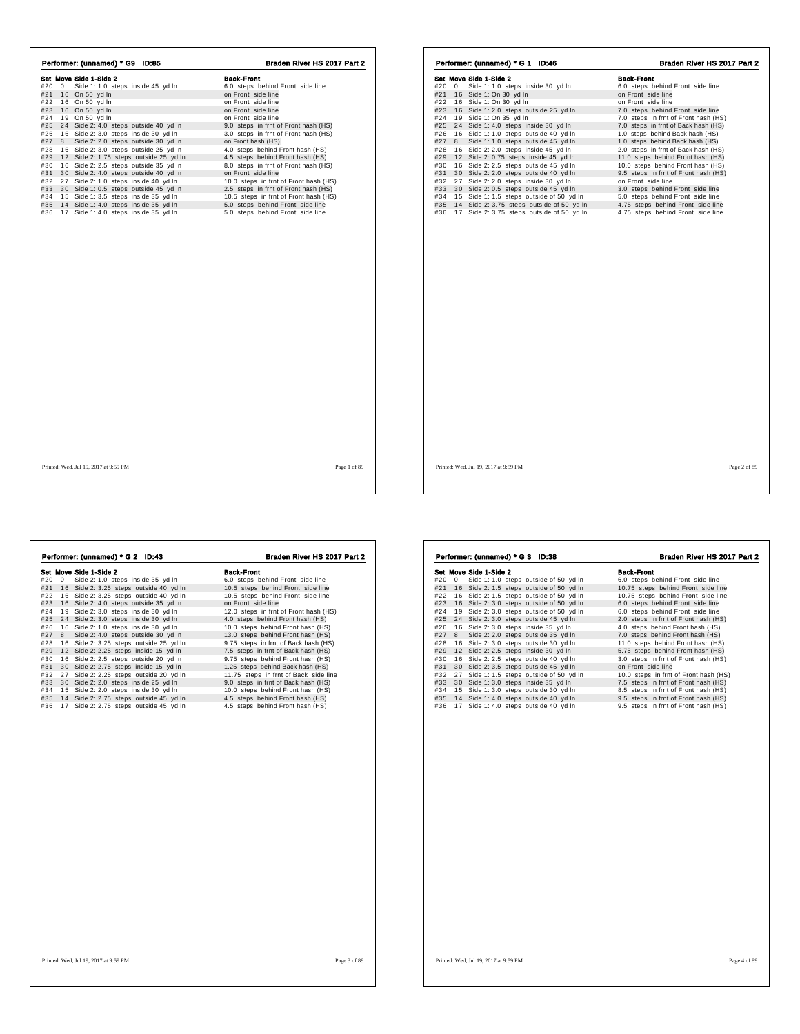| Performer: (unnamed) * G9 ID:85            | Braden River HS 2017 Part 2           | Performer: (unnamed) * G 1 ID:46              | Braden River HS 2017 Part 2          |
|--------------------------------------------|---------------------------------------|-----------------------------------------------|--------------------------------------|
| Set Move Side 1-Side 2                     | <b>Back-Front</b>                     | Set Move Side 1-Side 2                        | <b>Back-Front</b>                    |
| #20 0 Side 1: 1.0 steps inside 45 yd In    | 6.0 steps behind Front side line      | #20 0 Side 1: 1.0 steps inside 30 yd In       | 6.0 steps behind Front side line     |
| #21 16 On 50 yd In                         | on Front side line                    | #21 16 Side 1: On 30 yd In                    | on Front side line                   |
| #22 16 On 50 yd In                         | on Front side line                    | #22 16 Side 1: On 30 yd In                    | on Front side line                   |
| #23 16 On 50 yd In                         | on Front side line                    | #23 16 Side 1: 2.0 steps outside 25 yd In     | 7.0 steps behind Front side line     |
| #24 19 On 50 yd In                         | on Front side line                    | 19 Side 1: On 35 yd In<br>#24                 | 7.0 steps in frnt of Front hash (HS) |
| #25 24 Side 2: 4.0 steps outside 40 yd In  | 9.0 steps in frnt of Front hash (HS)  | #25 24 Side 1: 4.0 steps inside 30 yd In      | 7.0 steps in frnt of Back hash (HS)  |
| #26 16 Side 2: 3.0 steps inside 30 yd In   | 3.0 steps in frnt of Front hash (HS)  | 16 Side 1: 1.0 steps outside 40 yd In<br>#26  | 1.0 steps behind Back hash (HS)      |
| #27 8 Side 2: 2.0 steps outside 30 yd In   | on Front hash (HS)                    | #27 8 Side 1: 1.0 steps outside 45 yd In      | 1.0 steps behind Back hash (HS)      |
| #28 16 Side 2: 3.0 steps outside 25 yd In  | 4.0 steps behind Front hash (HS)      | 16 Side 2: 2.0 steps inside 45 yd In<br>#28   | 2.0 steps in frnt of Back hash (HS)  |
| #29 12 Side 2: 1.75 steps outside 25 yd In | 4.5 steps behind Front hash (HS)      | #29 12 Side 2: 0.75 steps inside 45 yd In     | 11.0 steps behind Front hash (HS)    |
| #30 16 Side 2: 2.5 steps outside 35 yd In  | 8.0 steps in frnt of Front hash (HS)  | #30 16 Side 2: 2.5 steps outside 45 yd In     | 10.0 steps behind Front hash (HS)    |
| #31 30 Side 2: 4.0 steps outside 40 yd In  | on Front side line                    | #31 30 Side 2: 2.0 steps outside 40 yd In     | 9.5 steps in frnt of Front hash (HS) |
| #32 27 Side 2: 1.0 steps inside 40 yd In   | 10.0 steps in frnt of Front hash (HS) | #32 27 Side 2: 2.0 steps inside 30 yd In      | on Front side line                   |
| #33 30 Side 1: 0.5 steps outside 45 yd In  | 2.5 steps in frnt of Front hash (HS)  | #33 30 Side 2: 0.5 steps outside 45 yd In     | 3.0 steps behind Front side line     |
| #34 15 Side 1: 3.5 steps inside 35 yd In   | 10.5 steps in frnt of Front hash (HS) | #34 15 Side 1:1.5 steps outside of 50 yd In   | 5.0 steps behind Front side line     |
| #35 14 Side 1: 4.0 steps inside 35 yd In   | 5.0 steps behind Front side line      | #35 14 Side 2: 3.75 steps outside of 50 yd In | 4.75 steps behind Front side line    |
| #36 17 Side 1: 4.0 steps inside 35 yd In   | 5.0 steps behind Front side line      | #36 17 Side 2: 3.75 steps outside of 50 yd In | 4.75 steps behind Front side line    |
|                                            |                                       |                                               |                                      |
| Printed: Wed. Jul 19, 2017 at 9:59 PM      | Page 1 of 89                          | Printed: Wed. Jul 19, 2017 at 9:59 PM         | Page 2 of 89                         |

|            |   | Performer: (unnamed) * G 2 ID:43                                                 | Braden River HS 2017 Part 2                                          |
|------------|---|----------------------------------------------------------------------------------|----------------------------------------------------------------------|
|            |   | Set Move Side 1-Side 2                                                           | <b>Back-Front</b>                                                    |
| #20        | 0 | Side 2: 1.0 steps inside 35 yd In                                                | 6.0 steps behind Front side line                                     |
| #21        |   | 16 Side 2: 3.25 steps outside 40 yd In                                           | 10.5 steps behind Front side line                                    |
| #22        |   | 16 Side 2: 3.25 steps outside 40 yd In                                           | 10.5 steps behind Front side line                                    |
| #23        |   | 16 Side 2: 4.0 steps outside 35 yd In                                            | on Front side line                                                   |
| #24        |   | 19 Side 2: 3.0 steps inside 30 vd In                                             | 12.0 steps in frnt of Front hash (HS)                                |
| #25        |   | 24 Side 2: 3.0 steps inside 30 yd In                                             | 4.0 steps behind Front hash (HS)                                     |
| #26        |   | 16 Side 2: 1.0 steps inside 30 yd In                                             | 10.0 steps behind Front hash (HS)                                    |
| #27        | 8 | Side 2: 4.0 steps outside 30 yd In                                               | 13.0 steps behind Front hash (HS)                                    |
| #28        |   | 16 Side 2: 3.25 steps outside 25 yd In                                           | 9.75 steps in frnt of Back hash (HS)                                 |
| #29        |   | 12 Side 2: 2.25 steps inside 15 yd In                                            | 7.5 steps in frnt of Back hash (HS)                                  |
| #30        |   | 16 Side 2: 2.5 steps outside 20 yd In                                            | 9.75 steps behind Front hash (HS)                                    |
| #31        |   | 30 Side 2: 2.75 steps inside 15 yd In                                            | 1.25 steps behind Back hash (HS)                                     |
| #32        |   | 27 Side 2: 2.25 steps outside 20 yd In                                           | 11.75 steps in frnt of Back side line                                |
| #33        |   | 30 Side 2: 2.0 steps inside 25 yd In                                             | 9.0 steps in frnt of Back hash (HS)                                  |
| #34        |   | 15 Side 2: 2.0 steps inside 30 yd In                                             | 10.0 steps behind Front hash (HS)                                    |
| #35<br>#36 |   | 14 Side 2: 2.75 steps outside 45 yd In<br>17 Side 2: 2.75 steps outside 45 yd In | 4.5 steps behind Front hash (HS)<br>4.5 steps behind Front hash (HS) |
|            |   |                                                                                  |                                                                      |
|            |   |                                                                                  |                                                                      |

| Performer: (unnamed) * G 3 ID:38 |    |                        |  |                                          | Braden River HS 2017 Part 2           |  |  |
|----------------------------------|----|------------------------|--|------------------------------------------|---------------------------------------|--|--|
|                                  |    | Set Move Side 1-Side 2 |  |                                          | <b>Back-Front</b>                     |  |  |
| #20                              | 0  |                        |  | Side 1: 1.0 steps outside of 50 yd In    | 6.0 steps behind Front side line      |  |  |
| #21                              |    |                        |  | 16 Side 2: 1.5 steps outside of 50 yd In | 10.75 steps behind Front side line    |  |  |
| #22                              |    |                        |  | 16 Side 2: 1.5 steps outside of 50 yd In | 10.75 steps behind Front side line    |  |  |
| #23                              |    |                        |  | 16 Side 2:3.0 steps outside of 50 yd In  | 6.0 steps behind Front side line      |  |  |
| #24                              |    |                        |  | 19 Side 2:3.0 steps outside of 50 yd In  | 6.0 steps behind Front side line      |  |  |
| #25                              |    |                        |  | 24 Side 2: 3.0 steps outside 45 yd In    | 2.0 steps in frnt of Front hash (HS)  |  |  |
| #26                              |    |                        |  | 16 Side 2: 3.0 steps inside 35 yd In     | 4.0 steps behind Front hash (HS)      |  |  |
| #27                              |    |                        |  | 8 Side 2: 2.0 steps outside 35 yd In     | 7.0 steps behind Front hash (HS)      |  |  |
| #28                              |    |                        |  | 16 Side 2: 3.0 steps outside 30 yd In    | 11.0 steps behind Front hash (HS)     |  |  |
| #29                              |    |                        |  | 12 Side 2: 2.5 steps inside 30 yd In     | 5.75 steps behind Front hash (HS)     |  |  |
| #30                              |    |                        |  | 16 Side 2: 2.5 steps outside 40 yd In    | 3.0 steps in frnt of Front hash (HS)  |  |  |
| #31                              |    |                        |  | 30 Side 2: 3.5 steps outside 45 yd In    | on Front side line                    |  |  |
| #32                              |    |                        |  | 27 Side 1: 1.5 steps outside of 50 yd In | 10.0 steps in frnt of Front hash (HS) |  |  |
| #33                              |    |                        |  | 30 Side 1: 3.0 steps inside 35 yd In     | 7.5 steps in frnt of Front hash (HS)  |  |  |
| #34                              |    |                        |  | 15 Side 1: 3.0 steps outside 30 yd In    | 8.5 steps in frnt of Front hash (HS)  |  |  |
| #35                              |    |                        |  | 14 Side 1: 4.0 steps outside 40 yd In    | 9.5 steps in frnt of Front hash (HS)  |  |  |
| #36                              | 17 |                        |  | Side 1: 4.0 steps outside 40 yd In       | 9.5 steps in frnt of Front hash (HS)  |  |  |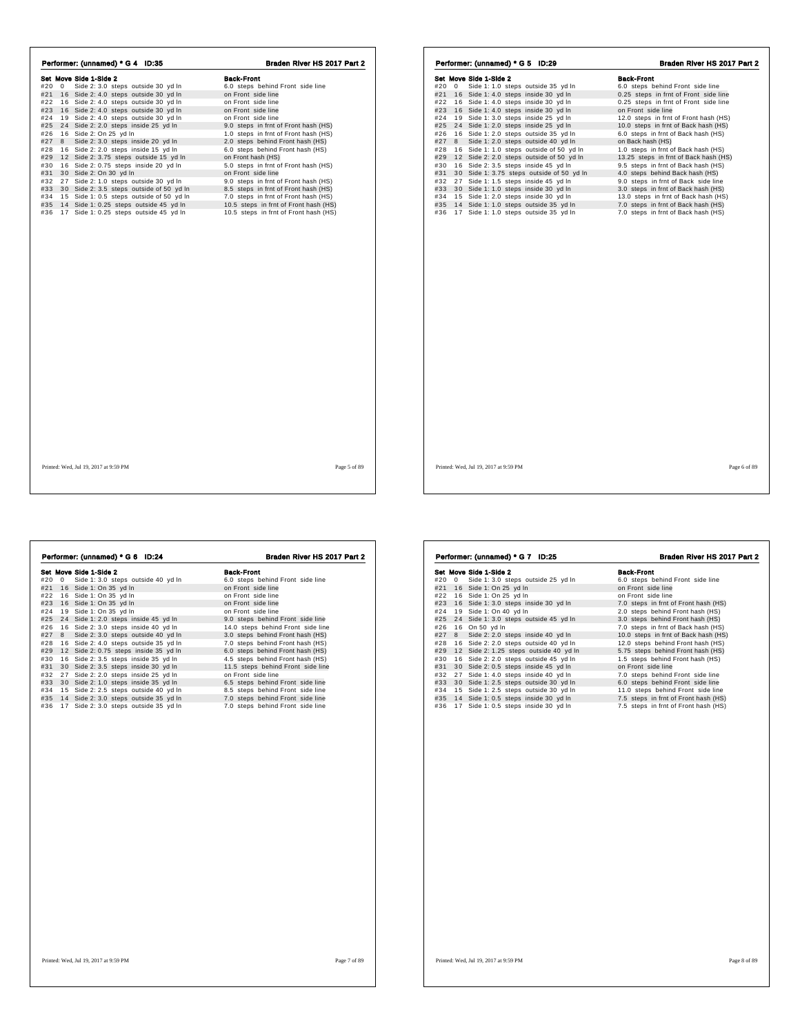| Performer: (unnamed) * G 4 ID:35                                                                                                                                                                                                                                                                                                                                                                                                                                                                                                                                                                                                                                                                                                                                                          | Braden River HS 2017 Part 2                                                                                                                                                                                                                                                                                                                                                                                                                                                                                                                                                                         | Performer: (unnamed) * G 5 ID:29                                                                                                                                                                                                                                                                                                                                                                                                                                                                                                                                                                                                                                                                                                                                                                                               | Braden River HS 2017 Part 2                                                                                                                                                                                                                                                                                                                                                                                                                                                                                                                                                                                                                                              |
|-------------------------------------------------------------------------------------------------------------------------------------------------------------------------------------------------------------------------------------------------------------------------------------------------------------------------------------------------------------------------------------------------------------------------------------------------------------------------------------------------------------------------------------------------------------------------------------------------------------------------------------------------------------------------------------------------------------------------------------------------------------------------------------------|-----------------------------------------------------------------------------------------------------------------------------------------------------------------------------------------------------------------------------------------------------------------------------------------------------------------------------------------------------------------------------------------------------------------------------------------------------------------------------------------------------------------------------------------------------------------------------------------------------|--------------------------------------------------------------------------------------------------------------------------------------------------------------------------------------------------------------------------------------------------------------------------------------------------------------------------------------------------------------------------------------------------------------------------------------------------------------------------------------------------------------------------------------------------------------------------------------------------------------------------------------------------------------------------------------------------------------------------------------------------------------------------------------------------------------------------------|--------------------------------------------------------------------------------------------------------------------------------------------------------------------------------------------------------------------------------------------------------------------------------------------------------------------------------------------------------------------------------------------------------------------------------------------------------------------------------------------------------------------------------------------------------------------------------------------------------------------------------------------------------------------------|
| Set Move Side 1-Side 2<br>#20 0 Side 2: 3.0 steps outside 30 yd In<br>#21 16 Side 2: 4.0 steps outside 30 yd In<br>#22 16 Side 2: 4.0 steps outside 30 yd In<br>#23 16 Side 2: 4.0 steps outside 30 yd In<br>#24 19 Side 2: 4.0 steps outside 30 yd In<br>#25 24 Side 2: 2.0 steps inside 25 yd In<br>#26 16 Side 2: On 25 yd In<br>#27 8 Side 2: 3.0 steps inside 20 yd In<br>#28 16 Side 2: 2.0 steps inside 15 yd In<br>#29 12 Side 2: 3.75 steps outside 15 yd In<br>#30 16 Side 2: 0.75 steps inside 20 yd In<br>#31 30 Side 2: On 30 yd In<br>#32 27 Side 2: 1.0 steps outside 30 yd In<br>#33 30 Side 2: 3.5 steps outside of 50 yd In<br>#34 15 Side 1: 0.5 steps outside of 50 yd In<br>#35 14 Side 1: 0.25 steps outside 45 yd In<br>#36 17 Side 1: 0.25 steps outside 45 yd In | <b>Back-Front</b><br>6.0 steps behind Front side line<br>on Front side line<br>on Front side line<br>on Front side line<br>on Front side line<br>9.0 steps in frnt of Front hash (HS)<br>1.0 steps in frnt of Front hash (HS)<br>2.0 steps behind Front hash (HS)<br>6.0 steps behind Front hash (HS)<br>on Front hash (HS)<br>5.0 steps in frnt of Front hash (HS)<br>on Front side line<br>9.0 steps in frnt of Front hash (HS)<br>8.5 steps in frnt of Front hash (HS)<br>7.0 steps in frnt of Front hash (HS)<br>10.5 steps in frnt of Front hash (HS)<br>10.5 steps in frnt of Front hash (HS) | Set Move Side 1-Side 2<br>#20 0 Side 1: 1.0 steps outside 35 yd In<br>#21 16 Side 1: 4.0 steps inside 30 yd In<br>#22 16 Side 1: 4.0 steps inside 30 yd In<br>#23 16 Side 1: 4.0 steps inside 30 yd In<br>#24 19 Side 1: 3.0 steps inside 25 yd In<br>#25 24 Side 1: 2.0 steps inside 25 yd In<br>16 Side 1: 2.0 steps outside 35 yd In<br>#26<br>#27 8 Side 1: 2.0 steps outside 40 yd In<br>#28 16 Side 1: 1.0 steps outside of 50 yd In<br>#29 12 Side 2: 2.0 steps outside of 50 yd In<br>16 Side 2: 3.5 steps inside 45 yd In<br>#30<br>#31 30 Side 1: 3.75 steps outside of 50 yd In<br>#32 27 Side 1: 1.5 steps inside 45 yd In<br>#33 30 Side 1: 1.0 steps inside 30 yd In<br>15 Side 1: 2.0 steps inside 30 yd In<br>#34<br>14 Side 1: 1.0 steps outside 35 yd In<br>#35<br>#36 17 Side 1: 1.0 steps outside 35 yd In | <b>Back-Front</b><br>6.0 steps behind Front side line<br>0.25 steps in frnt of Front side line<br>0.25 steps in frnt of Front side line<br>on Front side line<br>12.0 steps in frnt of Front hash (HS)<br>10.0 steps in frnt of Back hash (HS)<br>6.0 steps in frnt of Back hash (HS)<br>on Back hash (HS)<br>1.0 steps in frnt of Back hash (HS)<br>13.25 steps in frnt of Back hash (HS)<br>9.5 steps in frnt of Back hash (HS)<br>4.0 steps behind Back hash (HS)<br>9.0 steps in frnt of Back side line<br>3.0 steps in frnt of Back hash (HS)<br>13.0 steps in frnt of Back hash (HS)<br>7.0 steps in frnt of Back hash (HS)<br>7.0 steps in frnt of Back hash (HS) |
| Printed: Wed. Jul 19, 2017 at 9:59 PM                                                                                                                                                                                                                                                                                                                                                                                                                                                                                                                                                                                                                                                                                                                                                     | Page 5 of 89                                                                                                                                                                                                                                                                                                                                                                                                                                                                                                                                                                                        | Printed: Wed, Jul 19, 2017 at 9:59 PM                                                                                                                                                                                                                                                                                                                                                                                                                                                                                                                                                                                                                                                                                                                                                                                          | Page 6 of 89                                                                                                                                                                                                                                                                                                                                                                                                                                                                                                                                                                                                                                                             |

| #20 0<br>Side 1: 3.0 steps outside 40 yd In<br>6.0 steps behind Front side line<br>#21<br>on Front side line<br>16 Side 1: On 35 yd In<br>#22<br>16 Side 1: On 35 yd In<br>on Front side line<br>#23<br>16 Side 1: On 35 yd In<br>on Front side line<br>#24<br>19 Side 1: On 35 yd In<br>on Front side line<br>#25<br>24 Side 1: 2.0 steps inside 45 yd In<br>9.0 steps behind Front side line<br>#26<br>16 Side 2: 3.0 steps inside 40 yd In<br>14.0 steps behind Front side line<br>#27<br>Side 2: 3.0 steps outside 40 yd In<br>3.0 steps behind Front hash (HS)<br>8<br>#28<br>16 Side 2: 4.0 steps outside 35 yd In<br>7.0 steps behind Front hash (HS)<br>#29<br>12 Side 2: 0.75 steps inside 35 yd In<br>6.0 steps behind Front hash (HS)<br>#30<br>16 Side 2: 3.5 steps inside 35 yd In<br>4.5 steps behind Front hash (HS)<br>#31<br>30 Side 2: 3.5 steps inside 30 yd In<br>11.5 steps behind Front side line<br>#32<br>27 Side 2: 2.0 steps inside 25 yd In<br>on Front side line<br>#33<br>30 Side 2: 1.0 steps inside 35 yd In<br>6.5 steps behind Front side line<br>#34<br>15 Side 2: 2.5 steps outside 40 yd In<br>8.5 steps behind Front side line<br>#35<br>14 Side 2: 3.0 steps outside 35 yd In<br>7.0 steps behind Front side line<br>#36<br>17 Side 2: 3.0 steps outside 35 yd In<br>7.0 steps behind Front side line | Set Move Side 1-Side 2 | <b>Back-Front</b> |
|---------------------------------------------------------------------------------------------------------------------------------------------------------------------------------------------------------------------------------------------------------------------------------------------------------------------------------------------------------------------------------------------------------------------------------------------------------------------------------------------------------------------------------------------------------------------------------------------------------------------------------------------------------------------------------------------------------------------------------------------------------------------------------------------------------------------------------------------------------------------------------------------------------------------------------------------------------------------------------------------------------------------------------------------------------------------------------------------------------------------------------------------------------------------------------------------------------------------------------------------------------------------------------------------------------------------------------------------|------------------------|-------------------|
|                                                                                                                                                                                                                                                                                                                                                                                                                                                                                                                                                                                                                                                                                                                                                                                                                                                                                                                                                                                                                                                                                                                                                                                                                                                                                                                                             |                        |                   |
|                                                                                                                                                                                                                                                                                                                                                                                                                                                                                                                                                                                                                                                                                                                                                                                                                                                                                                                                                                                                                                                                                                                                                                                                                                                                                                                                             |                        |                   |
|                                                                                                                                                                                                                                                                                                                                                                                                                                                                                                                                                                                                                                                                                                                                                                                                                                                                                                                                                                                                                                                                                                                                                                                                                                                                                                                                             |                        |                   |
|                                                                                                                                                                                                                                                                                                                                                                                                                                                                                                                                                                                                                                                                                                                                                                                                                                                                                                                                                                                                                                                                                                                                                                                                                                                                                                                                             |                        |                   |
|                                                                                                                                                                                                                                                                                                                                                                                                                                                                                                                                                                                                                                                                                                                                                                                                                                                                                                                                                                                                                                                                                                                                                                                                                                                                                                                                             |                        |                   |
|                                                                                                                                                                                                                                                                                                                                                                                                                                                                                                                                                                                                                                                                                                                                                                                                                                                                                                                                                                                                                                                                                                                                                                                                                                                                                                                                             |                        |                   |
|                                                                                                                                                                                                                                                                                                                                                                                                                                                                                                                                                                                                                                                                                                                                                                                                                                                                                                                                                                                                                                                                                                                                                                                                                                                                                                                                             |                        |                   |
|                                                                                                                                                                                                                                                                                                                                                                                                                                                                                                                                                                                                                                                                                                                                                                                                                                                                                                                                                                                                                                                                                                                                                                                                                                                                                                                                             |                        |                   |
|                                                                                                                                                                                                                                                                                                                                                                                                                                                                                                                                                                                                                                                                                                                                                                                                                                                                                                                                                                                                                                                                                                                                                                                                                                                                                                                                             |                        |                   |
|                                                                                                                                                                                                                                                                                                                                                                                                                                                                                                                                                                                                                                                                                                                                                                                                                                                                                                                                                                                                                                                                                                                                                                                                                                                                                                                                             |                        |                   |
|                                                                                                                                                                                                                                                                                                                                                                                                                                                                                                                                                                                                                                                                                                                                                                                                                                                                                                                                                                                                                                                                                                                                                                                                                                                                                                                                             |                        |                   |
|                                                                                                                                                                                                                                                                                                                                                                                                                                                                                                                                                                                                                                                                                                                                                                                                                                                                                                                                                                                                                                                                                                                                                                                                                                                                                                                                             |                        |                   |
|                                                                                                                                                                                                                                                                                                                                                                                                                                                                                                                                                                                                                                                                                                                                                                                                                                                                                                                                                                                                                                                                                                                                                                                                                                                                                                                                             |                        |                   |
|                                                                                                                                                                                                                                                                                                                                                                                                                                                                                                                                                                                                                                                                                                                                                                                                                                                                                                                                                                                                                                                                                                                                                                                                                                                                                                                                             |                        |                   |
|                                                                                                                                                                                                                                                                                                                                                                                                                                                                                                                                                                                                                                                                                                                                                                                                                                                                                                                                                                                                                                                                                                                                                                                                                                                                                                                                             |                        |                   |
|                                                                                                                                                                                                                                                                                                                                                                                                                                                                                                                                                                                                                                                                                                                                                                                                                                                                                                                                                                                                                                                                                                                                                                                                                                                                                                                                             |                        |                   |
|                                                                                                                                                                                                                                                                                                                                                                                                                                                                                                                                                                                                                                                                                                                                                                                                                                                                                                                                                                                                                                                                                                                                                                                                                                                                                                                                             |                        |                   |
|                                                                                                                                                                                                                                                                                                                                                                                                                                                                                                                                                                                                                                                                                                                                                                                                                                                                                                                                                                                                                                                                                                                                                                                                                                                                                                                                             |                        |                   |
|                                                                                                                                                                                                                                                                                                                                                                                                                                                                                                                                                                                                                                                                                                                                                                                                                                                                                                                                                                                                                                                                                                                                                                                                                                                                                                                                             |                        |                   |

|     |            | Performer: (unnamed) * G 7 ID:25       | Braden River HS 2017 Part 2          |
|-----|------------|----------------------------------------|--------------------------------------|
|     |            | Set Move Side 1-Side 2                 | <b>Back-Front</b>                    |
| #20 | $^{\circ}$ | Side 1: 3.0 steps outside 25 yd In     | 6.0 steps behind Front side line     |
| #21 |            | 16 Side 1: On 25 yd In                 | on Front side line                   |
| #22 |            | 16 Side 1: On 25 yd In                 | on Front side line                   |
| #23 |            | 16 Side 1: 3.0 steps inside 30 yd In   | 7.0 steps in frnt of Front hash (HS) |
| #24 | 19         | Side 1: On 40 yd In                    | 2.0 steps behind Front hash (HS)     |
| #25 |            | 24 Side 1: 3.0 steps outside 45 yd In  | 3.0 steps behind Front hash (HS)     |
| #26 |            | 16 On 50 yd In                         | 7.0 steps in frnt of Back hash (HS)  |
| #27 |            | 8 Side 2: 2.0 steps inside 40 yd In    | 10.0 steps in frnt of Back hash (HS) |
| #28 |            | 16 Side 2: 2.0 steps outside 40 yd In  | 12.0 steps behind Front hash (HS)    |
| #29 |            | 12 Side 2: 1.25 steps outside 40 yd In | 5.75 steps behind Front hash (HS)    |
| #30 |            | 16 Side 2: 2.0 steps outside 45 yd In  | 1.5 steps behind Front hash (HS)     |
| #31 |            | 30 Side 2: 0.5 steps inside 45 yd In   | on Front side line                   |
| #32 |            | 27 Side 1: 4.0 steps inside 40 yd In   | 7.0 steps behind Front side line     |
| #33 |            | 30 Side 1: 2.5 steps outside 30 yd In  | 6.0 steps behind Front side line     |
| #34 |            | 15 Side 1: 2.5 steps outside 30 yd In  | 11.0 steps behind Front side line    |
| #35 |            | 14 Side 1: 0.5 steps inside 30 yd In   | 7.5 steps in frnt of Front hash (HS) |
| #36 |            | 17 Side 1: 0.5 steps inside 30 yd In   | 7.5 steps in frnt of Front hash (HS) |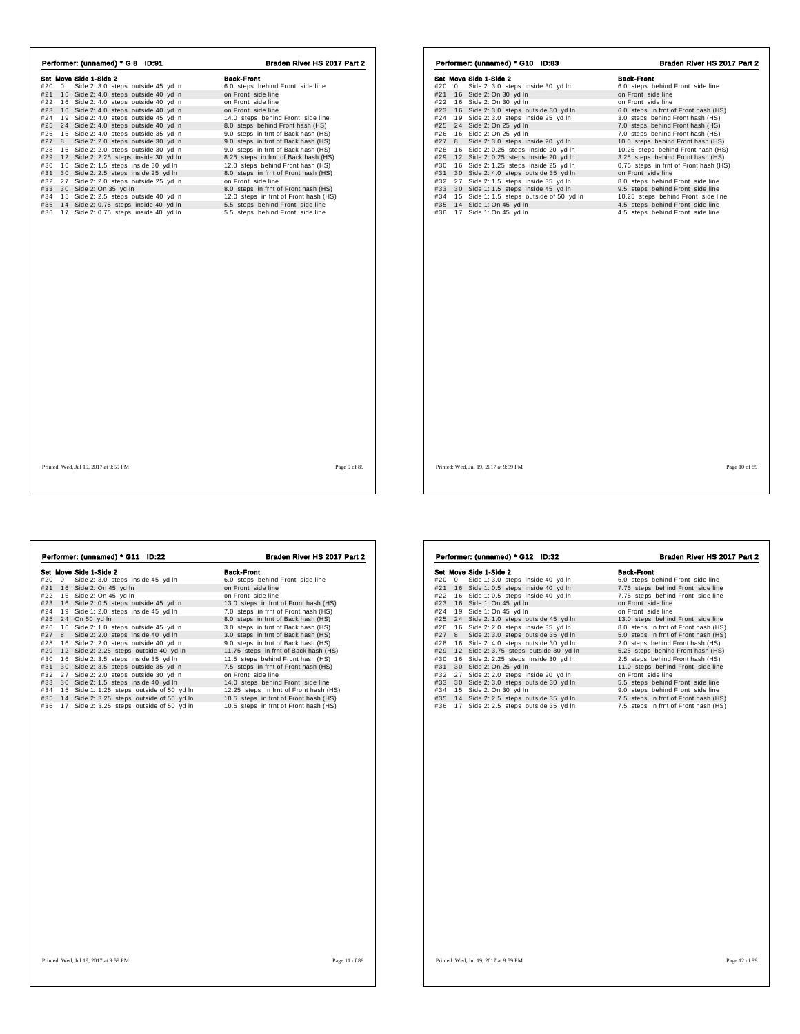| Performer: (unnamed) * G 8 ID:91          | Braden River HS 2017 Part 2           | Performer: (unnamed) * G10 ID:83             | Braden River HS 2017 Part 2           |
|-------------------------------------------|---------------------------------------|----------------------------------------------|---------------------------------------|
| Set Move Side 1-Side 2                    | <b>Back-Front</b>                     | Set Move Side 1-Side 2                       | <b>Back-Front</b>                     |
| #20 0 Side 2: 3.0 steps outside 45 yd In  | 6.0 steps behind Front side line      | #20 0 Side 2: 3.0 steps inside 30 yd In      | 6.0 steps behind Front side line      |
| #21 16 Side 2: 4.0 steps outside 40 yd In | on Front side line                    | #21 16 Side 2: On 30 yd In                   | on Front side line                    |
| #22 16 Side 2: 4.0 steps outside 40 yd In | on Front side line                    | #22 16 Side 2: On 30 yd In                   | on Front side line                    |
| #23 16 Side 2: 4.0 steps outside 40 yd In | on Front side line                    | #23 16 Side 2: 3.0 steps outside 30 yd In    | 6.0 steps in frnt of Front hash (HS)  |
| #24 19 Side 2: 4.0 steps outside 45 yd In | 14.0 steps behind Front side line     | 19 Side 2: 3.0 steps inside 25 yd In<br>#24  | 3.0 steps behind Front hash (HS)      |
| #25 24 Side 2: 4.0 steps outside 40 yd In | 8.0 steps behind Front hash (HS)      | #25 24 Side 2: On 25 yd In                   | 7.0 steps behind Front hash (HS)      |
| #26 16 Side 2: 4.0 steps outside 35 yd In | 9.0 steps in frnt of Back hash (HS)   | 16 Side 2: On 25 yd In<br>#26                | 7.0 steps behind Front hash (HS)      |
| #27 8 Side 2: 2.0 steps outside 30 yd In  | 9.0 steps in frnt of Back hash (HS)   | #27 8 Side 2: 3.0 steps inside 20 yd In      | 10.0 steps behind Front hash (HS)     |
| #28 16 Side 2: 2.0 steps outside 30 yd In | 9.0 steps in frnt of Back hash (HS)   | 16 Side 2: 0.25 steps inside 20 yd In<br>#28 | 10.25 steps behind Front hash (HS)    |
| #29 12 Side 2: 2.25 steps inside 30 yd In | 8.25 steps in frnt of Back hash (HS)  | #29 12 Side 2: 0.25 steps inside 20 yd In    | 3.25 steps behind Front hash (HS)     |
| #30 16 Side 2: 1.5 steps inside 30 yd In  | 12.0 steps behind Front hash (HS)     | #30 16 Side 2: 1.25 steps inside 25 yd In    | 0.75 steps in frnt of Front hash (HS) |
| #31 30 Side 2: 2.5 steps inside 25 yd In  | 8.0 steps in frnt of Front hash (HS)  | #31 30 Side 2: 4.0 steps outside 35 yd In    | on Front side line                    |
| #32 27 Side 2: 2.0 steps outside 25 yd In | on Front side line                    | #32 27 Side 2: 1.5 steps inside 35 yd In     | 8.0 steps behind Front side line      |
| #33 30 Side 2: On 35 yd In                | 8.0 steps in frnt of Front hash (HS)  | #33 30 Side 1: 1.5 steps inside 45 yd In     | 9.5 steps behind Front side line      |
| #34 15 Side 2: 2.5 steps outside 40 yd In | 12.0 steps in frnt of Front hash (HS) | #34 15 Side 1: 1.5 steps outside of 50 yd In | 10.25 steps behind Front side line    |
| #35 14 Side 2: 0.75 steps inside 40 yd In | 5.5 steps behind Front side line      | 14 Side 1: On 45 yd In<br>#35                | 4.5 steps behind Front side line      |
| #36 17 Side 2: 0.75 steps inside 40 yd In | 5.5 steps behind Front side line      | #36 17 Side 1: On 45 yd In                   | 4.5 steps behind Front side line      |
|                                           |                                       |                                              |                                       |
|                                           |                                       |                                              |                                       |
| Printed: Wed. Jul 19, 2017 at 9:59 PM     | Page 9 of 89                          | Printed: Wed, Jul 19, 2017 at 9:59 PM        | Page 10 of 89                         |

| #20 | 0 | Set Move Side 1-Side 2<br>Side 2: 3.0 steps inside 45 yd In | <b>Back-Front</b><br>6.0 steps behind Front side line |
|-----|---|-------------------------------------------------------------|-------------------------------------------------------|
| #21 |   | 16 Side 2: On 45 yd In                                      | on Front side line                                    |
| #22 |   | 16 Side 2: On 45 yd In                                      | on Front side line                                    |
| #23 |   | 16 Side 2: 0.5 steps outside 45 yd In                       | 13.0 steps in frnt of Front hash (HS)                 |
| #24 |   | 19 Side 1: 2.0 steps inside 45 yd In                        | 7.0 steps in frnt of Front hash (HS)                  |
| #25 |   | 24 On 50 yd In                                              | 8.0 steps in frnt of Back hash (HS)                   |
| #26 |   | 16 Side 2: 1.0 steps outside 45 yd In                       | 3.0 steps in frnt of Back hash (HS)                   |
| #27 | 8 | Side 2: 2.0 steps inside 40 yd In                           | 3.0 steps in frnt of Back hash (HS)                   |
| #28 |   | 16 Side 2: 2.0 steps outside 40 yd In                       | 9.0 steps in frnt of Back hash (HS)                   |
| #29 |   | 12 Side 2: 2.25 steps outside 40 yd In                      | 11.75 steps in frnt of Back hash (HS)                 |
| #30 |   | 16 Side 2: 3.5 steps inside 35 yd In                        | 11.5 steps behind Front hash (HS)                     |
| #31 |   | 30 Side 2: 3.5 steps outside 35 yd In                       | 7.5 steps in frnt of Front hash (HS)                  |
| #32 |   | 27 Side 2: 2.0 steps outside 30 yd In                       | on Front side line                                    |
| #33 |   | 30 Side 2: 1.5 steps inside 40 yd In                        | 14.0 steps behind Front side line                     |
| #34 |   | 15 Side 1: 1.25 steps outside of 50 yd In                   | 12.25 steps in frnt of Front hash (HS)                |
| #35 |   | 14 Side 2: 3.25 steps outside of 50 yd In                   | 10.5 steps in frnt of Front hash (HS)                 |
| #36 |   | 17 Side 2: 3.25 steps outside of 50 yd In                   | 10.5 steps in frnt of Front hash (HS)                 |
|     |   |                                                             |                                                       |
|     |   |                                                             |                                                       |
|     |   |                                                             |                                                       |
|     |   |                                                             |                                                       |
|     |   |                                                             |                                                       |
|     |   |                                                             |                                                       |
|     |   |                                                             |                                                       |
|     |   |                                                             |                                                       |
|     |   |                                                             |                                                       |
|     |   |                                                             |                                                       |

|     |                | Set Move Side 1-Side 2                    | <b>Back-Front</b>                    |
|-----|----------------|-------------------------------------------|--------------------------------------|
| #20 | $\overline{0}$ | Side 1: 3.0 steps inside 40 yd In         | 6.0 steps behind Front side line     |
| #21 |                | 16 Side 1: 0.5 steps inside 40 yd In      | 7.75 steps behind Front side line    |
| #22 |                | 16 Side 1: 0.5 steps inside 40 yd In      | 7.75 steps behind Front side line    |
| #23 |                | 16 Side 1: On 45 yd In                    | on Front side line                   |
| #24 |                | 19 Side 1: On 45 vd In                    | on Front side line                   |
| #25 |                | 24 Side 2: 1.0 steps outside 45 yd In     | 13.0 steps behind Front side line    |
| #26 |                | 16 Side 2: 2.0 steps inside 35 yd In      | 8.0 steps in frnt of Front hash (HS) |
| #27 |                | 8 Side 2: 3.0 steps outside 35 yd In      | 5.0 steps in frnt of Front hash (HS) |
| #28 |                | 16 Side 2: 4.0 steps outside 30 yd In     | 2.0 steps behind Front hash (HS)     |
| #29 |                | 12 Side 2: 3.75 steps outside 30 yd In    | 5.25 steps behind Front hash (HS)    |
| #30 |                | 16 Side 2: 2.25 steps inside 30 yd In     | 2.5 steps behind Front hash (HS)     |
| #31 |                | 30 Side 2: On 25 yd In                    | 11.0 steps behind Front side line    |
| #32 |                | 27 Side 2: 2.0 steps inside 20 yd In      | on Front side line                   |
| #33 |                | 30 Side 2: 3.0 steps outside 30 yd In     | 5.5 steps behind Front side line     |
| #34 |                | 15 Side 2: On 30 yd In                    | 9.0 steps behind Front side line     |
|     |                | #35 14 Side 2: 2.5 steps outside 35 yd In | 7.5 steps in frnt of Front hash (HS) |
| #36 |                | 17 Side 2: 2.5 steps outside 35 yd In     | 7.5 steps in frnt of Front hash (HS) |
|     |                |                                           |                                      |
|     |                |                                           |                                      |
|     |                |                                           |                                      |

Performer: (unnamed) \* G12 ID:32 Braden River HS 2017 Part 2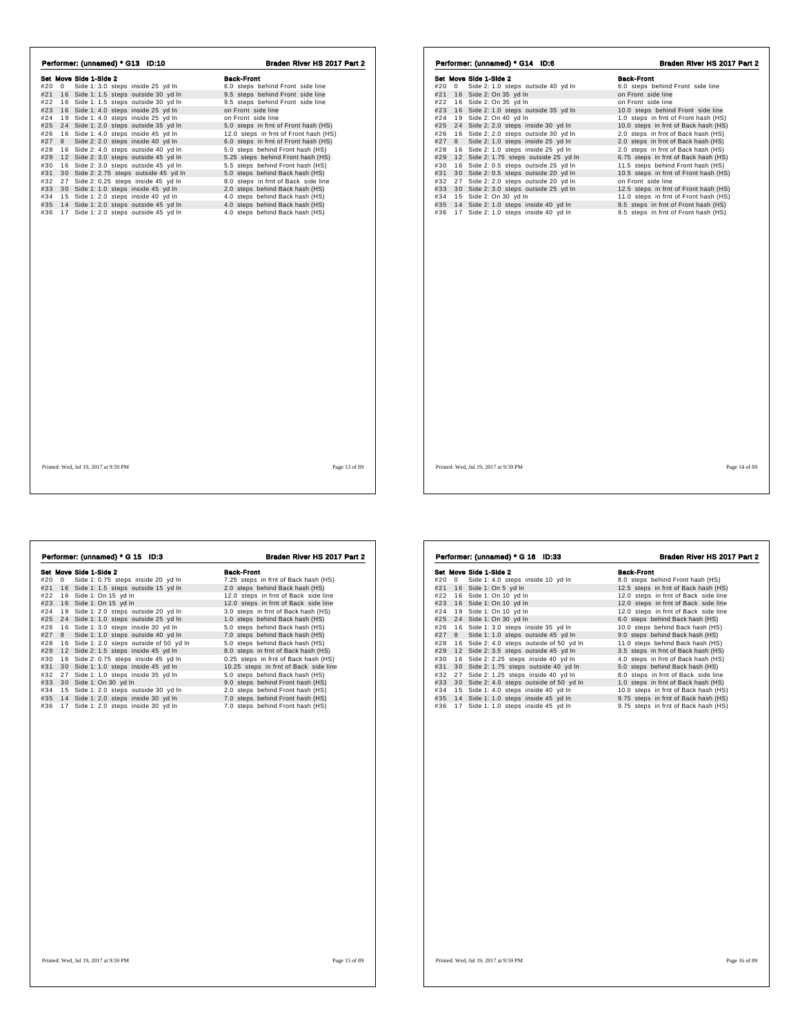| Performer: (unnamed) * G13 ID:10                                                      | Braden River HS 2017 Part 2                                        | Performer: (unnamed) * G14 ID:6                                           | Braden River HS 2017 Part 2                                                   |
|---------------------------------------------------------------------------------------|--------------------------------------------------------------------|---------------------------------------------------------------------------|-------------------------------------------------------------------------------|
| Set Move Side 1-Side 2                                                                | <b>Back-Front</b>                                                  | Set Move Side 1-Side 2                                                    | <b>Back-Front</b>                                                             |
| #20 0 Side 1: 3.0 steps inside 25 yd In                                               | 6.0 steps behind Front side line                                   | #20 0 Side 2: 1.0 steps outside 40 yd In                                  | 6.0 steps behind Front side line                                              |
| #21 16 Side 1: 1.5 steps outside 30 yd In                                             | 9.5 steps behind Front side line                                   | #21 16 Side 2: On 35 yd In                                                | on Front side line                                                            |
| #22 16 Side 1: 1.5 steps outside 30 yd In                                             | 9.5 steps behind Front side line                                   | #22 16 Side 2: On 35 yd In                                                | on Front side line                                                            |
| #23 16 Side 1: 4.0 steps inside 25 yd In                                              | on Front side line                                                 | #23 16 Side 2: 1.0 steps outside 35 yd In                                 | 10.0 steps behind Front side line                                             |
| #24 19 Side 1: 4.0 steps inside 25 yd In                                              | on Front side line                                                 | 19 Side 2: On 40 yd In<br>#24                                             | 1.0 steps in frnt of Front hash (HS)                                          |
| #25 24 Side 1: 2.0 steps outside 35 yd In                                             | 5.0 steps in frnt of Front hash (HS)                               | #25 24 Side 2: 2.0 steps inside 30 yd In                                  | 10.0 steps in frnt of Back hash (HS)                                          |
| #26 16 Side 1: 4.0 steps inside 45 yd In                                              | 12.0 steps in frnt of Front hash (HS)                              | 16 Side 2: 2.0 steps outside 30 yd In<br>#26                              | 2.0 steps in frnt of Back hash (HS)                                           |
| #27 8 Side 2: 2.0 steps inside 40 yd In                                               | 6.0 steps in frnt of Front hash (HS)                               | #27 8 Side 2: 1.0 steps inside 25 yd In                                   | 2.0 steps in frnt of Back hash (HS)                                           |
| #28 16 Side 2: 4.0 steps outside 40 yd In                                             | 5.0 steps behind Front hash (HS)                                   | 16 Side 2: 1.0 steps inside 25 yd In<br>#28                               | 2.0 steps in frnt of Back hash (HS)                                           |
| #29 12 Side 2: 3.0 steps outside 45 yd In                                             | 5.25 steps behind Front hash (HS)                                  | #29 12 Side 2: 1.75 steps outside 25 yd In                                | 6.75 steps in frnt of Back hash (HS)                                          |
| #30 16 Side 2: 3.0 steps outside 45 yd In                                             | 5.5 steps behind Front hash (HS)                                   | 16 Side 2: 0.5 steps outside 25 yd In<br>#30                              | 11.5 steps behind Front hash (HS)                                             |
| #31 30 Side 2: 2.75 steps outside 45 yd In                                            | 5.0 steps behind Back hash (HS)                                    | #31 30 Side 2: 0.5 steps outside 20 yd In                                 | 10.5 steps in frnt of Front hash (HS)                                         |
| #32 27 Side 2: 0.25 steps inside 45 yd In                                             | 8.0 steps in frnt of Back side line                                | #32 27 Side 2: 2.0 steps outside 20 yd In                                 | on Front side line                                                            |
| #33 30 Side 1: 1.0 steps inside 45 yd In                                              | 2.0 steps behind Back hash (HS)                                    | 30 Side 2: 3.0 steps outside 25 yd In<br>#33                              | 12.5 steps in frnt of Front hash (HS)                                         |
| #34 15 Side 1: 2.0 steps inside 40 yd In<br>#35 14 Side 1: 2.0 steps outside 45 yd In | 4.0 steps behind Back hash (HS)<br>4.0 steps behind Back hash (HS) | #34 15 Side 2: On 30 yd In<br>14 Side 2: 1.0 steps inside 40 yd In<br>#35 | 11.0 steps in frnt of Front hash (HS)<br>9.5 steps in frnt of Front hash (HS) |
| #36 17 Side 1: 2.0 steps outside 45 yd In                                             | 4.0 steps behind Back hash (HS)                                    | 17 Side 2: 1.0 steps inside 40 yd In<br>#36                               | 9.5 steps in frnt of Front hash (HS)                                          |
|                                                                                       |                                                                    |                                                                           |                                                                               |
| Printed: Wed. Jul 19, 2017 at 9:59 PM                                                 | Page 13 of 89                                                      | Printed: Wed. Jul 19, 2017 at 9:59 PM                                     | Page 14 of 89                                                                 |

|     |   | Performer: (unnamed) * G 15 ID:3         | Braden River HS 2017 Part 2           |
|-----|---|------------------------------------------|---------------------------------------|
|     |   | Set Move Side 1-Side 2                   | <b>Back-Front</b>                     |
| #20 | 0 | Side 1: 0.75 steps inside 20 yd In       | 7.25 steps in frnt of Back hash (HS)  |
| #21 |   | 16 Side 1: 1.5 steps outside 15 yd In    | 2.0 steps behind Back hash (HS)       |
| #22 |   | 16 Side 1: On 15 yd In                   | 12.0 steps in frnt of Back side line  |
| #23 |   | 16 Side 1: On 15 yd In                   | 12.0 steps in frnt of Back side line  |
| #24 |   | 19 Side 1: 2.0 steps outside 20 yd In    | 3.0 steps in frnt of Back hash (HS)   |
| #25 |   | 24 Side 1: 1.0 steps outside 25 yd In    | 1.0 steps behind Back hash (HS)       |
| #26 |   | 16 Side 1: 3.0 steps inside 30 yd In     | 5.0 steps behind Back hash (HS)       |
| #27 | 8 | Side 1: 1.0 steps outside 40 yd In       | 7.0 steps behind Back hash (HS)       |
| #28 |   | 16 Side 1: 2.0 steps outside of 50 yd In | 5.0 steps behind Back hash (HS)       |
| #29 |   | 12 Side 2: 1.5 steps inside 45 yd In     | 8.0 steps in frnt of Back hash (HS)   |
| #30 |   | 16 Side 2: 0.75 steps inside 45 yd In    | 0.25 steps in frnt of Back hash (HS)  |
| #31 |   | 30 Side 1: 1.0 steps inside 45 yd In     | 10.25 steps in frnt of Back side line |
| #32 |   | 27 Side 1: 1.0 steps inside 35 yd In     | 5.0 steps behind Back hash (HS)       |
| #33 |   | 30 Side 1: On 30 yd In                   | 9.0 steps behind Front hash (HS)      |
| #34 |   | 15 Side 1: 2.0 steps outside 30 yd In    | 2.0 steps behind Front hash (HS)      |
| #35 |   | 14 Side 1: 2.0 steps inside 30 yd In     | 7.0 steps behind Front hash (HS)      |
| #36 |   | 17 Side 1: 2.0 steps inside 30 yd In     | 7.0 steps behind Front hash (HS)      |
|     |   |                                          |                                       |
|     |   |                                          |                                       |
|     |   |                                          |                                       |
|     |   |                                          |                                       |
|     |   |                                          |                                       |
|     |   |                                          |                                       |
|     |   |                                          |                                       |
|     |   |                                          |                                       |

| #20<br>#22 | 0 Side 1: 4.0 steps inside 10 yd ln<br>#21 16 Side 1: On 5 yd In | 8.0 steps behind Front hash (HS)     |
|------------|------------------------------------------------------------------|--------------------------------------|
|            |                                                                  |                                      |
|            |                                                                  | 12.5 steps in frnt of Back hash (HS) |
|            | 16 Side 1: On 10 yd In                                           | 12.0 steps in frnt of Back side line |
| #23        | 16 Side 1: On 10 yd In                                           | 12.0 steps in frnt of Back side line |
| #24        | 19 Side 1: On 10 yd In                                           | 12.0 steps in frnt of Back side line |
| #25        | 24 Side 1: On 30 yd In                                           | 6.0 steps behind Back hash (HS)      |
| #26        | 16 Side 1: 3.0 steps inside 35 yd In                             | 10.0 steps behind Back hash (HS)     |
| #27        | 8 Side 1: 1.0 steps outside 45 yd In                             | 9.0 steps behind Back hash (HS)      |
| #28        | 16 Side 2: 4.0 steps outside of 50 yd In                         | 11.0 steps behind Back hash (HS)     |
| #29        | 12 Side 2: 3.5 steps outside 45 yd In                            | 3.5 steps in frnt of Back hash (HS)  |
| #30        | 16 Side 2: 2.25 steps inside 40 yd In                            | 4.0 steps in frnt of Back hash (HS)  |
| #31        | 30 Side 2: 1.75 steps outside 40 yd In                           | 5.0 steps behind Back hash (HS)      |
| #32        | 27 Side 2: 1.25 steps inside 40 yd In                            | 8.0 steps in frnt of Back side line  |
| #33        | 30 Side 2: 4.0 steps outside of 50 yd In                         | 1.0 steps in frnt of Back hash (HS)  |
| #34        | 15 Side 1: 4.0 steps inside 40 yd In                             | 10.0 steps in frnt of Back hash (HS) |
| #35        | 14 Side 1: 1.0 steps inside 45 yd ln                             | 9.75 steps in frnt of Back hash (HS) |
| #36        | 17 Side 1: 1.0 steps inside 45 yd In                             | 9.75 steps in frnt of Back hash (HS) |
|            |                                                                  |                                      |
|            |                                                                  |                                      |
|            |                                                                  |                                      |

Performer: (unnamed) \* G 16 ID:33 Braden River HS 2017 Part 2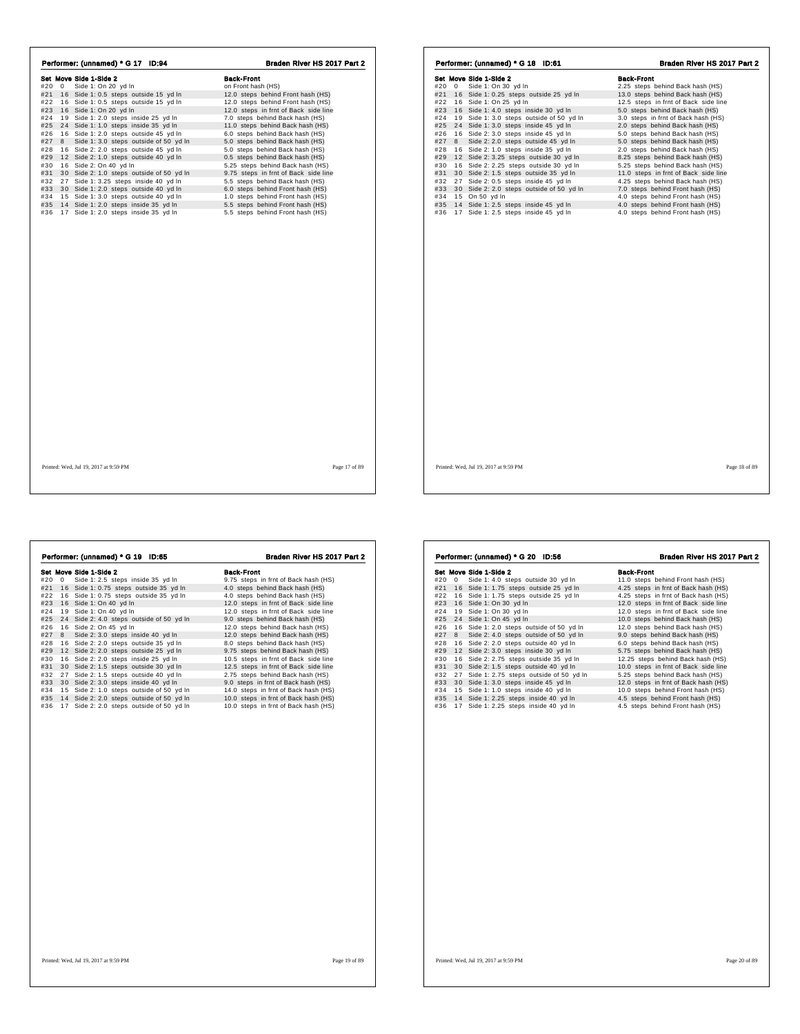| Performer: (unnamed) * G 17 ID:94              | Braden River HS 2017 Part 2          | Performer: (unnamed) * G 18 ID:61               | Braden River HS 2017 Part 2          |
|------------------------------------------------|--------------------------------------|-------------------------------------------------|--------------------------------------|
| Set Move Side 1-Side 2                         | <b>Back-Front</b>                    | Set Move Side 1-Side 2                          | <b>Back-Front</b>                    |
| #20 0 Side 1: On 20 yd In                      | on Front hash (HS)                   | #20 0 Side 1: On 30 yd In                       | 2.25 steps behind Back hash (HS)     |
| #21 16 Side 1: 0.5 steps outside 15 yd In      | 12.0 steps behind Front hash (HS)    | #21 16 Side 1: 0.25 steps outside 25 yd In      | 13.0 steps behind Back hash (HS)     |
| #22 16 Side 1: 0.5 steps outside 15 yd In      | 12.0 steps behind Front hash (HS)    | #22 16 Side 1: On 25 yd In                      | 12.5 steps in frnt of Back side line |
| #23 16 Side 1: On 20 yd In                     | 12.0 steps in frnt of Back side line | #23 16 Side 1: 4.0 steps inside 30 yd In        | 5.0 steps behind Back hash (HS)      |
| 19 Side 1: 2.0 steps inside 25 yd In<br>#24    | 7.0 steps behind Back hash (HS)      | 19 Side 1: 3.0 steps outside of 50 yd In<br>#24 | 3.0 steps in frnt of Back hash (HS)  |
| #25 24 Side 1: 1.0 steps inside 35 yd In       | 11.0 steps behind Back hash (HS)     | #25 24 Side 1: 3.0 steps inside 45 yd In        | 2.0 steps behind Back hash (HS)      |
| 16 Side 1: 2.0 steps outside 45 yd In<br>#26   | 6.0 steps behind Back hash (HS)      | 16 Side 2: 3.0 steps inside 45 yd In<br>#26     | 5.0 steps behind Back hash (HS)      |
| Side 1: 3.0 steps outside of 50 yd In<br>#27 8 | 5.0 steps behind Back hash (HS)      | #27 8 Side 2: 2.0 steps outside 45 yd In        | 5.0 steps behind Back hash (HS)      |
| 16 Side 2: 2.0 steps outside 45 yd In<br>#28   | 5.0 steps behind Back hash (HS)      | 16 Side 2: 1.0 steps inside 35 yd In<br>#28     | 2.0 steps behind Back hash (HS)      |
| #29 12 Side 2: 1.0 steps outside 40 yd In      | 0.5 steps behind Back hash (HS)      | 12 Side 2: 3.25 steps outside 30 yd In<br>#29   | 8.25 steps behind Back hash (HS)     |
| 16 Side 2: On 40 yd In<br>#30                  | 5.25 steps behind Back hash (HS)     | 16 Side 2: 2.25 steps outside 30 yd In<br>#30   | 5.25 steps behind Back hash (HS)     |
| #31 30 Side 2: 1.0 steps outside of 50 yd In   | 9.75 steps in frnt of Back side line | 30 Side 2: 1.5 steps outside 35 yd In<br>#31    | 11.0 steps in frnt of Back side line |
| #32 27 Side 1: 3.25 steps inside 40 yd In      | 5.5 steps behind Back hash (HS)      | #32 27 Side 2: 0.5 steps inside 45 yd In        | 4.25 steps behind Back hash (HS)     |
| 30 Side 1: 2.0 steps outside 40 yd In<br>#33   | 6.0 steps behind Front hash (HS)     | #33 30 Side 2: 2.0 steps outside of 50 yd In    | 7.0 steps behind Front hash (HS)     |
| #34 15 Side 1: 3.0 steps outside 40 yd In      | 1.0 steps behind Front hash (HS)     | #34 15 On 50 yd In                              | 4.0 steps behind Front hash (HS)     |
| #35 14 Side 1: 2.0 steps inside 35 yd In       | 5.5 steps behind Front hash (HS)     | #35 14 Side 1: 2.5 steps inside 45 yd In        | 4.0 steps behind Front hash (HS)     |
| #36 17 Side 1: 2.0 steps inside 35 yd In       | 5.5 steps behind Front hash (HS)     | #36 17 Side 1: 2.5 steps inside 45 yd In        | 4.0 steps behind Front hash (HS)     |
|                                                |                                      |                                                 |                                      |
|                                                |                                      |                                                 |                                      |
| Printed: Wed. Jul 19, 2017 at 9:59 PM          | Page 17 of 89                        | Printed: Wed. Jul 19, 2017 at 9:59 PM           | Page 18 of 89                        |

|     |   | Performer: (unnamed) * G 19<br><b>ID:65</b> | Braden River HS 2017 Part 2          |
|-----|---|---------------------------------------------|--------------------------------------|
|     |   | Set Move Side 1-Side 2                      | <b>Back-Front</b>                    |
| #20 | 0 | Side 1: 2.5 steps inside 35 yd In           | 9.75 steps in frnt of Back hash (HS) |
| #21 |   | 16 Side 1: 0.75 steps outside 35 yd In      | 4.0 steps behind Back hash (HS)      |
| #22 |   | 16 Side 1: 0.75 steps outside 35 yd In      | 4.0 steps behind Back hash (HS)      |
| #23 |   | 16 Side 1: On 40 yd In                      | 12.0 steps in frnt of Back side line |
| #24 |   | 19 Side 1: On 40 yd In                      | 12.0 steps in frnt of Back side line |
| #25 |   | 24 Side 2: 4.0 steps outside of 50 yd In    | 9.0 steps behind Back hash (HS)      |
| #26 |   | 16 Side 2: On 45 yd In                      | 12.0 steps behind Back hash (HS)     |
| #27 | 8 | Side 2: 3.0 steps inside 40 yd In           | 12.0 steps behind Back hash (HS)     |
| #28 |   | 16 Side 2: 2.0 steps outside 35 yd In       | 8.0 steps behind Back hash (HS)      |
| #29 |   | 12 Side 2: 2.0 steps outside 25 yd In       | 9.75 steps behind Back hash (HS)     |
| #30 |   | 16 Side 2: 2.0 steps inside 25 yd In        | 10.5 steps in frnt of Back side line |
| #31 |   | 30 Side 2: 1.5 steps outside 30 yd In       | 12.5 steps in frnt of Back side line |
| #32 |   | 27 Side 2: 1.5 steps outside 40 yd In       | 2.75 steps behind Back hash (HS)     |
| #33 |   | 30 Side 2: 3.0 steps inside 40 yd In        | 9.0 steps in frnt of Back hash (HS)  |
| #34 |   | 15 Side 2: 1.0 steps outside of 50 yd In    | 14.0 steps in frnt of Back hash (HS) |
| #35 |   | 14 Side 2: 2.0 steps outside of 50 yd In    | 10.0 steps in frnt of Back hash (HS) |
| #36 |   | 17 Side 2: 2.0 steps outside of 50 yd In    | 10.0 steps in frnt of Back hash (HS) |
|     |   |                                             |                                      |
|     |   |                                             |                                      |
|     |   |                                             |                                      |
|     |   |                                             |                                      |
|     |   |                                             |                                      |
|     |   |                                             |                                      |
|     |   |                                             |                                      |

|     |              |                                           | Braden River HS 2017 Part 2          |
|-----|--------------|-------------------------------------------|--------------------------------------|
|     |              | Set Move Side 1-Side 2                    | <b>Back-Front</b>                    |
| #20 | $\mathbf{0}$ | Side 1: 4.0 steps outside 30 yd In        | 11.0 steps behind Front hash (HS)    |
| #21 |              | 16 Side 1: 1.75 steps outside 25 yd In    | 4.25 steps in frnt of Back hash (HS) |
| #22 |              | 16 Side 1: 1.75 steps outside 25 yd In    | 4.25 steps in frnt of Back hash (HS) |
| #23 | 16           | Side 1: On 30 yd In                       | 12.0 steps in frnt of Back side line |
| #24 |              | 19 Side 1: On 30 yd In                    | 12.0 steps in frnt of Back side line |
| #25 | 24           | Side 1: On 45 yd In                       | 10.0 steps behind Back hash (HS)     |
| #26 |              | 16 Side 1: 2.0 steps outside of 50 yd In  | 12.0 steps behind Back hash (HS)     |
| #27 | 8            | Side 2: 4.0 steps outside of 50 yd In     | 9.0 steps behind Back hash (HS)      |
| #28 |              | 16 Side 2: 2.0 steps outside 40 yd In     | 6.0 steps behind Back hash (HS)      |
| #29 |              | 12 Side 2: 3.0 steps inside 30 yd In      | 5.75 steps behind Back hash (HS)     |
| #30 | 16           | Side 2: 2.75 steps outside 35 yd In       | 12.25 steps behind Back hash (HS)    |
| #31 |              | 30 Side 2: 1.5 steps outside 40 yd In     | 10.0 steps in frnt of Back side line |
| #32 |              | 27 Side 1: 2.75 steps outside of 50 yd In | 5.25 steps behind Back hash (HS)     |
| #33 |              | 30 Side 1: 3.0 steps inside 45 yd In      | 12.0 steps in frnt of Back hash (HS) |
| #34 |              | 15 Side 1: 1.0 steps inside 40 yd In      | 10.0 steps behind Front hash (HS)    |
| #35 |              | 14 Side 1: 2.25 steps inside 40 yd In     | 4.5 steps behind Front hash (HS)     |
| #36 |              | 17 Side 1: 2.25 steps inside 40 yd In     | 4.5 steps behind Front hash (HS)     |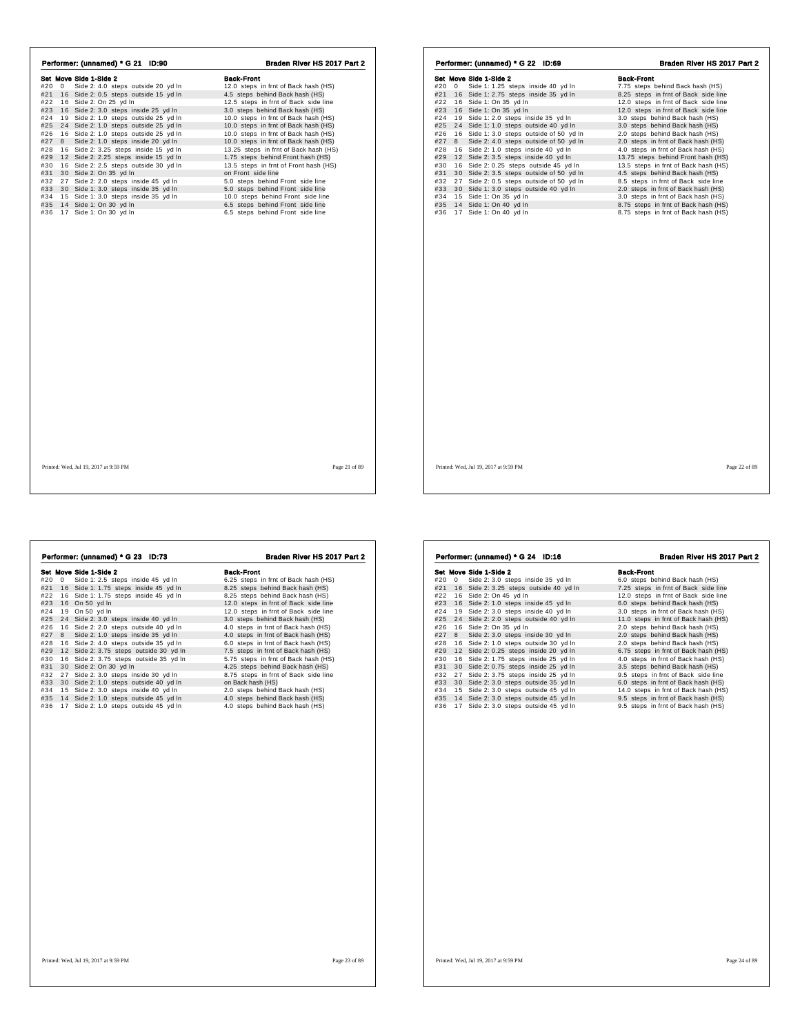| Performer: (unnamed) * G 21 ID:90         | Braden River HS 2017 Part 2           | Performer: (unnamed) * G 22 ID:69            | Braden River HS 2017 Part 2          |
|-------------------------------------------|---------------------------------------|----------------------------------------------|--------------------------------------|
| Set Move Side 1-Side 2                    | <b>Back-Front</b>                     | Set Move Side 1-Side 2                       | <b>Back-Front</b>                    |
| #20 0 Side 2: 4.0 steps outside 20 yd In  | 12.0 steps in frnt of Back hash (HS)  | #20 0 Side 1: 1.25 steps inside 40 yd In     | 7.75 steps behind Back hash (HS)     |
| #21 16 Side 2: 0.5 steps outside 15 yd In | 4.5 steps behind Back hash (HS)       | #21 16 Side 1: 2.75 steps inside 35 yd In    | 8.25 steps in frnt of Back side line |
| #22 16 Side 2: On 25 yd In                | 12.5 steps in frnt of Back side line  | #22 16 Side 1: On 35 yd In                   | 12.0 steps in frnt of Back side line |
| #23 16 Side 2: 3.0 steps inside 25 yd In  | 3.0 steps behind Back hash (HS)       | #23 16 Side 1: On 35 yd In                   | 12.0 steps in frnt of Back side line |
| #24 19 Side 2: 1.0 steps outside 25 yd In | 10.0 steps in frnt of Back hash (HS)  | #24 19 Side 1: 2.0 steps inside 35 yd In     | 3.0 steps behind Back hash (HS)      |
| #25 24 Side 2: 1.0 steps outside 25 yd In | 10.0 steps in frnt of Back hash (HS)  | #25 24 Side 1: 1.0 steps outside 40 yd In    | 3.0 steps behind Back hash (HS)      |
| #26 16 Side 2: 1.0 steps outside 25 yd In | 10.0 steps in frnt of Back hash (HS)  | #26 16 Side 1:3.0 steps outside of 50 yd In  | 2.0 steps behind Back hash (HS)      |
| #27 8 Side 2: 1.0 steps inside 20 yd In   | 10.0 steps in frnt of Back hash (HS)  | #27 8 Side 2: 4.0 steps outside of 50 yd In  | 2.0 steps in frnt of Back hash (HS)  |
| #28 16 Side 2: 3.25 steps inside 15 yd In | 13.25 steps in frnt of Back hash (HS) | #28 16 Side 2: 1.0 steps inside 40 yd In     | 4.0 steps in frnt of Back hash (HS)  |
| #29 12 Side 2: 2.25 steps inside 15 yd In | 1.75 steps behind Front hash (HS)     | #29 12 Side 2: 3.5 steps inside 40 yd In     | 13.75 steps behind Front hash (HS)   |
| #30 16 Side 2: 2.5 steps outside 30 yd In | 13.5 steps in frnt of Front hash (HS) | #30 16 Side 2: 0.25 steps outside 45 yd In   | 13.5 steps in frnt of Back hash (HS) |
| #31 30 Side 2: On 35 yd In                | on Front side line                    | #31 30 Side 2: 3.5 steps outside of 50 yd In | 4.5 steps behind Back hash (HS)      |
| #32 27 Side 2: 2.0 steps inside 45 yd In  | 5.0 steps behind Front side line      | #32 27 Side 2: 0.5 steps outside of 50 yd In | 8.5 steps in frnt of Back side line  |
| #33 30 Side 1: 3.0 steps inside 35 yd In  | 5.0 steps behind Front side line      | #33 30 Side 1: 3.0 steps outside 40 yd In    | 2.0 steps in frnt of Back hash (HS)  |
| #34 15 Side 1: 3.0 steps inside 35 yd In  | 10.0 steps behind Front side line     | #34 15 Side 1: On 35 yd In                   | 3.0 steps in frnt of Back hash (HS)  |
| #35 14 Side 1: On 30 yd In                | 6.5 steps behind Front side line      | #35 14 Side 1: On 40 yd In                   | 8.75 steps in frnt of Back hash (HS) |
| #36 17 Side 1: On 30 yd In                | 6.5 steps behind Front side line      | #36 17 Side 1: On 40 yd In                   | 8.75 steps in frnt of Back hash (HS) |
|                                           |                                       |                                              |                                      |
| Printed: Wed, Jul 19, 2017 at 9:59 PM     | Page 21 of 89                         | Printed: Wed, Jul 19, 2017 at 9:59 PM        | Page 22 of 89                        |

|                                   | <b>Back-Front</b>                                                                                                                                                                                                                                                                                                                                                                                                                                                                                                                                                                               |
|-----------------------------------|-------------------------------------------------------------------------------------------------------------------------------------------------------------------------------------------------------------------------------------------------------------------------------------------------------------------------------------------------------------------------------------------------------------------------------------------------------------------------------------------------------------------------------------------------------------------------------------------------|
| Side 1: 2.5 steps inside 45 yd In | 6.25 steps in frnt of Back hash (HS)                                                                                                                                                                                                                                                                                                                                                                                                                                                                                                                                                            |
|                                   | 8.25 steps behind Back hash (HS)                                                                                                                                                                                                                                                                                                                                                                                                                                                                                                                                                                |
|                                   | 8.25 steps behind Back hash (HS)                                                                                                                                                                                                                                                                                                                                                                                                                                                                                                                                                                |
|                                   | 12.0 steps in frnt of Back side line                                                                                                                                                                                                                                                                                                                                                                                                                                                                                                                                                            |
|                                   | 12.0 steps in frnt of Back side line                                                                                                                                                                                                                                                                                                                                                                                                                                                                                                                                                            |
|                                   | 3.0 steps behind Back hash (HS)                                                                                                                                                                                                                                                                                                                                                                                                                                                                                                                                                                 |
|                                   | 4.0 steps in frnt of Back hash (HS)                                                                                                                                                                                                                                                                                                                                                                                                                                                                                                                                                             |
| Side 2: 1.0 steps inside 35 yd In | 4.0 steps in frnt of Back hash (HS)                                                                                                                                                                                                                                                                                                                                                                                                                                                                                                                                                             |
|                                   | 6.0 steps in frnt of Back hash (HS)                                                                                                                                                                                                                                                                                                                                                                                                                                                                                                                                                             |
|                                   | 7.5 steps in frnt of Back hash (HS)                                                                                                                                                                                                                                                                                                                                                                                                                                                                                                                                                             |
|                                   | 5.75 steps in frnt of Back hash (HS)                                                                                                                                                                                                                                                                                                                                                                                                                                                                                                                                                            |
|                                   | 4.25 steps behind Back hash (HS)                                                                                                                                                                                                                                                                                                                                                                                                                                                                                                                                                                |
|                                   | 8.75 steps in frnt of Back side line                                                                                                                                                                                                                                                                                                                                                                                                                                                                                                                                                            |
|                                   | on Back hash (HS)                                                                                                                                                                                                                                                                                                                                                                                                                                                                                                                                                                               |
|                                   | 2.0 steps behind Back hash (HS)                                                                                                                                                                                                                                                                                                                                                                                                                                                                                                                                                                 |
|                                   | 4.0 steps behind Back hash (HS)<br>4.0 steps behind Back hash (HS)                                                                                                                                                                                                                                                                                                                                                                                                                                                                                                                              |
|                                   |                                                                                                                                                                                                                                                                                                                                                                                                                                                                                                                                                                                                 |
|                                   |                                                                                                                                                                                                                                                                                                                                                                                                                                                                                                                                                                                                 |
|                                   | Set Move Side 1-Side 2<br>16 Side 1: 1.75 steps inside 45 yd In<br>16 Side 1: 1.75 steps inside 45 yd In<br>16 On 50 vd In<br>19 On 50 yd In<br>24 Side 2: 3.0 steps inside 40 yd In<br>16 Side 2: 2.0 steps outside 40 yd In<br>16 Side 2: 4.0 steps outside 35 yd In<br>12 Side 2: 3.75 steps outside 30 yd In<br>16 Side 2: 3.75 steps outside 35 yd In<br>30 Side 2: On 30 yd In<br>27 Side 2: 3.0 steps inside 30 yd In<br>30 Side 2: 1.0 steps outside 40 yd In<br>15 Side 2: 3.0 steps inside 40 yd In<br>14 Side 2: 1.0 steps outside 45 yd In<br>17 Side 2: 1.0 steps outside 45 yd In |

| <b>Back-Front</b><br>Set Move Side 1-Side 2<br>#20<br>Side 2: 3.0 steps inside 35 yd In<br>6.0 steps behind Back hash (HS)<br>$\overline{0}$<br>16 Side 2: 3.25 steps outside 40 yd In<br>7.25 steps in frnt of Back side line<br>12.0 steps in frnt of Back side line<br>16 Side 2: On 45 yd In<br>16 Side 2: 1.0 steps inside 45 yd In<br>6.0 steps behind Back hash (HS)<br>3.0 steps in frnt of Back hash (HS)<br>19 Side 2: 3.0 steps inside 40 yd In<br>24 Side 2: 2.0 steps outside 40 yd In<br>11.0 steps in frnt of Back hash (HS)<br>16 Side 2: On 35 yd In<br>2.0 steps behind Back hash (HS)<br>Side 2: 3.0 steps inside 30 yd In<br>2.0 steps behind Back hash (HS)<br>8<br>16 Side 2: 1.0 steps outside 30 yd In<br>2.0 steps behind Back hash (HS)<br>12 Side 2: 0.25 steps inside 20 yd In<br>6.75 steps in frnt of Back hash (HS)<br>4.0 steps in frnt of Back hash (HS)<br>16 Side 2: 1.75 steps inside 25 yd In<br>30 Side 2: 0.75 steps inside 25 yd In<br>3.5 steps behind Back hash (HS)<br>Side 2: 3.75 steps inside 25 yd In<br>9.5 steps in frnt of Back side line<br>27<br>30 Side 2: 3.0 steps outside 35 yd In<br>6.0 steps in frnt of Back hash (HS)<br>15 Side 2: 3.0 steps outside 45 yd In<br>14.0 steps in frnt of Back hash (HS) | Performer: (unnamed) * G 24 ID:16 | Braden River HS 2017 Part 2         |
|--------------------------------------------------------------------------------------------------------------------------------------------------------------------------------------------------------------------------------------------------------------------------------------------------------------------------------------------------------------------------------------------------------------------------------------------------------------------------------------------------------------------------------------------------------------------------------------------------------------------------------------------------------------------------------------------------------------------------------------------------------------------------------------------------------------------------------------------------------------------------------------------------------------------------------------------------------------------------------------------------------------------------------------------------------------------------------------------------------------------------------------------------------------------------------------------------------------------------------------------------------------------|-----------------------------------|-------------------------------------|
|                                                                                                                                                                                                                                                                                                                                                                                                                                                                                                                                                                                                                                                                                                                                                                                                                                                                                                                                                                                                                                                                                                                                                                                                                                                                    |                                   |                                     |
| #21<br>#22<br>#23<br>#24<br>#25                                                                                                                                                                                                                                                                                                                                                                                                                                                                                                                                                                                                                                                                                                                                                                                                                                                                                                                                                                                                                                                                                                                                                                                                                                    |                                   |                                     |
|                                                                                                                                                                                                                                                                                                                                                                                                                                                                                                                                                                                                                                                                                                                                                                                                                                                                                                                                                                                                                                                                                                                                                                                                                                                                    |                                   |                                     |
|                                                                                                                                                                                                                                                                                                                                                                                                                                                                                                                                                                                                                                                                                                                                                                                                                                                                                                                                                                                                                                                                                                                                                                                                                                                                    |                                   |                                     |
|                                                                                                                                                                                                                                                                                                                                                                                                                                                                                                                                                                                                                                                                                                                                                                                                                                                                                                                                                                                                                                                                                                                                                                                                                                                                    |                                   |                                     |
|                                                                                                                                                                                                                                                                                                                                                                                                                                                                                                                                                                                                                                                                                                                                                                                                                                                                                                                                                                                                                                                                                                                                                                                                                                                                    |                                   |                                     |
| #26<br>#27<br>#28<br>#29<br>#30<br>#31<br>#32<br>#33<br>#34                                                                                                                                                                                                                                                                                                                                                                                                                                                                                                                                                                                                                                                                                                                                                                                                                                                                                                                                                                                                                                                                                                                                                                                                        |                                   |                                     |
|                                                                                                                                                                                                                                                                                                                                                                                                                                                                                                                                                                                                                                                                                                                                                                                                                                                                                                                                                                                                                                                                                                                                                                                                                                                                    |                                   |                                     |
|                                                                                                                                                                                                                                                                                                                                                                                                                                                                                                                                                                                                                                                                                                                                                                                                                                                                                                                                                                                                                                                                                                                                                                                                                                                                    |                                   |                                     |
|                                                                                                                                                                                                                                                                                                                                                                                                                                                                                                                                                                                                                                                                                                                                                                                                                                                                                                                                                                                                                                                                                                                                                                                                                                                                    |                                   |                                     |
|                                                                                                                                                                                                                                                                                                                                                                                                                                                                                                                                                                                                                                                                                                                                                                                                                                                                                                                                                                                                                                                                                                                                                                                                                                                                    |                                   |                                     |
|                                                                                                                                                                                                                                                                                                                                                                                                                                                                                                                                                                                                                                                                                                                                                                                                                                                                                                                                                                                                                                                                                                                                                                                                                                                                    |                                   |                                     |
|                                                                                                                                                                                                                                                                                                                                                                                                                                                                                                                                                                                                                                                                                                                                                                                                                                                                                                                                                                                                                                                                                                                                                                                                                                                                    |                                   |                                     |
|                                                                                                                                                                                                                                                                                                                                                                                                                                                                                                                                                                                                                                                                                                                                                                                                                                                                                                                                                                                                                                                                                                                                                                                                                                                                    |                                   |                                     |
|                                                                                                                                                                                                                                                                                                                                                                                                                                                                                                                                                                                                                                                                                                                                                                                                                                                                                                                                                                                                                                                                                                                                                                                                                                                                    |                                   |                                     |
|                                                                                                                                                                                                                                                                                                                                                                                                                                                                                                                                                                                                                                                                                                                                                                                                                                                                                                                                                                                                                                                                                                                                                                                                                                                                    |                                   |                                     |
| #35<br>14 Side 2: 3.0 steps outside 45 yd In                                                                                                                                                                                                                                                                                                                                                                                                                                                                                                                                                                                                                                                                                                                                                                                                                                                                                                                                                                                                                                                                                                                                                                                                                       |                                   | 9.5 steps in frnt of Back hash (HS) |
| Side 2: 3.0 steps outside 45 yd In<br>9.5 steps in frnt of Back hash (HS)<br>#36<br>17                                                                                                                                                                                                                                                                                                                                                                                                                                                                                                                                                                                                                                                                                                                                                                                                                                                                                                                                                                                                                                                                                                                                                                             |                                   |                                     |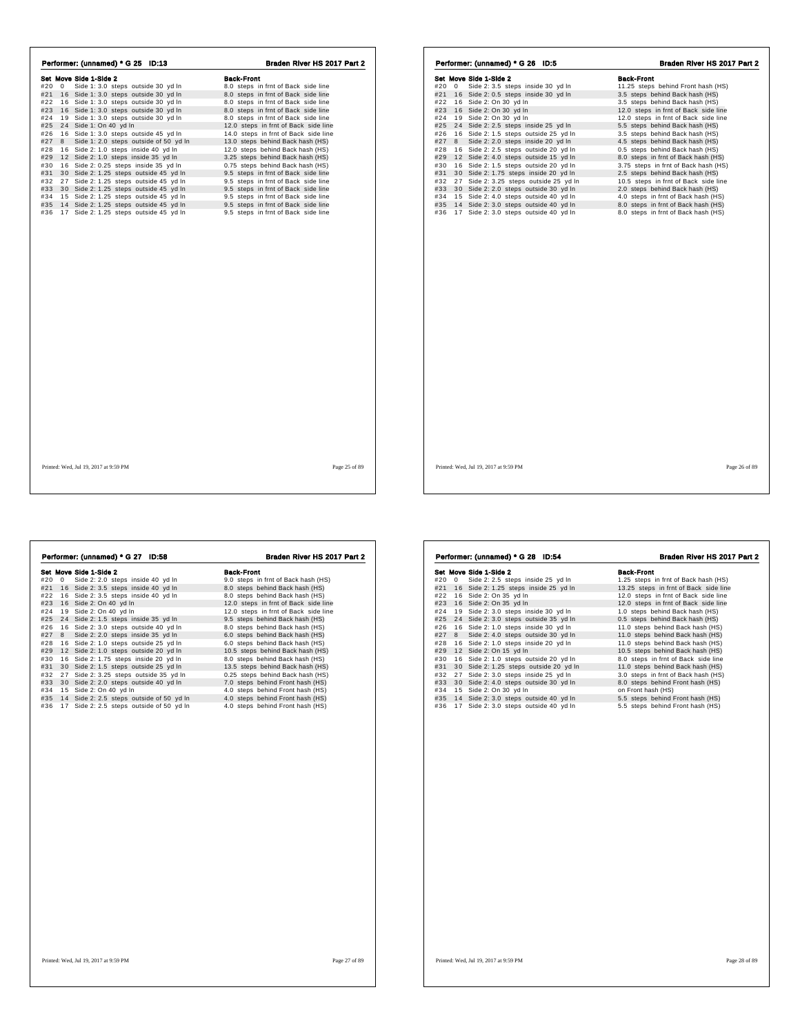|            |   | Set Move Side 1-Side 2                 | <b>Back-Front</b>                    |
|------------|---|----------------------------------------|--------------------------------------|
| #20        | 0 | Side 1: 3.0 steps outside 30 yd In     | 8.0 steps in frnt of Back side line  |
| #21        |   | 16 Side 1: 3.0 steps outside 30 yd In  | 8.0 steps in frnt of Back side line  |
| #22        |   | 16 Side 1: 3.0 steps outside 30 yd In  | 8.0 steps in frnt of Back side line  |
| #23        |   | 16 Side 1: 3.0 steps outside 30 yd In  | 8.0 steps in frnt of Back side line  |
| #24        |   | 19 Side 1: 3.0 steps outside 30 yd In  | 8.0 steps in frnt of Back side line  |
| #25        |   | 24 Side 1: On 40 yd In                 | 12.0 steps in frnt of Back side line |
| #26        |   | 16 Side 1: 3.0 steps outside 45 yd In  | 14.0 steps in frnt of Back side line |
| #27        | 8 | Side 1: 2.0 steps outside of 50 yd In  | 13.0 steps behind Back hash (HS)     |
| #28        |   | 16 Side 2: 1.0 steps inside 40 yd In   | 12.0 steps behind Back hash (HS)     |
| #29        |   | 12 Side 2: 1.0 steps inside 35 yd In   | 3.25 steps behind Back hash (HS)     |
| #30        |   | 16 Side 2: 0.25 steps inside 35 yd In  | 0.75 steps behind Back hash (HS)     |
| #31        |   | 30 Side 2: 1.25 steps outside 45 yd In | 9.5 steps in frnt of Back side line  |
| #32        |   | 27 Side 2: 1.25 steps outside 45 yd In | 9.5 steps in frnt of Back side line  |
| #33        |   | 30 Side 2: 1.25 steps outside 45 yd In | 9.5 steps in frnt of Back side line  |
| #34        |   | 15 Side 2: 1.25 steps outside 45 yd In | 9.5 steps in frnt of Back side line  |
| #35<br>#36 |   | 14 Side 2: 1.25 steps outside 45 yd In | 9.5 steps in frnt of Back side line  |
|            |   | 17 Side 2: 1.25 steps outside 45 yd In | 9.5 steps in frnt of Back side line  |
|            |   |                                        |                                      |
|            |   |                                        |                                      |
|            |   |                                        |                                      |
|            |   |                                        |                                      |

|     |          | Set Move Side 1-Side 2                 | Back-Front                           |
|-----|----------|----------------------------------------|--------------------------------------|
| #20 | $\Omega$ | Side 2: 3.5 steps inside 30 yd In      | 11.25 steps behind Front hash (HS)   |
| #21 |          | 16 Side 2: 0.5 steps inside 30 yd In   | 3.5 steps behind Back hash (HS)      |
| #22 |          | 16 Side 2: On 30 yd In                 | 3.5 steps behind Back hash (HS)      |
| #23 |          | 16 Side 2: On 30 yd In                 | 12.0 steps in frnt of Back side line |
| #24 |          | 19 Side 2: On 30 yd In                 | 12.0 steps in frnt of Back side line |
| #25 |          | 24 Side 2: 2.5 steps inside 25 yd In   | 5.5 steps behind Back hash (HS)      |
| #26 |          | 16 Side 2: 1.5 steps outside 25 yd In  | 3.5 steps behind Back hash (HS)      |
| #27 | 8        | Side 2: 2.0 steps inside 20 yd In      | 4.5 steps behind Back hash (HS)      |
| #28 |          | 16 Side 2: 2.5 steps outside 20 yd In  | 0.5 steps behind Back hash (HS)      |
| #29 |          | 12 Side 2: 4.0 steps outside 15 yd In  | 8.0 steps in frnt of Back hash (HS)  |
| #30 |          | 16 Side 2: 1.5 steps outside 20 yd In  | 3.75 steps in frnt of Back hash (HS) |
| #31 |          | 30 Side 2: 1.75 steps inside 20 yd In  | 2.5 steps behind Back hash (HS)      |
| #32 |          | 27 Side 2: 3.25 steps outside 25 vd In | 10.5 steps in frnt of Back side line |
| #33 |          | 30 Side 2: 2.0 steps outside 30 yd In  | 2.0 steps behind Back hash (HS)      |
| #34 |          | 15 Side 2: 4.0 steps outside 40 yd In  | 4.0 steps in frnt of Back hash (HS)  |
| #35 |          | 14 Side 2: 3.0 steps outside 40 yd In  | 8.0 steps in frnt of Back hash (HS)  |
| #36 |          | 17 Side 2: 3.0 steps outside 40 yd In  | 8.0 steps in frnt of Back hash (HS)  |
|     |          |                                        |                                      |
|     |          |                                        |                                      |
|     |          |                                        |                                      |
|     |          |                                        |                                      |
|     |          |                                        |                                      |
|     |          |                                        |                                      |

 $\sqrt{ }$ 

|     |    | Performer: (unnamed) * G 27 ID:58        | Braden River HS 2017 Part 2          |
|-----|----|------------------------------------------|--------------------------------------|
|     |    | Set Move Side 1-Side 2                   | <b>Back-Front</b>                    |
| #20 | 0  | Side 2: 2.0 steps inside 40 yd In        | 9.0 steps in frnt of Back hash (HS)  |
| #21 | 16 | Side 2: 3.5 steps inside 40 yd In        | 8.0 steps behind Back hash (HS)      |
| #22 |    | 16 Side 2: 3.5 steps inside 40 yd In     | 8.0 steps behind Back hash (HS)      |
| #23 |    | 16 Side 2: On 40 yd In                   | 12.0 steps in frnt of Back side line |
| #24 | 19 | Side 2: On 40 yd In                      | 12.0 steps in frnt of Back side line |
| #25 | 24 | Side 2: 1.5 steps inside 35 yd In        | 9.5 steps behind Back hash (HS)      |
| #26 | 16 | Side 2: 3.0 steps outside 40 yd In       | 8.0 steps behind Back hash (HS)      |
| #27 | 8  | Side 2: 2.0 steps inside 35 yd In        | 6.0 steps behind Back hash (HS)      |
| #28 |    | 16 Side 2: 1.0 steps outside 25 yd In    | 6.0 steps behind Back hash (HS)      |
| #29 | 12 | Side 2: 1.0 steps outside 20 yd In       | 10.5 steps behind Back hash (HS)     |
| #30 | 16 | Side 2: 1.75 steps inside 20 yd In       | 8.0 steps behind Back hash (HS)      |
| #31 | 30 | Side 2: 1.5 steps outside 25 vd In       | 13.5 steps behind Back hash (HS)     |
| #32 | 27 | Side 2: 3.25 steps outside 35 yd In      | 0.25 steps behind Back hash (HS)     |
| #33 | 30 | Side 2: 2.0 steps outside 40 yd In       | 7.0 steps behind Front hash (HS)     |
| #34 |    | 15 Side 2: On 40 yd In                   | 4.0 steps behind Front hash (HS)     |
| #35 |    | 14 Side 2: 2.5 steps outside of 50 yd In | 4.0 steps behind Front hash (HS)     |
| #36 |    | 17 Side 2: 2.5 steps outside of 50 yd In | 4.0 steps behind Front hash (HS)     |
|     |    |                                          |                                      |
|     |    |                                          |                                      |
|     |    |                                          |                                      |
|     |    |                                          |                                      |
|     |    |                                          |                                      |
|     |    |                                          |                                      |
|     |    |                                          |                                      |

|     |            | Set Move Side 1-Side 2                 | <b>Back-Front</b>                     |
|-----|------------|----------------------------------------|---------------------------------------|
| #20 | $^{\circ}$ | Side 2: 2.5 steps inside 25 yd In      | 1.25 steps in frnt of Back hash (HS)  |
| #21 |            | 16 Side 2: 1.25 steps inside 25 yd In  | 13.25 steps in frnt of Back side line |
| #22 |            | 16 Side 2: On 35 yd In                 | 12.0 steps in frnt of Back side line  |
| #23 |            | 16 Side 2: On 35 vd In                 | 12.0 steps in frnt of Back side line  |
| #24 |            | 19 Side 2: 3.0 steps inside 30 yd In   | 1.0 steps behind Back hash (HS)       |
| #25 |            | 24 Side 2: 3.0 steps outside 35 yd In  | 0.5 steps behind Back hash (HS)       |
| #26 |            | 16 Side 2: 1.0 steps inside 30 yd In   | 11.0 steps behind Back hash (HS)      |
| #27 | 8          | Side 2: 4.0 steps outside 30 yd In     | 11.0 steps behind Back hash (HS)      |
| #28 |            | 16 Side 2: 1.0 steps inside 20 yd In   | 11.0 steps behind Back hash (HS)      |
| #29 |            | 12 Side 2: On 15 yd In                 | 10.5 steps behind Back hash (HS)      |
| #30 |            | 16 Side 2: 1.0 steps outside 20 yd In  | 8.0 steps in frnt of Back side line   |
| #31 |            | 30 Side 2: 1.25 steps outside 20 yd In | 11.0 steps behind Back hash (HS)      |
| #32 |            | 27 Side 2: 3.0 steps inside 25 yd In   | 3.0 steps in frnt of Back hash (HS)   |
| #33 |            | 30 Side 2: 4.0 steps outside 30 yd In  | 8.0 steps behind Front hash (HS)      |
| #34 |            | 15 Side 2: On 30 yd In                 | on Front hash (HS)                    |
| #35 |            | 14 Side 2: 3.0 steps outside 40 yd In  | 5.5 steps behind Front hash (HS)      |
| #36 |            | 17 Side 2: 3.0 steps outside 40 yd In  | 5.5 steps behind Front hash (HS)      |
|     |            |                                        |                                       |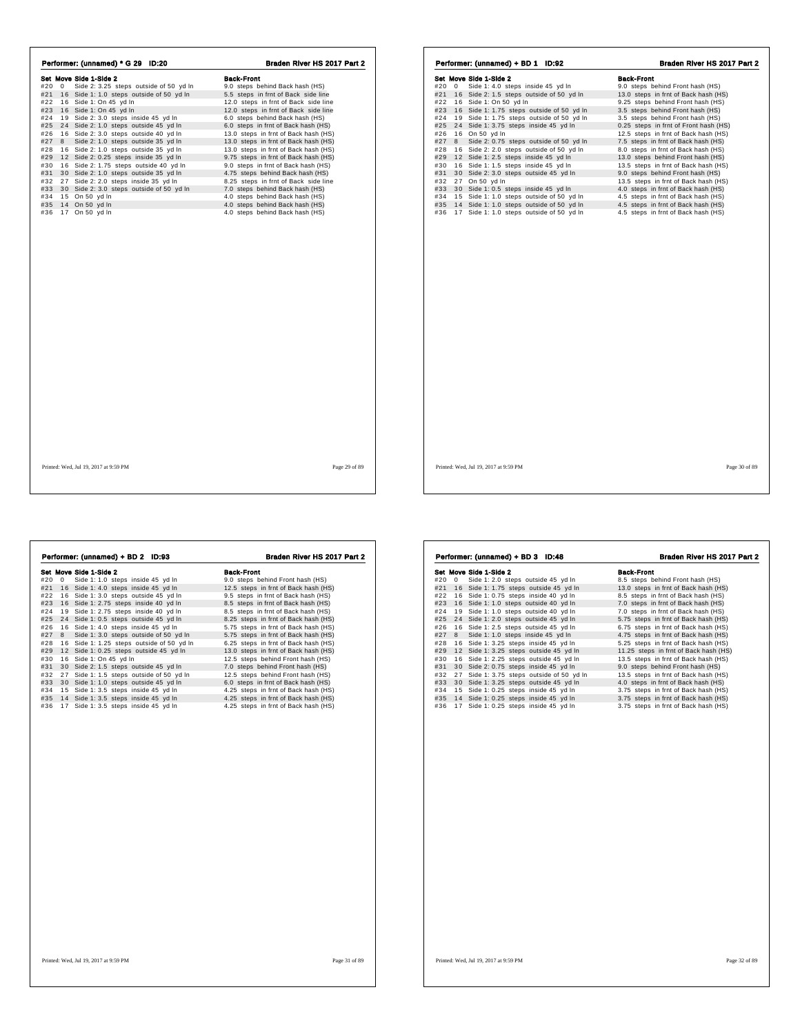| Performer: (unnamed) * G 29 ID:20               | Braden River HS 2017 Part 2          | Performer: (unnamed) + BD 1 ID:92             | Braden River HS 2017 Part 2           |
|-------------------------------------------------|--------------------------------------|-----------------------------------------------|---------------------------------------|
| Set Move Side 1-Side 2                          | <b>Back-Front</b>                    | Set Move Side 1-Side 2                        | <b>Back-Front</b>                     |
| Side 2: 3.25 steps outside of 50 yd In<br>#20 0 | 9.0 steps behind Back hash (HS)      | #20 0 Side 1: 4.0 steps inside 45 yd In       | 9.0 steps behind Front hash (HS)      |
| #21 16 Side 1:1.0 steps outside of 50 yd In     | 5.5 steps in frnt of Back side line  | #21 16 Side 2: 1.5 steps outside of 50 yd In  | 13.0 steps in frnt of Back hash (HS)  |
| #22 16 Side 1: On 45 yd In                      | 12.0 steps in frnt of Back side line | #22 16 Side 1: On 50 yd In                    | 9.25 steps behind Front hash (HS)     |
| #23 16 Side 1: On 45 yd In                      | 12.0 steps in frnt of Back side line | #23 16 Side 1: 1.75 steps outside of 50 yd In | 3.5 steps behind Front hash (HS)      |
| #24 19 Side 2: 3.0 steps inside 45 yd In        | 6.0 steps behind Back hash (HS)      | #24 19 Side 1: 1.75 steps outside of 50 yd In | 3.5 steps behind Front hash (HS)      |
| #25 24 Side 2: 1.0 steps outside 45 yd In       | 6.0 steps in frnt of Back hash (HS)  | #25 24 Side 1: 3.75 steps inside 45 yd In     | 0.25 steps in frnt of Front hash (HS) |
| #26<br>16 Side 2: 3.0 steps outside 40 yd In    | 13.0 steps in frnt of Back hash (HS) | #26 16 On 50 yd In                            | 12.5 steps in frnt of Back hash (HS)  |
| Side 2: 1.0 steps outside 35 yd In<br>#27 8     | 13.0 steps in frnt of Back hash (HS) | #27 8 Side 2: 0.75 steps outside of 50 yd In  | 7.5 steps in frnt of Back hash (HS)   |
| #28 16 Side 2: 1.0 steps outside 35 yd In       | 13.0 steps in frnt of Back hash (HS) | #28 16 Side 2: 2.0 steps outside of 50 yd In  | 8.0 steps in frnt of Back hash (HS)   |
| #29 12 Side 2: 0.25 steps inside 35 yd In       | 9.75 steps in frnt of Back hash (HS) | #29 12 Side 1: 2.5 steps inside 45 yd In      | 13.0 steps behind Front hash (HS)     |
| 16 Side 2: 1.75 steps outside 40 yd In<br>#30   | 9.0 steps in frnt of Back hash (HS)  | #30 16 Side 1: 1.5 steps inside 45 yd In      | 13.5 steps in frnt of Back hash (HS)  |
| #31 30 Side 2: 1.0 steps outside 35 yd In       | 4.75 steps behind Back hash (HS)     | #31 30 Side 2: 3.0 steps outside 45 yd In     | 9.0 steps behind Front hash (HS)      |
| #32 27 Side 2: 2.0 steps inside 35 yd In        | 8.25 steps in frnt of Back side line | #32 27 On 50 yd In                            | 13.5 steps in frnt of Back hash (HS)  |
| #33 30 Side 2:3.0 steps outside of 50 yd In     | 7.0 steps behind Back hash (HS)      | #33 30 Side 1: 0.5 steps inside 45 yd In      | 4.0 steps in frnt of Back hash (HS)   |
| #34 15 On 50 yd In                              | 4.0 steps behind Back hash (HS)      | #34 15 Side 1:1.0 steps outside of 50 yd In   | 4.5 steps in frnt of Back hash (HS)   |
| #35 14 On 50 yd In                              | 4.0 steps behind Back hash (HS)      | #35 14 Side 1: 1.0 steps outside of 50 yd In  | 4.5 steps in frnt of Back hash (HS)   |
| #36 17 On 50 yd In                              | 4.0 steps behind Back hash (HS)      | #36 17 Side 1: 1.0 steps outside of 50 yd In  | 4.5 steps in frnt of Back hash (HS)   |
|                                                 |                                      |                                               |                                       |
| Printed: Wed, Jul 19, 2017 at 9:59 PM           | Page 29 of 89                        | Printed: Wed, Jul 19, 2017 at 9:59 PM         | Page 30 of 89                         |

|     |    | Set Move Side 1-Side 2                    | <b>Back-Front</b>                    |
|-----|----|-------------------------------------------|--------------------------------------|
| #20 | 0  | Side 1: 1.0 steps inside 45 yd In         | 9.0 steps behind Front hash (HS)     |
| #21 |    | 16 Side 1: 4.0 steps inside 45 yd In      | 12.5 steps in frnt of Back hash (HS) |
| #22 |    | 16 Side 1: 3.0 steps outside 45 yd In     | 9.5 steps in frnt of Back hash (HS)  |
| #23 |    | 16 Side 1: 2.75 steps inside 40 yd In     | 8.5 steps in frnt of Back hash (HS)  |
| #24 |    | 19 Side 1: 2.75 steps inside 40 yd In     | 8.5 steps in frnt of Back hash (HS)  |
| #25 |    | 24 Side 1: 0.5 steps outside 45 yd In     | 8.25 steps in frnt of Back hash (HS) |
| #26 |    | 16 Side 1: 4.0 steps inside 45 yd In      | 5.75 steps in frnt of Back hash (HS) |
| #27 | 8  | Side 1: 3.0 steps outside of 50 yd In     | 5.75 steps in frnt of Back hash (HS) |
| #28 |    | 16 Side 1: 1.25 steps outside of 50 yd In | 6.25 steps in frnt of Back hash (HS) |
| #29 |    | 12 Side 1: 0.25 steps outside 45 yd In    | 13.0 steps in frnt of Back hash (HS) |
| #30 | 16 | Side 1: On 45 yd In                       | 12.5 steps behind Front hash (HS)    |
| #31 |    | 30 Side 2: 1.5 steps outside 45 yd In     | 7.0 steps behind Front hash (HS)     |
| #32 | 27 | Side 1: 1.5 steps outside of 50 yd In     | 12.5 steps behind Front hash (HS)    |
| #33 |    | 30 Side 1: 1.0 steps outside 45 yd In     | 6.0 steps in frnt of Back hash (HS)  |
| #34 | 15 | Side 1: 3.5 steps inside 45 yd In         | 4.25 steps in frnt of Back hash (HS) |
| #35 |    | 14 Side 1: 3.5 steps inside 45 yd In      | 4.25 steps in frnt of Back hash (HS) |
| #36 | 17 | Side 1: 3.5 steps inside 45 yd In         | 4.25 steps in frnt of Back hash (HS) |
|     |    |                                           |                                      |

|     |    | Performer: (unnamed) + BD 3 ID:48      | Braden River HS 2017 Part 2           |
|-----|----|----------------------------------------|---------------------------------------|
|     |    | Set Move Side 1-Side 2                 | <b>Back-Front</b>                     |
| #20 | 0  | Side 1: 2.0 steps outside 45 yd In     | 8.5 steps behind Front hash (HS)      |
| #21 |    | 16 Side 1: 1.75 steps outside 45 yd In | 13.0 steps in frnt of Back hash (HS)  |
| #22 |    | 16 Side 1: 0.75 steps inside 40 yd In  | 8.5 steps in frnt of Back hash (HS)   |
| #23 |    | 16 Side 1: 1.0 steps outside 40 yd In  | 7.0 steps in frnt of Back hash (HS)   |
| #24 | 19 | Side 1: 1.0 steps outside 40 yd In     | 7.0 steps in frnt of Back hash (HS)   |
| #25 |    | 24 Side 1: 2.0 steps outside 45 yd In  | 5.75 steps in frnt of Back hash (HS)  |
| #26 |    | 16 Side 1: 2.5 steps outside 45 yd In  | 6.75 steps in frnt of Back hash (HS)  |
| #27 | 8  | Side 1: 1.0 steps inside 45 yd In      | 4.75 steps in frnt of Back hash (HS)  |
| #28 |    | 16 Side 1: 3.25 steps inside 45 yd In  | 5.25 steps in frnt of Back hash (HS)  |
| #29 |    | 12 Side 1: 3.25 steps outside 45 yd In | 11.25 steps in frnt of Back hash (HS) |
| #30 |    | 16 Side 1: 2.25 steps outside 45 yd In | 13.5 steps in frnt of Back hash (HS)  |
| #31 |    | 30 Side 2: 0.75 steps inside 45 yd In  | 9.0 steps behind Front hash (HS)      |
| #32 | 27 | Side 1: 3.75 steps outside of 50 yd In | 13.5 steps in frnt of Back hash (HS)  |
| #33 |    | 30 Side 1: 3.25 steps outside 45 yd In | 4.0 steps in frnt of Back hash (HS)   |
| #34 |    | 15 Side 1: 0.25 steps inside 45 yd In  | 3.75 steps in frnt of Back hash (HS)  |
| #35 |    | 14 Side 1: 0.25 steps inside 45 yd In  | 3.75 steps in frnt of Back hash (HS)  |
| #36 |    | 17 Side 1: 0.25 steps inside 45 yd In  | 3.75 steps in frnt of Back hash (HS)  |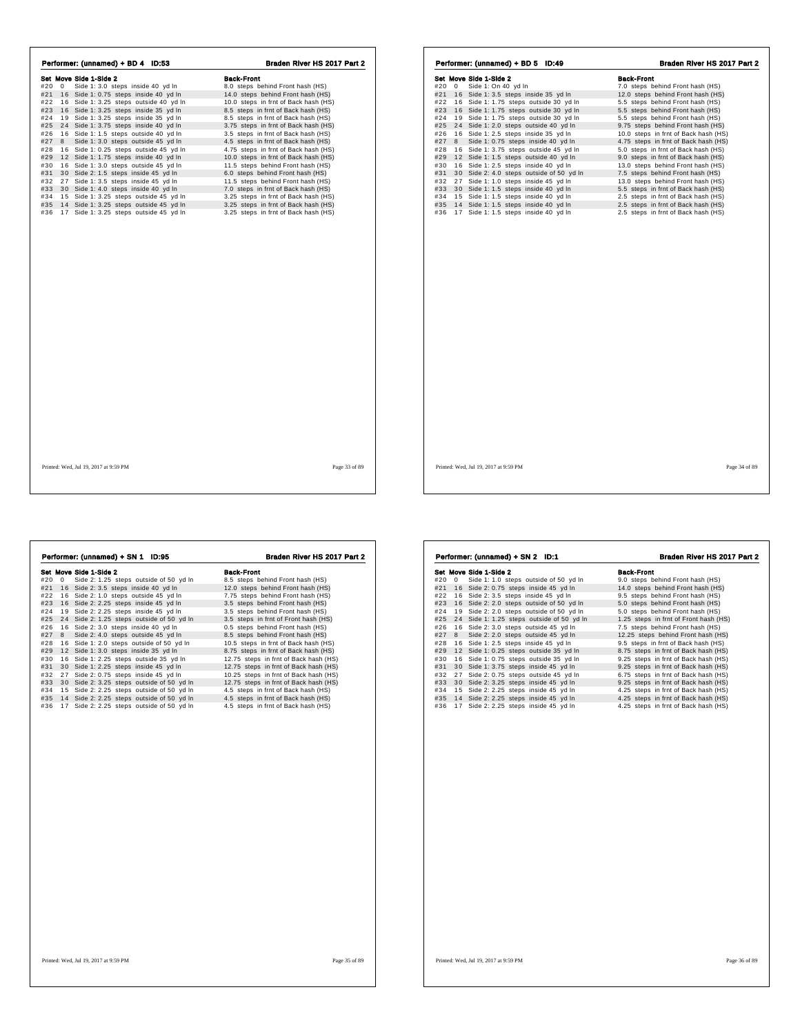| Set Move Side 1-Side 2<br><b>Back-Front</b><br>Set Move Side 1-Side 2<br><b>Back-Front</b><br>#20 0 Side 1: 3.0 steps inside 40 yd In<br>8.0 steps behind Front hash (HS)<br>0 Side 1: On 40 yd In<br>7.0 steps behind Front hash (HS)<br>#20<br>#21 16 Side 1: 0.75 steps inside 40 yd In<br>14.0 steps behind Front hash (HS)<br>#21 16 Side 1: 3.5 steps inside 35 yd In<br>12.0 steps behind Front hash (HS)<br>#22 16 Side 1: 3.25 steps outside 40 yd In<br>#22 16 Side 1: 1.75 steps outside 30 yd In<br>10.0 steps in frnt of Back hash (HS)<br>5.5 steps behind Front hash (HS)<br>#23 16 Side 1: 3.25 steps inside 35 yd In<br>16 Side 1: 1.75 steps outside 30 yd In<br>5.5 steps behind Front hash (HS)<br>8.5 steps in frnt of Back hash (HS)<br>#23<br>19 Side 1: 3.25 steps inside 35 yd In<br>19 Side 1: 1.75 steps outside 30 yd In<br>8.5 steps in frnt of Back hash (HS)<br>5.5 steps behind Front hash (HS)<br>#24<br>#24<br>#25 24 Side 1: 3.75 steps inside 40 yd In<br>24 Side 1: 2.0 steps outside 40 yd In<br>3.75 steps in frnt of Back hash (HS)<br>#25<br>9.75 steps behind Front hash (HS)<br>16 Side 1: 2.5 steps inside 35 yd In<br>#26 16 Side 1: 1.5 steps outside 40 yd In<br>#26<br>10.0 steps in frnt of Back hash (HS)<br>3.5 steps in frnt of Back hash (HS)<br>8 Side 1: 3.0 steps outside 45 yd In<br>#27 8 Side 1: 0.75 steps inside 40 yd In<br>4.5 steps in frnt of Back hash (HS)<br>4.75 steps in frnt of Back hash (HS)<br>#27<br>16 Side 1: 0.25 steps outside 45 yd In<br>4.75 steps in frnt of Back hash (HS)<br>#28<br>16 Side 1: 3.75 steps outside 45 yd In<br>5.0 steps in frnt of Back hash (HS)<br>#28<br>#29 12 Side 1: 1.75 steps inside 40 yd In<br>12 Side 1: 1.5 steps outside 40 yd In<br>9.0 steps in frnt of Back hash (HS)<br>10.0 steps in frnt of Back hash (HS)<br>#29<br>#30 16 Side 1: 3.0 steps outside 45 yd In<br>11.5 steps behind Front hash (HS)<br>16 Side 1: 2.5 steps inside 40 yd In<br>13.0 steps behind Front hash (HS)<br>#30<br>30 Side 2: 4.0 steps outside of 50 yd In<br>30 Side 2: 1.5 steps inside 45 yd In<br>6.0 steps behind Front hash (HS)<br>#31<br>7.5 steps behind Front hash (HS)<br>#31<br>27 Side 1: 1.0 steps inside 45 yd In<br>#32 27 Side 1: 3.5 steps inside 45 yd In<br>11.5 steps behind Front hash (HS)<br>#32<br>13.0 steps behind Front hash (HS)<br>#33 30 Side 1: 1.5 steps inside 40 yd In<br>#33 30 Side 1: 4.0 steps inside 40 yd In<br>7.0 steps in frnt of Back hash (HS)<br>5.5 steps in frnt of Back hash (HS)<br>#34 15 Side 1: 3.25 steps outside 45 yd In<br>15 Side 1: 1.5 steps inside 40 yd In<br>3.25 steps in frnt of Back hash (HS)<br>#34<br>2.5 steps in frnt of Back hash (HS)<br>#35 14 Side 1: 3.25 steps outside 45 yd In<br>3.25 steps in frnt of Back hash (HS)<br>#35 14 Side 1: 1.5 steps inside 40 yd In<br>2.5 steps in frnt of Back hash (HS)<br>#36 17 Side 1: 3.25 steps outside 45 yd In<br>#36 17 Side 1: 1.5 steps inside 40 yd In<br>2.5 steps in frnt of Back hash (HS)<br>3.25 steps in frnt of Back hash (HS) |  |  |
|--------------------------------------------------------------------------------------------------------------------------------------------------------------------------------------------------------------------------------------------------------------------------------------------------------------------------------------------------------------------------------------------------------------------------------------------------------------------------------------------------------------------------------------------------------------------------------------------------------------------------------------------------------------------------------------------------------------------------------------------------------------------------------------------------------------------------------------------------------------------------------------------------------------------------------------------------------------------------------------------------------------------------------------------------------------------------------------------------------------------------------------------------------------------------------------------------------------------------------------------------------------------------------------------------------------------------------------------------------------------------------------------------------------------------------------------------------------------------------------------------------------------------------------------------------------------------------------------------------------------------------------------------------------------------------------------------------------------------------------------------------------------------------------------------------------------------------------------------------------------------------------------------------------------------------------------------------------------------------------------------------------------------------------------------------------------------------------------------------------------------------------------------------------------------------------------------------------------------------------------------------------------------------------------------------------------------------------------------------------------------------------------------------------------------------------------------------------------------------------------------------------------------------------------------------------------------------------------------------------------------------------------------------------------------------------------------------------------------------------------------------------------------------------------------------------------------------------------------------------------------------------------------------------------------------------------------------------------------------------------------------------------------------------------------------------------|--|--|
|                                                                                                                                                                                                                                                                                                                                                                                                                                                                                                                                                                                                                                                                                                                                                                                                                                                                                                                                                                                                                                                                                                                                                                                                                                                                                                                                                                                                                                                                                                                                                                                                                                                                                                                                                                                                                                                                                                                                                                                                                                                                                                                                                                                                                                                                                                                                                                                                                                                                                                                                                                                                                                                                                                                                                                                                                                                                                                                                                                                                                                                                    |  |  |
|                                                                                                                                                                                                                                                                                                                                                                                                                                                                                                                                                                                                                                                                                                                                                                                                                                                                                                                                                                                                                                                                                                                                                                                                                                                                                                                                                                                                                                                                                                                                                                                                                                                                                                                                                                                                                                                                                                                                                                                                                                                                                                                                                                                                                                                                                                                                                                                                                                                                                                                                                                                                                                                                                                                                                                                                                                                                                                                                                                                                                                                                    |  |  |
|                                                                                                                                                                                                                                                                                                                                                                                                                                                                                                                                                                                                                                                                                                                                                                                                                                                                                                                                                                                                                                                                                                                                                                                                                                                                                                                                                                                                                                                                                                                                                                                                                                                                                                                                                                                                                                                                                                                                                                                                                                                                                                                                                                                                                                                                                                                                                                                                                                                                                                                                                                                                                                                                                                                                                                                                                                                                                                                                                                                                                                                                    |  |  |
|                                                                                                                                                                                                                                                                                                                                                                                                                                                                                                                                                                                                                                                                                                                                                                                                                                                                                                                                                                                                                                                                                                                                                                                                                                                                                                                                                                                                                                                                                                                                                                                                                                                                                                                                                                                                                                                                                                                                                                                                                                                                                                                                                                                                                                                                                                                                                                                                                                                                                                                                                                                                                                                                                                                                                                                                                                                                                                                                                                                                                                                                    |  |  |
|                                                                                                                                                                                                                                                                                                                                                                                                                                                                                                                                                                                                                                                                                                                                                                                                                                                                                                                                                                                                                                                                                                                                                                                                                                                                                                                                                                                                                                                                                                                                                                                                                                                                                                                                                                                                                                                                                                                                                                                                                                                                                                                                                                                                                                                                                                                                                                                                                                                                                                                                                                                                                                                                                                                                                                                                                                                                                                                                                                                                                                                                    |  |  |
|                                                                                                                                                                                                                                                                                                                                                                                                                                                                                                                                                                                                                                                                                                                                                                                                                                                                                                                                                                                                                                                                                                                                                                                                                                                                                                                                                                                                                                                                                                                                                                                                                                                                                                                                                                                                                                                                                                                                                                                                                                                                                                                                                                                                                                                                                                                                                                                                                                                                                                                                                                                                                                                                                                                                                                                                                                                                                                                                                                                                                                                                    |  |  |
|                                                                                                                                                                                                                                                                                                                                                                                                                                                                                                                                                                                                                                                                                                                                                                                                                                                                                                                                                                                                                                                                                                                                                                                                                                                                                                                                                                                                                                                                                                                                                                                                                                                                                                                                                                                                                                                                                                                                                                                                                                                                                                                                                                                                                                                                                                                                                                                                                                                                                                                                                                                                                                                                                                                                                                                                                                                                                                                                                                                                                                                                    |  |  |
|                                                                                                                                                                                                                                                                                                                                                                                                                                                                                                                                                                                                                                                                                                                                                                                                                                                                                                                                                                                                                                                                                                                                                                                                                                                                                                                                                                                                                                                                                                                                                                                                                                                                                                                                                                                                                                                                                                                                                                                                                                                                                                                                                                                                                                                                                                                                                                                                                                                                                                                                                                                                                                                                                                                                                                                                                                                                                                                                                                                                                                                                    |  |  |
|                                                                                                                                                                                                                                                                                                                                                                                                                                                                                                                                                                                                                                                                                                                                                                                                                                                                                                                                                                                                                                                                                                                                                                                                                                                                                                                                                                                                                                                                                                                                                                                                                                                                                                                                                                                                                                                                                                                                                                                                                                                                                                                                                                                                                                                                                                                                                                                                                                                                                                                                                                                                                                                                                                                                                                                                                                                                                                                                                                                                                                                                    |  |  |
|                                                                                                                                                                                                                                                                                                                                                                                                                                                                                                                                                                                                                                                                                                                                                                                                                                                                                                                                                                                                                                                                                                                                                                                                                                                                                                                                                                                                                                                                                                                                                                                                                                                                                                                                                                                                                                                                                                                                                                                                                                                                                                                                                                                                                                                                                                                                                                                                                                                                                                                                                                                                                                                                                                                                                                                                                                                                                                                                                                                                                                                                    |  |  |
|                                                                                                                                                                                                                                                                                                                                                                                                                                                                                                                                                                                                                                                                                                                                                                                                                                                                                                                                                                                                                                                                                                                                                                                                                                                                                                                                                                                                                                                                                                                                                                                                                                                                                                                                                                                                                                                                                                                                                                                                                                                                                                                                                                                                                                                                                                                                                                                                                                                                                                                                                                                                                                                                                                                                                                                                                                                                                                                                                                                                                                                                    |  |  |
|                                                                                                                                                                                                                                                                                                                                                                                                                                                                                                                                                                                                                                                                                                                                                                                                                                                                                                                                                                                                                                                                                                                                                                                                                                                                                                                                                                                                                                                                                                                                                                                                                                                                                                                                                                                                                                                                                                                                                                                                                                                                                                                                                                                                                                                                                                                                                                                                                                                                                                                                                                                                                                                                                                                                                                                                                                                                                                                                                                                                                                                                    |  |  |
|                                                                                                                                                                                                                                                                                                                                                                                                                                                                                                                                                                                                                                                                                                                                                                                                                                                                                                                                                                                                                                                                                                                                                                                                                                                                                                                                                                                                                                                                                                                                                                                                                                                                                                                                                                                                                                                                                                                                                                                                                                                                                                                                                                                                                                                                                                                                                                                                                                                                                                                                                                                                                                                                                                                                                                                                                                                                                                                                                                                                                                                                    |  |  |
|                                                                                                                                                                                                                                                                                                                                                                                                                                                                                                                                                                                                                                                                                                                                                                                                                                                                                                                                                                                                                                                                                                                                                                                                                                                                                                                                                                                                                                                                                                                                                                                                                                                                                                                                                                                                                                                                                                                                                                                                                                                                                                                                                                                                                                                                                                                                                                                                                                                                                                                                                                                                                                                                                                                                                                                                                                                                                                                                                                                                                                                                    |  |  |
|                                                                                                                                                                                                                                                                                                                                                                                                                                                                                                                                                                                                                                                                                                                                                                                                                                                                                                                                                                                                                                                                                                                                                                                                                                                                                                                                                                                                                                                                                                                                                                                                                                                                                                                                                                                                                                                                                                                                                                                                                                                                                                                                                                                                                                                                                                                                                                                                                                                                                                                                                                                                                                                                                                                                                                                                                                                                                                                                                                                                                                                                    |  |  |
|                                                                                                                                                                                                                                                                                                                                                                                                                                                                                                                                                                                                                                                                                                                                                                                                                                                                                                                                                                                                                                                                                                                                                                                                                                                                                                                                                                                                                                                                                                                                                                                                                                                                                                                                                                                                                                                                                                                                                                                                                                                                                                                                                                                                                                                                                                                                                                                                                                                                                                                                                                                                                                                                                                                                                                                                                                                                                                                                                                                                                                                                    |  |  |
|                                                                                                                                                                                                                                                                                                                                                                                                                                                                                                                                                                                                                                                                                                                                                                                                                                                                                                                                                                                                                                                                                                                                                                                                                                                                                                                                                                                                                                                                                                                                                                                                                                                                                                                                                                                                                                                                                                                                                                                                                                                                                                                                                                                                                                                                                                                                                                                                                                                                                                                                                                                                                                                                                                                                                                                                                                                                                                                                                                                                                                                                    |  |  |
|                                                                                                                                                                                                                                                                                                                                                                                                                                                                                                                                                                                                                                                                                                                                                                                                                                                                                                                                                                                                                                                                                                                                                                                                                                                                                                                                                                                                                                                                                                                                                                                                                                                                                                                                                                                                                                                                                                                                                                                                                                                                                                                                                                                                                                                                                                                                                                                                                                                                                                                                                                                                                                                                                                                                                                                                                                                                                                                                                                                                                                                                    |  |  |
|                                                                                                                                                                                                                                                                                                                                                                                                                                                                                                                                                                                                                                                                                                                                                                                                                                                                                                                                                                                                                                                                                                                                                                                                                                                                                                                                                                                                                                                                                                                                                                                                                                                                                                                                                                                                                                                                                                                                                                                                                                                                                                                                                                                                                                                                                                                                                                                                                                                                                                                                                                                                                                                                                                                                                                                                                                                                                                                                                                                                                                                                    |  |  |
|                                                                                                                                                                                                                                                                                                                                                                                                                                                                                                                                                                                                                                                                                                                                                                                                                                                                                                                                                                                                                                                                                                                                                                                                                                                                                                                                                                                                                                                                                                                                                                                                                                                                                                                                                                                                                                                                                                                                                                                                                                                                                                                                                                                                                                                                                                                                                                                                                                                                                                                                                                                                                                                                                                                                                                                                                                                                                                                                                                                                                                                                    |  |  |
| Page 34 of 89<br>Printed: Wed. Jul 19, 2017 at 9:59 PM<br>Page 33 of 89<br>Printed: Wed, Jul 19, 2017 at 9:59 PM                                                                                                                                                                                                                                                                                                                                                                                                                                                                                                                                                                                                                                                                                                                                                                                                                                                                                                                                                                                                                                                                                                                                                                                                                                                                                                                                                                                                                                                                                                                                                                                                                                                                                                                                                                                                                                                                                                                                                                                                                                                                                                                                                                                                                                                                                                                                                                                                                                                                                                                                                                                                                                                                                                                                                                                                                                                                                                                                                   |  |  |

|     |          |                                           | Braden River HS 2017 Part 2           |
|-----|----------|-------------------------------------------|---------------------------------------|
|     |          | Set Move Side 1-Side 2                    | <b>Back-Front</b>                     |
| #20 | $\Omega$ | Side 2: 1.25 steps outside of 50 yd In    | 8.5 steps behind Front hash (HS)      |
| #21 | 16       | Side 2: 3.5 steps inside 40 yd In         | 12.0 steps behind Front hash (HS)     |
| #22 |          | 16 Side 2: 1.0 steps outside 45 yd In     | 7.75 steps behind Front hash (HS)     |
| #23 |          | 16 Side 2: 2.25 steps inside 45 yd In     | 3.5 steps behind Front hash (HS)      |
| #24 |          | 19 Side 2: 2.25 steps inside 45 yd In     | 3.5 steps behind Front hash (HS)      |
| #25 |          | 24 Side 2: 1.25 steps outside of 50 yd In | 3.5 steps in frnt of Front hash (HS)  |
| #26 |          | 16 Side 2: 3.0 steps inside 40 yd In      | 0.5 steps behind Front hash (HS)      |
| #27 | 8        | Side 2: 4.0 steps outside 45 yd In        | 8.5 steps behind Front hash (HS)      |
| #28 |          | 16 Side 1: 2.0 steps outside of 50 yd In  | 10.5 steps in frnt of Back hash (HS)  |
| #29 |          | 12 Side 1: 3.0 steps inside 35 yd In      | 8.75 steps in frnt of Back hash (HS)  |
| #30 |          | 16 Side 1: 2.25 steps outside 35 yd In    | 12.75 steps in frnt of Back hash (HS) |
| #31 |          | 30 Side 1: 2.25 steps inside 45 yd In     | 12.75 steps in frnt of Back hash (HS) |
| #32 |          | 27 Side 2: 0.75 steps inside 45 yd In     | 10.25 steps in frnt of Back hash (HS) |
| #33 |          | 30 Side 2: 3.25 steps outside of 50 yd In | 12.75 steps in frnt of Back hash (HS) |
| #34 |          | 15 Side 2: 2.25 steps outside of 50 yd In | 4.5 steps in frnt of Back hash (HS)   |
| #35 |          | 14 Side 2: 2.25 steps outside of 50 yd In | 4.5 steps in frnt of Back hash (HS)   |
| #36 |          | 17 Side 2: 2.25 steps outside of 50 yd In | 4.5 steps in frnt of Back hash (HS)   |
|     |          |                                           |                                       |
|     |          |                                           |                                       |
|     |          |                                           |                                       |
|     |          |                                           |                                       |
|     |          |                                           |                                       |
|     |          |                                           |                                       |
|     |          |                                           |                                       |

|     |              | Performer: (unnamed) + SN 2 ID:1          | Braden River HS 2017 Part 2           |
|-----|--------------|-------------------------------------------|---------------------------------------|
|     |              | Set Move Side 1-Side 2                    | <b>Back-Front</b>                     |
| #20 | $\mathbf{0}$ | Side 1: 1.0 steps outside of 50 yd In     | 9.0 steps behind Front hash (HS)      |
| #21 |              | 16 Side 2: 0.75 steps inside 45 yd In     | 14.0 steps behind Front hash (HS)     |
| #22 |              | 16 Side 2: 3.5 steps inside 45 yd In      | 9.5 steps behind Front hash (HS)      |
| #23 |              | 16 Side 2: 2.0 steps outside of 50 yd In  | 5.0 steps behind Front hash (HS)      |
| #24 | 19           | Side 2: 2.0 steps outside of 50 yd In     | 5.0 steps behind Front hash (HS)      |
| #25 |              | 24 Side 1: 1.25 steps outside of 50 yd In | 1.25 steps in frnt of Front hash (HS) |
| #26 |              | 16 Side 2: 3.0 steps outside 45 yd In     | 7.5 steps behind Front hash (HS)      |
| #27 |              | 8 Side 2: 2.0 steps outside 45 yd In      | 12.25 steps behind Front hash (HS)    |
| #28 |              | 16 Side 1: 2.5 steps inside 45 yd In      | 9.5 steps in frnt of Back hash (HS)   |
| #29 |              | 12 Side 1: 0.25 steps outside 35 yd In    | 8.75 steps in frnt of Back hash (HS)  |
| #30 |              | 16 Side 1: 0.75 steps outside 35 yd In    | 9.25 steps in frnt of Back hash (HS)  |
| #31 |              | 30 Side 1: 3.75 steps inside 45 yd In     | 9.25 steps in frnt of Back hash (HS)  |
| #32 | 27           | Side 2: 0.75 steps outside 45 yd In       | 6.75 steps in frnt of Back hash (HS)  |
| #33 |              | 30 Side 2: 3.25 steps inside 45 yd In     | 9.25 steps in frnt of Back hash (HS)  |
| #34 |              | 15 Side 2: 2.25 steps inside 45 yd In     | 4.25 steps in frnt of Back hash (HS)  |
| #35 |              | 14 Side 2: 2.25 steps inside 45 yd In     | 4.25 steps in frnt of Back hash (HS)  |
| #36 | 17           | Side 2: 2.25 steps inside 45 yd In        | 4.25 steps in frnt of Back hash (HS)  |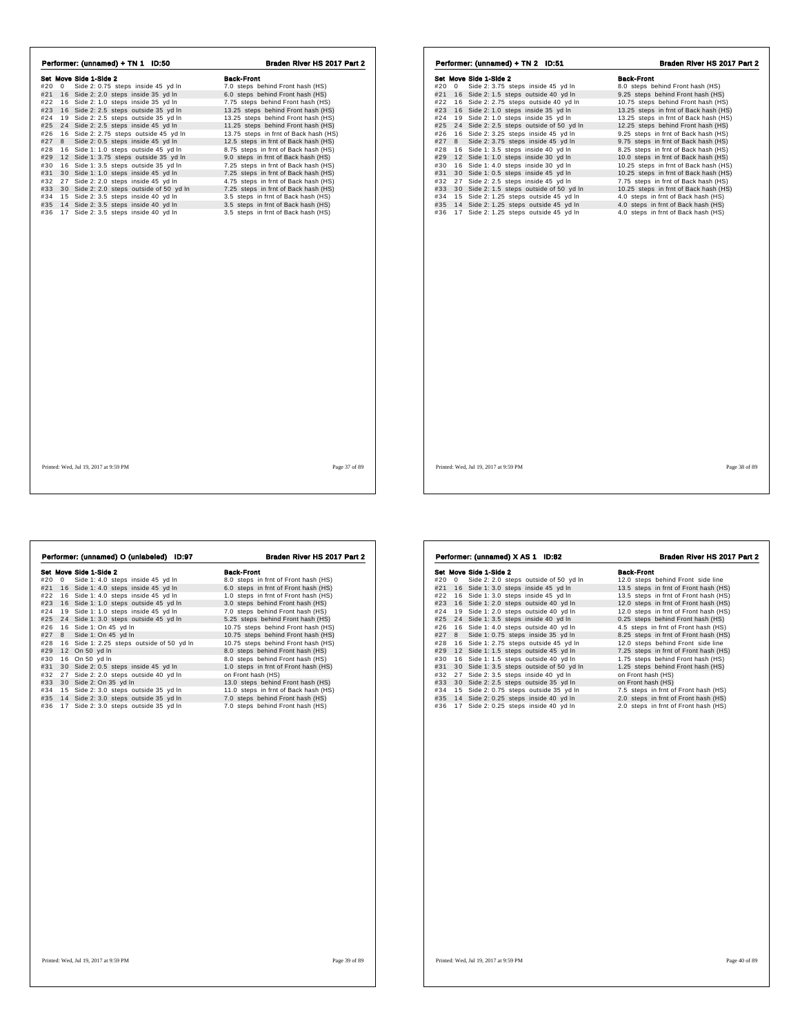| Set Move Side 1-Side 2                        |                                       |                                               |                                       |
|-----------------------------------------------|---------------------------------------|-----------------------------------------------|---------------------------------------|
|                                               | <b>Back-Front</b>                     | Set Move Side 1-Side 2                        | <b>Back-Front</b>                     |
| #20 0 Side 2: 0.75 steps inside 45 yd In      | 7.0 steps behind Front hash (HS)      | #20 0 Side 2: 3.75 steps inside 45 yd In      | 8.0 steps behind Front hash (HS)      |
| #21 16 Side 2: 2.0 steps inside 35 yd In      | 6.0 steps behind Front hash (HS)      | #21 16 Side 2: 1.5 steps outside 40 yd In     | 9.25 steps behind Front hash (HS)     |
| #22 16 Side 2: 1.0 steps inside 35 yd In      | 7.75 steps behind Front hash (HS)     | #22 16 Side 2: 2.75 steps outside 40 yd In    | 10.75 steps behind Front hash (HS)    |
| #23<br>16 Side 2: 2.5 steps outside 35 yd In  | 13.25 steps behind Front hash (HS)    | #23 16 Side 2: 1.0 steps inside 35 yd In      | 13.25 steps in frnt of Back hash (HS) |
| 19 Side 2: 2.5 steps outside 35 yd In<br>#24  | 13.25 steps behind Front hash (HS)    | #24<br>19 Side 2: 1.0 steps inside 35 yd In   | 13.25 steps in frnt of Back hash (HS) |
| #25 24 Side 2: 2.5 steps inside 45 yd In      | 11.25 steps behind Front hash (HS)    | #25 24 Side 2: 2.5 steps outside of 50 yd In  | 12.25 steps behind Front hash (HS)    |
| 16 Side 2: 2.75 steps outside 45 yd In<br>#26 | 13.75 steps in frnt of Back hash (HS) | 16 Side 2: 3.25 steps inside 45 yd In<br>#26  | 9.25 steps in frnt of Back hash (HS)  |
| Side 2: 0.5 steps inside 45 yd In<br>#27 8    | 12.5 steps in frnt of Back hash (HS)  | #27 8 Side 2: 3.75 steps inside 45 yd In      | 9.75 steps in frnt of Back hash (HS)  |
| 16 Side 1: 1.0 steps outside 45 yd In<br>#28  | 8.75 steps in frnt of Back hash (HS)  | 16 Side 1: 3.5 steps inside 40 yd In<br>#28   | 8.25 steps in frnt of Back hash (HS)  |
| 12 Side 1: 3.75 steps outside 35 yd In<br>#29 | 9.0 steps in frnt of Back hash (HS)   | 12 Side 1: 1.0 steps inside 30 yd In<br>#29   | 10.0 steps in frnt of Back hash (HS)  |
| 16 Side 1: 3.5 steps outside 35 yd In<br>#30  | 7.25 steps in frnt of Back hash (HS)  | 16 Side 1: 4.0 steps inside 30 yd In<br>#30   | 10.25 steps in frnt of Back hash (HS) |
| #31 30 Side 1: 1.0 steps inside 45 yd In      | 7.25 steps in frnt of Back hash (HS)  | 30 Side 1: 0.5 steps inside 45 yd In<br>#31   | 10.25 steps in frnt of Back hash (HS) |
| #32 27 Side 2: 2.0 steps inside 45 yd In      | 4.75 steps in frnt of Back hash (HS)  | #32 27 Side 2: 2.5 steps inside 45 yd In      | 7.75 steps in frnt of Back hash (HS)  |
| #33 30 Side 2: 2.0 steps outside of 50 yd In  | 7.25 steps in frnt of Back hash (HS)  | #33 30 Side 2: 1.5 steps outside of 50 yd In  | 10.25 steps in frnt of Back hash (HS) |
| #34 15 Side 2: 3.5 steps inside 40 yd In      | 3.5 steps in frnt of Back hash (HS)   | #34 15 Side 2: 1.25 steps outside 45 yd In    | 4.0 steps in frnt of Back hash (HS)   |
| #35 14 Side 2: 3.5 steps inside 40 yd In      | 3.5 steps in frnt of Back hash (HS)   | #35<br>14 Side 2: 1.25 steps outside 45 yd In | 4.0 steps in frnt of Back hash (HS)   |
| #36 17 Side 2: 3.5 steps inside 40 yd In      | 3.5 steps in frnt of Back hash (HS)   | #36 17 Side 2: 1.25 steps outside 45 yd In    | 4.0 steps in frnt of Back hash (HS)   |
|                                               |                                       |                                               |                                       |
|                                               |                                       |                                               |                                       |
|                                               |                                       |                                               |                                       |
|                                               |                                       |                                               |                                       |
|                                               |                                       |                                               |                                       |
|                                               |                                       |                                               |                                       |

|            |          | Performer: (unnamed) O (unlabeled)<br>ID:97                                    | Braden River HS 2017 Part 2                                          |
|------------|----------|--------------------------------------------------------------------------------|----------------------------------------------------------------------|
|            |          | Set Move Side 1-Side 2                                                         | <b>Back-Front</b>                                                    |
| #20        | 0        | Side 1: 4.0 steps inside 45 yd In                                              | 8.0 steps in frnt of Front hash (HS)                                 |
| #21<br>#22 |          | 16 Side 1: 4.0 steps inside 45 yd In                                           | 6.0 steps in frnt of Front hash (HS)                                 |
|            | 16       | Side 1: 4.0 steps inside 45 yd In                                              | 1.0 steps in frnt of Front hash (HS)                                 |
| #23        | 16       | Side 1: 1.0 steps outside 45 yd In                                             | 3.0 steps behind Front hash (HS)                                     |
| #24<br>#25 | 19<br>24 | Side 1: 1.0 steps inside 45 yd In                                              | 7.0 steps behind Front hash (HS)                                     |
|            |          | Side 1: 3.0 steps outside 45 yd In                                             | 5.25 steps behind Front hash (HS)                                    |
| #26        | 16<br>8  | Side 1: On 45 yd In                                                            | 10.75 steps behind Front hash (HS)                                   |
| #27        |          | Side 1: On 45 yd In                                                            | 10.75 steps behind Front hash (HS)                                   |
| #28        |          | 16 Side 1: 2.25 steps outside of 50 yd In                                      | 10.75 steps behind Front hash (HS)                                   |
| #29        |          | 12 On 50 yd In                                                                 | 8.0 steps behind Front hash (HS)                                     |
| #30        |          | 16 On 50 yd In                                                                 | 8.0 steps behind Front hash (HS)                                     |
| #31        |          | 30 Side 2: 0.5 steps inside 45 yd In                                           | 1.0 steps in frnt of Front hash (HS)                                 |
| #32        | 27       | Side 2: 2.0 steps outside 40 yd In                                             | on Front hash (HS)                                                   |
| #33        |          | 30 Side 2: On 35 yd In                                                         | 13.0 steps behind Front hash (HS)                                    |
| #34        | 15       | Side 2: 3.0 steps outside 35 yd In                                             | 11.0 steps in frnt of Back hash (HS)                                 |
| #35<br>#36 |          | 14 Side 2: 3.0 steps outside 35 yd In<br>17 Side 2: 3.0 steps outside 35 yd In | 7.0 steps behind Front hash (HS)<br>7.0 steps behind Front hash (HS) |
|            |          |                                                                                |                                                                      |
|            |          |                                                                                |                                                                      |

|     |              | Set Move Side 1-Side 2                   | <b>Back-Front</b>                     |
|-----|--------------|------------------------------------------|---------------------------------------|
| #20 | $\mathbf{0}$ | Side 2: 2.0 steps outside of 50 yd In    | 12.0 steps behind Front side line     |
| #21 |              | 16 Side 1: 3.0 steps inside 45 yd In     | 13.5 steps in frnt of Front hash (HS) |
| #22 |              | 16 Side 1: 3.0 steps inside 45 yd In     | 13.5 steps in frnt of Front hash (HS) |
| #23 |              | 16 Side 1: 2.0 steps outside 40 yd In    | 12.0 steps in frnt of Front hash (HS) |
| #24 |              | 19 Side 1: 2.0 steps outside 40 yd In    | 12.0 steps in frnt of Front hash (HS) |
| #25 |              | 24 Side 1: 3.5 steps inside 40 yd In     | 0.25 steps behind Front hash (HS)     |
| #26 |              | 16 Side 1: 4.0 steps outside 40 yd In    | 4.5 steps in frnt of Front hash (HS)  |
| #27 |              | 8 Side 1: 0.75 steps inside 35 yd In     | 8.25 steps in frnt of Front hash (HS) |
| #28 |              | 16 Side 1: 2.75 steps outside 45 yd In   | 12.0 steps behind Front side line     |
| #29 |              | 12 Side 1: 1.5 steps outside 45 yd In    | 7.25 steps in frnt of Front hash (HS) |
| #30 |              | 16 Side 1: 1.5 steps outside 40 yd In    | 1.75 steps behind Front hash (HS)     |
| #31 |              | 30 Side 1: 3.5 steps outside of 50 yd In | 1.25 steps behind Front hash (HS)     |
| #32 |              | 27 Side 2: 3.5 steps inside 40 yd In     | on Front hash (HS)                    |
| #33 |              | 30 Side 2: 2.5 steps outside 35 yd In    | on Front hash (HS)                    |
| #34 |              | 15 Side 2: 0.75 steps outside 35 yd In   | 7.5 steps in frnt of Front hash (HS)  |
| #35 |              | 14 Side 2: 0.25 steps inside 40 yd In    | 2.0 steps in frnt of Front hash (HS)  |
| #36 |              | 17 Side 2: 0.25 steps inside 40 yd In    | 2.0 steps in frnt of Front hash (HS)  |
|     |              |                                          |                                       |
|     |              |                                          |                                       |
|     |              |                                          |                                       |
|     |              |                                          |                                       |
|     |              |                                          |                                       |
|     |              |                                          |                                       |
|     |              |                                          |                                       |

Performer: (unnamed) X AS 1 ID:82 Braden River HS 2017 Part 2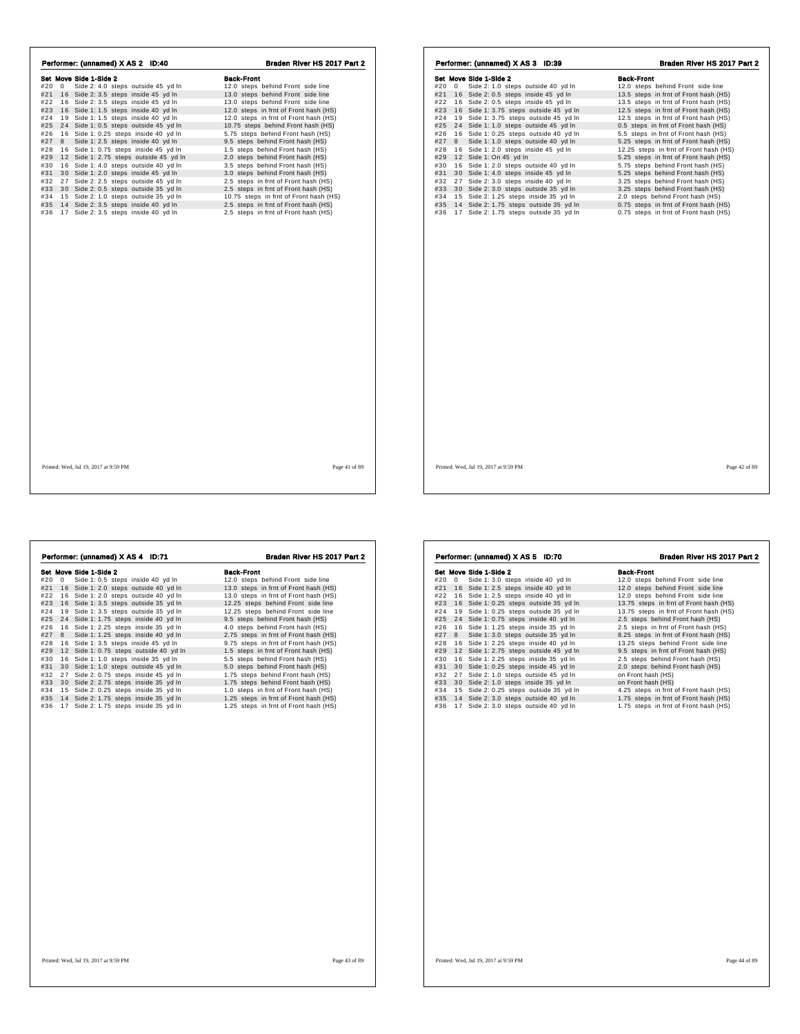| Performer: (unnamed) X AS 2 ID:40          | Braden River HS 2017 Part 2            | Performer: (unnamed) X AS 3 ID:39            | Braden River HS 2017 Part 2            |
|--------------------------------------------|----------------------------------------|----------------------------------------------|----------------------------------------|
| Set Move Side 1-Side 2                     | <b>Back-Front</b>                      | Set Move Side 1-Side 2                       | <b>Back-Front</b>                      |
| #20 0 Side 2: 4.0 steps outside 45 yd In   | 12.0 steps behind Front side line      | #20 0 Side 2: 1.0 steps outside 40 yd In     | 12.0 steps behind Front side line      |
| #21 16 Side 2: 3.5 steps inside 45 yd In   | 13.0 steps behind Front side line      | #21 16 Side 2: 0.5 steps inside 45 yd In     | 13.5 steps in frnt of Front hash (HS)  |
| #22 16 Side 2: 3.5 steps inside 45 yd In   | 13.0 steps behind Front side line      | #22 16 Side 2: 0.5 steps inside 45 yd In     | 13.5 steps in frnt of Front hash (HS)  |
| #23 16 Side 1: 1.5 steps inside 40 yd In   | 12.0 steps in frnt of Front hash (HS)  | #23 16 Side 1: 3.75 steps outside 45 yd In   | 12.5 steps in frnt of Front hash (HS)  |
| #24 19 Side 1: 1.5 steps inside 40 yd In   | 12.0 steps in frnt of Front hash (HS)  | #24 19 Side 1: 3.75 steps outside 45 yd In   | 12.5 steps in frnt of Front hash (HS)  |
| #25 24 Side 1: 0.5 steps outside 45 yd In  | 10.75 steps behind Front hash (HS)     | #25 24 Side 1: 1.0 steps outside 45 yd In    | 0.5 steps in frnt of Front hash (HS)   |
| #26 16 Side 1: 0.25 steps inside 40 yd In  | 5.75 steps behind Front hash (HS)      | #26 16 Side 1: 0.25 steps outside 40 yd In   | 5.5 steps in frnt of Front hash (HS)   |
| #27 8 Side 1: 2.5 steps inside 40 yd In    | 9.5 steps behind Front hash (HS)       | #27 8<br>Side 1: 1.0 steps outside 40 yd In  | 5.25 steps in frnt of Front hash (HS)  |
| #28 16 Side 1: 0.75 steps inside 45 yd In  | 1.5 steps behind Front hash (HS)       | #28 16 Side 1: 2.0 steps inside 45 yd In     | 12.25 steps in frnt of Front hash (HS) |
| #29 12 Side 1: 2.75 steps outside 45 yd In | 2.0 steps behind Front hash (HS)       | #29 12 Side 1: On 45 yd In                   | 5.25 steps in frnt of Front hash (HS)  |
| #30 16 Side 1: 4.0 steps outside 40 yd In  | 3.5 steps behind Front hash (HS)       | 16 Side 1: 2.0 steps outside 40 yd In<br>#30 | 5.75 steps behind Front hash (HS)      |
| #31 30 Side 1: 2.0 steps inside 45 yd In   | 3.0 steps behind Front hash (HS)       | #31 30 Side 1: 4.0 steps inside 45 yd In     | 5.25 steps behind Front hash (HS)      |
| #32 27 Side 2: 2.5 steps outside 45 yd In  | 2.5 steps in frnt of Front hash (HS)   | #32 27 Side 2: 3.0 steps inside 40 yd In     | 3.25 steps behind Front hash (HS)      |
| #33 30 Side 2: 0.5 steps outside 35 yd In  | 2.5 steps in frnt of Front hash (HS)   | #33 30 Side 2: 3.0 steps outside 35 yd In    | 3.25 steps behind Front hash (HS)      |
| #34 15 Side 2: 1.0 steps outside 35 yd In  | 10.75 steps in frnt of Front hash (HS) | #34 15 Side 2: 1.25 steps inside 35 yd In    | 2.0 steps behind Front hash (HS)       |
| #35 14 Side 2: 3.5 steps inside 40 yd In   | 2.5 steps in frnt of Front hash (HS)   | #35 14 Side 2: 1.75 steps outside 35 yd In   | 0.75 steps in frnt of Front hash (HS)  |
| #36 17 Side 2: 3.5 steps inside 40 yd In   | 2.5 steps in frnt of Front hash (HS)   | #36 17 Side 2: 1.75 steps outside 35 yd In   | 0.75 steps in frnt of Front hash (HS)  |
|                                            |                                        |                                              |                                        |
|                                            |                                        |                                              |                                        |
|                                            |                                        |                                              |                                        |

| #20 | 0  | Set Move Side 1-Side 2<br>Side 1: 0.5 steps inside 40 yd In | <b>Back-Front</b><br>12.0 steps behind Front side line |
|-----|----|-------------------------------------------------------------|--------------------------------------------------------|
| #21 | 16 | Side 1: 2.0 steps outside 40 yd In                          | 13.0 steps in frnt of Front hash (HS)                  |
| #22 |    | 16 Side 1: 2.0 steps outside 40 yd In                       | 13.0 steps in frnt of Front hash (HS)                  |
| #23 |    | 16 Side 1: 3.5 steps outside 35 yd In                       | 12.25 steps behind Front side line                     |
| #24 |    | 19 Side 1: 3.5 steps outside 35 yd In                       | 12.25 steps behind Front side line                     |
| #25 |    | 24 Side 1: 1.75 steps inside 40 yd In                       | 9.5 steps behind Front hash (HS)                       |
| #26 |    | 16 Side 1: 2.25 steps inside 35 yd In                       | 4.0 steps behind Front hash (HS)                       |
| #27 | 8  | Side 1: 1.25 steps inside 40 yd In                          | 2.75 steps in frnt of Front hash (HS)                  |
| #28 |    | 16 Side 1: 3.5 steps inside 45 yd In                        | 9.75 steps in frnt of Front hash (HS)                  |
| #29 |    | 12 Side 1: 0.75 steps outside 40 yd In                      | 1.5 steps in frnt of Front hash (HS)                   |
| #30 |    | 16 Side 1: 1.0 steps inside 35 yd In                        | 5.5 steps behind Front hash (HS)                       |
| #31 |    | 30 Side 1: 1.0 steps outside 45 yd In                       | 5.0 steps behind Front hash (HS)                       |
| #32 |    | 27 Side 2: 0.75 steps inside 45 yd In                       | 1.75 steps behind Front hash (HS)                      |
| #33 |    | 30 Side 2: 2.75 steps inside 35 yd In                       | 1.75 steps behind Front hash (HS)                      |
| #34 |    | 15 Side 2: 0.25 steps inside 35 yd In                       | 1.0 steps in frnt of Front hash (HS)                   |
| #35 |    | 14 Side 2: 1.75 steps inside 35 yd In                       | 1.25 steps in frnt of Front hash (HS)                  |
| #36 |    | 17 Side 2: 1.75 steps inside 35 yd In                       | 1.25 steps in frnt of Front hash (HS)                  |
|     |    |                                                             |                                                        |
|     |    |                                                             |                                                        |
|     |    |                                                             |                                                        |
|     |    |                                                             |                                                        |
|     |    |                                                             |                                                        |
|     |    |                                                             |                                                        |
|     |    |                                                             |                                                        |
|     |    |                                                             |                                                        |

|     |   | Performer: (unnamed) X AS 5 ID:70      | Braden River HS 2017 Part 2            |
|-----|---|----------------------------------------|----------------------------------------|
|     |   | Set Move Side 1-Side 2                 | <b>Back-Front</b>                      |
| #20 | 0 | Side 1: 3.0 steps inside 40 yd In      | 12.0 steps behind Front side line      |
| #21 |   | 16 Side 1: 2.5 steps inside 40 yd In   | 12.0 steps behind Front side line      |
| #22 |   | 16 Side 1: 2.5 steps inside 40 yd In   | 12.0 steps behind Front side line      |
| #23 |   | 16 Side 1: 0.25 steps outside 35 yd In | 13.75 steps in frnt of Front hash (HS) |
| #24 |   | 19 Side 1: 0.25 steps outside 35 yd In | 13.75 steps in frnt of Front hash (HS) |
| #25 |   | 24 Side 1: 0.75 steps inside 40 yd In  | 2.5 steps behind Front hash (HS)       |
| #26 |   | 16 Side 1: 1.25 steps inside 35 yd In  | 2.5 steps in frnt of Front hash (HS)   |
| #27 |   | 8 Side 1: 3.0 steps outside 35 yd In   | 8.25 steps in frnt of Front hash (HS)  |
| #28 |   | 16 Side 1: 2.25 steps inside 40 yd In  | 13.25 steps behind Front side line     |
| #29 |   | 12 Side 1: 2.75 steps outside 45 yd In | 9.5 steps in frnt of Front hash (HS)   |
| #30 |   | 16 Side 1: 2.25 steps inside 35 yd In  | 2.5 steps behind Front hash (HS)       |
| #31 |   | 30 Side 1: 0.25 steps inside 45 yd In  | 2.0 steps behind Front hash (HS)       |
| #32 |   | 27 Side 2: 1.0 steps outside 45 yd In  | on Front hash (HS)                     |
| #33 |   | 30 Side 2: 1.0 steps inside 35 yd In   | on Front hash (HS)                     |
| #34 |   | 15 Side 2: 0.25 steps outside 35 yd In | 4.25 steps in frnt of Front hash (HS)  |
| #35 |   | 14 Side 2: 3.0 steps outside 40 yd In  | 1.75 steps in frnt of Front hash (HS)  |
| #36 |   | 17 Side 2: 3.0 steps outside 40 yd In  | 1.75 steps in frnt of Front hash (HS)  |
|     |   |                                        |                                        |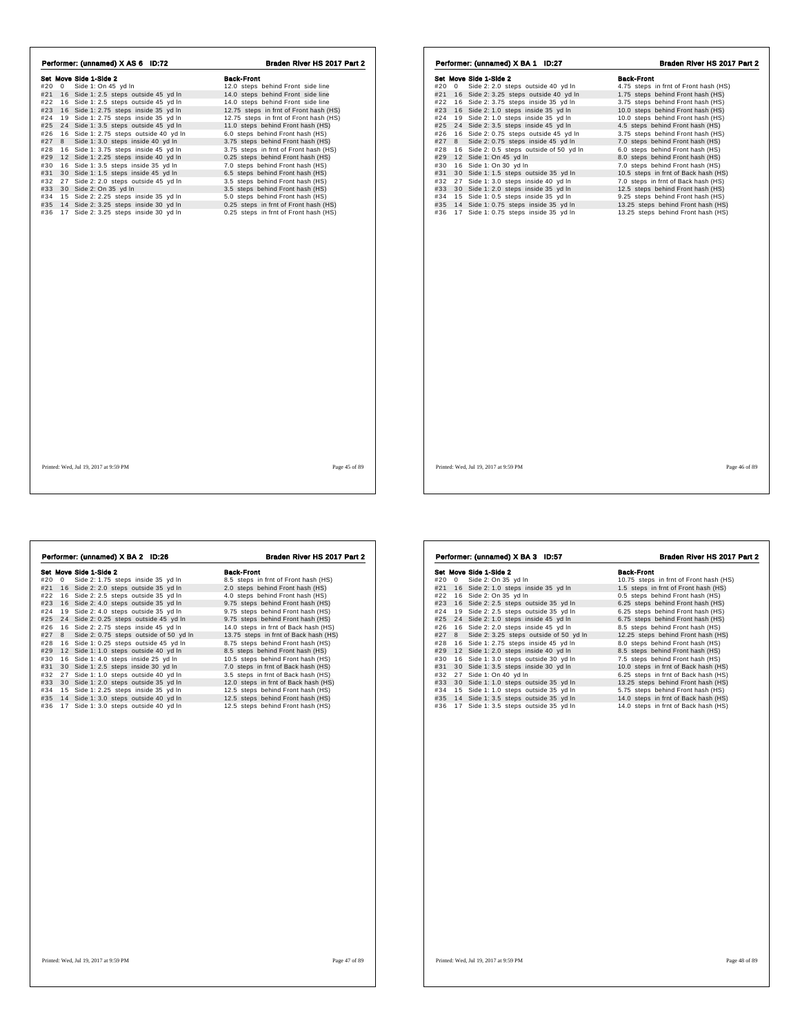| Performer: (unnamed) X AS 6 ID:72          | Braden River HS 2017 Part 2            | Performer: (unnamed) X BA 1 ID:27               | Braden River HS 2017 Part 2           |
|--------------------------------------------|----------------------------------------|-------------------------------------------------|---------------------------------------|
| Set Move Side 1-Side 2                     | <b>Back-Front</b>                      | Set Move Side 1-Side 2                          | <b>Back-Front</b>                     |
| #20 0 Side 1: On 45 yd In                  | 12.0 steps behind Front side line      | #20 0 Side 2: 2.0 steps outside 40 yd In        | 4.75 steps in frnt of Front hash (HS) |
| #21 16 Side 1: 2.5 steps outside 45 yd In  | 14.0 steps behind Front side line      | #21 16 Side 2: 3.25 steps outside 40 yd In      | 1.75 steps behind Front hash (HS)     |
| #22 16 Side 1: 2.5 steps outside 45 yd In  | 14.0 steps behind Front side line      | #22 16 Side 2: 3.75 steps inside 35 yd In       | 3.75 steps behind Front hash (HS)     |
| #23 16 Side 1: 2.75 steps inside 35 yd In  | 12.75 steps in frnt of Front hash (HS) | #23 16 Side 2: 1.0 steps inside 35 yd In        | 10.0 steps behind Front hash (HS)     |
| #24 19 Side 1: 2.75 steps inside 35 yd In  | 12.75 steps in frnt of Front hash (HS) | 19 Side 2: 1.0 steps inside 35 yd In<br>#24     | 10.0 steps behind Front hash (HS)     |
| #25 24 Side 1: 3.5 steps outside 45 yd In  | 11.0 steps behind Front hash (HS)      | #25 24 Side 2: 3.5 steps inside 45 yd In        | 4.5 steps behind Front hash (HS)      |
| #26 16 Side 1: 2.75 steps outside 40 yd In | 6.0 steps behind Front hash (HS)       | 16 Side 2: 0.75 steps outside 45 yd In<br>#26   | 3.75 steps behind Front hash (HS)     |
| #27 8 Side 1: 3.0 steps inside 40 yd In    | 3.75 steps behind Front hash (HS)      | #27 8 Side 2: 0.75 steps inside 45 yd In        | 7.0 steps behind Front hash (HS)      |
| #28 16 Side 1: 3.75 steps inside 45 yd In  | 3.75 steps in frnt of Front hash (HS)  | 16 Side 2: 0.5 steps outside of 50 yd In<br>#28 | 6.0 steps behind Front hash (HS)      |
| #29 12 Side 1: 2.25 steps inside 40 yd In  | 0.25 steps behind Front hash (HS)      | #29 12 Side 1: On 45 yd In                      | 8.0 steps behind Front hash (HS)      |
| #30 16 Side 1: 3.5 steps inside 35 yd In   | 7.0 steps behind Front hash (HS)       | 16 Side 1: On 30 yd In<br>#30                   | 7.0 steps behind Front hash (HS)      |
| #31 30 Side 1: 1.5 steps inside 45 yd In   | 6.5 steps behind Front hash (HS)       | 30 Side 1: 1.5 steps outside 35 yd In<br>#31    | 10.5 steps in frnt of Back hash (HS)  |
| #32 27 Side 2: 2.0 steps outside 45 yd In  | 3.5 steps behind Front hash (HS)       | 27 Side 1: 3.0 steps inside 40 yd In<br>#32     | 7.0 steps in frnt of Back hash (HS)   |
| #33 30 Side 2: On 35 yd In                 | 3.5 steps behind Front hash (HS)       | 30 Side 1: 2.0 steps inside 35 yd In<br>#33     | 12.5 steps behind Front hash (HS)     |
| #34 15 Side 2: 2.25 steps inside 35 yd In  | 5.0 steps behind Front hash (HS)       | 15 Side 1: 0.5 steps inside 35 yd In<br>#34     | 9.25 steps behind Front hash (HS)     |
| #35 14 Side 2: 3.25 steps inside 30 yd In  | 0.25 steps in frnt of Front hash (HS)  | #35 14 Side 1: 0.75 steps inside 35 yd In       | 13.25 steps behind Front hash (HS)    |
| #36 17 Side 2: 3.25 steps inside 30 yd In  | 0.25 steps in frnt of Front hash (HS)  | 17 Side 1: 0.75 steps inside 35 yd In<br>#36    | 13.25 steps behind Front hash (HS)    |
|                                            |                                        |                                                 |                                       |
| Printed: Wed. Jul 19, 2017 at 9:59 PM      | Page 45 of 89                          | Printed: Wed, Jul 19, 2017 at 9:59 PM           | Page 46 of 89                         |

|            |          | Set Move Side 1-Side 2                                                         | <b>Back-Front</b>                                                      |
|------------|----------|--------------------------------------------------------------------------------|------------------------------------------------------------------------|
| #20        | $\Omega$ | Side 2: 1.75 steps inside 35 yd In                                             | 8.5 steps in frnt of Front hash (HS)                                   |
| #21        | 16       | Side 2: 2.0 steps outside 35 yd In                                             | 2.0 steps behind Front hash (HS)                                       |
| #22        |          | 16 Side 2: 2.5 steps outside 35 yd In                                          | 4.0 steps behind Front hash (HS)                                       |
| #23        |          | 16 Side 2: 4.0 steps outside 35 yd In                                          | 9.75 steps behind Front hash (HS)                                      |
| #24        |          | 19 Side 2: 4.0 steps outside 35 vd In                                          | 9.75 steps behind Front hash (HS)                                      |
| #25        |          | 24 Side 2: 0.25 steps outside 45 yd In                                         | 9.75 steps behind Front hash (HS)                                      |
| #26        |          | 16 Side 2: 2.75 steps inside 45 yd In                                          | 14.0 steps in frnt of Back hash (HS)                                   |
| #27        | 8        | Side 2: 0.75 steps outside of 50 yd In                                         | 13.75 steps in frnt of Back hash (HS)                                  |
| #28        |          | 16 Side 1: 0.25 steps outside 45 yd In                                         | 8.75 steps behind Front hash (HS)                                      |
| #29        |          | 12 Side 1: 1.0 steps outside 40 yd In                                          | 8.5 steps behind Front hash (HS)                                       |
| #30        |          | 16 Side 1: 4.0 steps inside 25 yd In                                           | 10.5 steps behind Front hash (HS)                                      |
| #31        |          | 30 Side 1: 2.5 steps inside 30 yd In                                           | 7.0 steps in frnt of Back hash (HS)                                    |
| #32        |          | 27 Side 1: 1.0 steps outside 40 yd In                                          | 3.5 steps in frnt of Back hash (HS)                                    |
| #33        |          | 30 Side 1: 2.0 steps outside 35 yd In                                          | 12.0 steps in frnt of Back hash (HS)                                   |
| #34        |          | 15 Side 1: 2.25 steps inside 35 yd In                                          | 12.5 steps behind Front hash (HS)                                      |
| #35<br>#36 |          | 14 Side 1: 3.0 steps outside 40 yd In<br>17 Side 1: 3.0 steps outside 40 yd In | 12.5 steps behind Front hash (HS)<br>12.5 steps behind Front hash (HS) |
|            |          |                                                                                |                                                                        |
|            |          |                                                                                |                                                                        |
|            |          |                                                                                |                                                                        |
|            |          |                                                                                |                                                                        |
|            |          |                                                                                |                                                                        |
|            |          |                                                                                |                                                                        |
|            |          |                                                                                |                                                                        |
|            |          |                                                                                |                                                                        |
|            |          |                                                                                |                                                                        |

|     |            | Set Move Side 1-Side 2                   | <b>Back-Front</b>                      |
|-----|------------|------------------------------------------|----------------------------------------|
| #20 | $^{\circ}$ | Side 2: On 35 yd In                      | 10.75 steps in frnt of Front hash (HS) |
| #21 |            | 16 Side 2: 1.0 steps inside 35 yd In     | 1.5 steps in frnt of Front hash (HS)   |
| #22 |            | 16 Side 2: On 35 yd In                   | 0.5 steps behind Front hash (HS)       |
| #23 |            | 16 Side 2: 2.5 steps outside 35 yd In    | 6.25 steps behind Front hash (HS)      |
| #24 |            | 19 Side 2: 2.5 steps outside 35 yd In    | 6.25 steps behind Front hash (HS)      |
| #25 |            | 24 Side 2: 1.0 steps inside 45 yd In     | 6.75 steps behind Front hash (HS)      |
| #26 |            | 16 Side 2: 2.0 steps inside 45 yd In     | 8.5 steps behind Front hash (HS)       |
| #27 |            | 8 Side 2: 3.25 steps outside of 50 yd In | 12.25 steps behind Front hash (HS)     |
| #28 |            | 16 Side 1: 2.75 steps inside 45 yd In    | 8.0 steps behind Front hash (HS)       |
| #29 |            | 12 Side 1: 2.0 steps inside 40 yd In     | 8.5 steps behind Front hash (HS)       |
| #30 |            | 16 Side 1: 3.0 steps outside 30 yd In    | 7.5 steps behind Front hash (HS)       |
| #31 |            | 30 Side 1: 3.5 steps inside 30 yd In     | 10.0 steps in frnt of Back hash (HS)   |
| #32 | 27         | Side 1: On 40 yd In                      | 6.25 steps in frnt of Back hash (HS)   |
| #33 |            | 30 Side 1: 1.0 steps outside 35 yd In    | 13.25 steps behind Front hash (HS)     |
| #34 |            | 15 Side 1: 1.0 steps outside 35 yd In    | 5.75 steps behind Front hash (HS)      |
| #35 |            | 14 Side 1: 3.5 steps outside 35 yd In    | 14.0 steps in frnt of Back hash (HS)   |
| #36 |            | 17 Side 1: 3.5 steps outside 35 yd In    | 14.0 steps in frnt of Back hash (HS)   |

Performer: (unnamed) X BA 3 ID:57 Braden River HS 2017 Part 2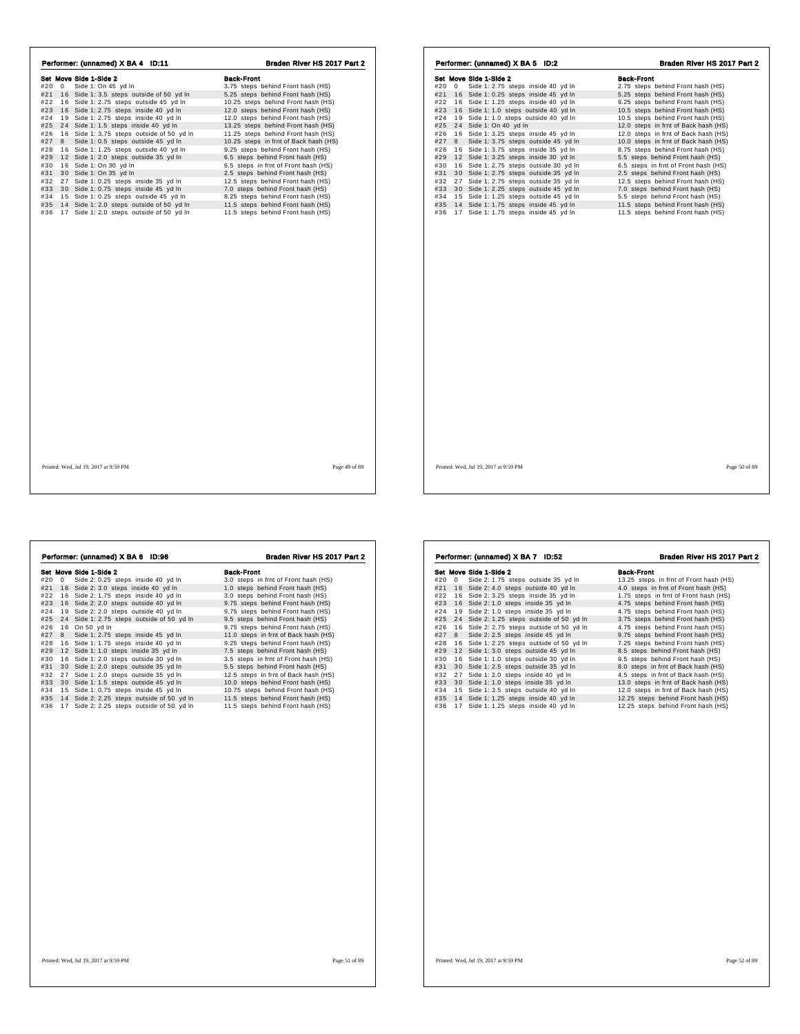| Performer: (unnamed) X BA 4 ID:11             | Braden River HS 2017 Part 2           | Performer: (unnamed) X BA 5 ID:2              | Braden River HS 2017 Part 2          |
|-----------------------------------------------|---------------------------------------|-----------------------------------------------|--------------------------------------|
| Set Move Side 1-Side 2                        | <b>Back-Front</b>                     | Set Move Side 1-Side 2                        | <b>Back-Front</b>                    |
| Side 1: On 45 yd In<br>#20 0                  | 3.75 steps behind Front hash (HS)     | Side 1: 2.75 steps inside 40 yd In<br>#20 0   | 2.75 steps behind Front hash (HS)    |
| #21 16 Side 1:3.5 steps outside of 50 yd In   | 5.25 steps behind Front hash (HS)     | #21 16 Side 1: 0.25 steps inside 45 yd In     | 5.25 steps behind Front hash (HS)    |
| #22 16 Side 1: 2.75 steps outside 45 yd In    | 10.25 steps behind Front hash (HS)    | #22 16 Side 1: 1.25 steps inside 40 yd In     | 9.25 steps behind Front hash (HS)    |
| #23 16 Side 1: 2.75 steps inside 40 yd In     | 12.0 steps behind Front hash (HS)     | #23 16 Side 1: 1.0 steps outside 40 yd In     | 10.5 steps behind Front hash (HS)    |
| 19 Side 1: 2.75 steps inside 40 yd In<br>#24  | 12.0 steps behind Front hash (HS)     | #24<br>19 Side 1: 1.0 steps outside 40 yd In  | 10.5 steps behind Front hash (HS)    |
| #25 24 Side 1: 1.5 steps inside 40 yd In      | 13.25 steps behind Front hash (HS)    | 24 Side 1: On 40 yd In<br>#25                 | 12.0 steps in frnt of Back hash (HS) |
| #26 16 Side 1: 3.75 steps outside of 50 yd In | 11.25 steps behind Front hash (HS)    | 16 Side 1: 3.25 steps inside 45 yd In<br>#26  | 12.0 steps in frnt of Back hash (HS) |
| #27 8 Side 1: 0.5 steps outside 45 yd In      | 10.25 steps in frnt of Back hash (HS) | 8 Side 1: 3.75 steps outside 45 yd In<br>#27  | 10.0 steps in frnt of Back hash (HS) |
| #28 16 Side 1: 1.25 steps outside 40 yd In    | 9.25 steps behind Front hash (HS)     | #28<br>16 Side 1: 3.75 steps inside 35 yd In  | 8.75 steps behind Front hash (HS)    |
| #29 12 Side 1: 2.0 steps outside 35 yd In     | 6.5 steps behind Front hash (HS)      | #29<br>12 Side 1: 3.25 steps inside 30 yd In  | 5.5 steps behind Front hash (HS)     |
| #30 16 Side 1: On 30 yd In                    | 6.5 steps in frnt of Front hash (HS)  | #30<br>16 Side 1: 2.75 steps outside 30 yd In | 6.5 steps in frnt of Front hash (HS) |
| #31 30 Side 1: On 35 yd In                    | 2.5 steps behind Front hash (HS)      | 30 Side 1: 2.75 steps outside 35 yd In<br>#31 | 2.5 steps behind Front hash (HS)     |
| #32 27 Side 1: 0.25 steps inside 35 yd In     | 12.5 steps behind Front hash (HS)     | #32 27 Side 1: 2.75 steps outside 35 yd In    | 12.5 steps behind Front hash (HS)    |
| #33 30 Side 1: 0.75 steps inside 45 yd In     | 7.0 steps behind Front hash (HS)      | #33<br>30 Side 1: 2.25 steps outside 45 yd In | 7.0 steps behind Front hash (HS)     |
| #34 15 Side 1: 0.25 steps outside 45 yd In    | 8.25 steps behind Front hash (HS)     | 15 Side 1: 1.25 steps outside 45 yd In<br>#34 | 5.5 steps behind Front hash (HS)     |
| #35 14 Side 1: 2.0 steps outside of 50 yd In  | 11.5 steps behind Front hash (HS)     | #35 14 Side 1: 1.75 steps inside 45 yd In     | 11.5 steps behind Front hash (HS)    |
| #36 17 Side 1: 2.0 steps outside of 50 yd In  | 11.5 steps behind Front hash (HS)     | 17 Side 1: 1.75 steps inside 45 yd In<br>#36  | 11.5 steps behind Front hash (HS)    |
|                                               |                                       |                                               |                                      |
| Printed: Wed, Jul 19, 2017 at 9:59 PM         | Page 49 of 89                         | Printed: Wed, Jul 19, 2017 at 9:59 PM         | Page 50 of 89                        |

|     |    | Performer: (unnamed) X BA 6 ID:96         | Braden River HS 2017 Part 2          |
|-----|----|-------------------------------------------|--------------------------------------|
|     |    | Set Move Side 1-Side 2                    | <b>Back-Front</b>                    |
| #20 | 0  | Side 2: 0.25 steps inside 40 yd In        | 3.0 steps in frnt of Front hash (HS) |
| #21 | 16 | Side 2: 3.0 steps inside 40 yd In         | 1.0 steps behind Front hash (HS)     |
| #22 |    | 16 Side 2: 1.75 steps inside 40 yd In     | 3.0 steps behind Front hash (HS)     |
| #23 |    | 16 Side 2: 2.0 steps outside 40 yd In     | 9.75 steps behind Front hash (HS)    |
| #24 |    | 19 Side 2: 2.0 steps outside 40 yd In     | 9.75 steps behind Front hash (HS)    |
| #25 |    | 24 Side 1: 2.75 steps outside of 50 yd In | 9.5 steps behind Front hash (HS)     |
| #26 |    | 16 On 50 yd In                            | 9.75 steps behind Front hash (HS)    |
| #27 | 8  | Side 1: 2.75 steps inside 45 yd In        | 11.0 steps in frnt of Back hash (HS) |
| #28 |    | 16 Side 1: 1.75 steps inside 40 yd In     | 9.25 steps behind Front hash (HS)    |
| #29 |    | 12 Side 1: 1.0 steps inside 35 yd In      | 7.5 steps behind Front hash (HS)     |
| #30 |    | 16 Side 1: 2.0 steps outside 30 yd In     | 3.5 steps in frnt of Front hash (HS) |
| #31 |    | 30 Side 1: 2.0 steps outside 35 yd In     | 5.5 steps behind Front hash (HS)     |
| #32 |    | 27 Side 1: 2.0 steps outside 35 yd In     | 12.5 steps in frnt of Back hash (HS) |
| #33 |    | 30 Side 1: 1.5 steps outside 45 yd In     | 10.0 steps behind Front hash (HS)    |
| #34 |    | 15 Side 1: 0.75 steps inside 45 yd In     | 10.75 steps behind Front hash (HS)   |
| #35 |    | 14 Side 2: 2.25 steps outside of 50 yd In | 11.5 steps behind Front hash (HS)    |
| #36 | 17 | Side 2: 2.25 steps outside of 50 yd In    | 11.5 steps behind Front hash (HS)    |
|     |    |                                           |                                      |
|     |    |                                           |                                      |
|     |    |                                           |                                      |
|     |    |                                           |                                      |
|     |    |                                           |                                      |
|     |    |                                           |                                      |
|     |    |                                           |                                      |
|     |    |                                           |                                      |

|     |            | Performer: (unnamed) X BA 7 ID:52         | Braden River HS 2017 Part 2            |
|-----|------------|-------------------------------------------|----------------------------------------|
|     |            | Set Move Side 1-Side 2                    | <b>Back-Front</b>                      |
| #20 | $^{\circ}$ | Side 2: 1.75 steps outside 35 yd In       | 13.25 steps in frnt of Front hash (HS) |
| #21 |            | 16 Side 2: 4.0 steps outside 40 yd In     | 4.0 steps in frnt of Front hash (HS)   |
| #22 |            | 16 Side 2: 3.25 steps inside 35 yd In     | 1.75 steps in frnt of Front hash (HS)  |
| #23 |            | 16 Side 2: 1.0 steps inside 35 yd In      | 4.75 steps behind Front hash (HS)      |
| #24 |            | 19 Side 2: 1.0 steps inside 35 yd In      | 4.75 steps behind Front hash (HS)      |
| #25 |            | 24 Side 2: 1.25 steps outside of 50 yd In | 3.75 steps behind Front hash (HS)      |
| #26 |            | 16 Side 2: 2.75 steps outside of 50 yd In | 4.75 steps behind Front hash (HS)      |
| #27 | 8          | Side 2: 2.5 steps inside 45 yd In         | 9.75 steps behind Front hash (HS)      |
| #28 |            | 16 Side 1: 2.25 steps outside of 50 yd In | 7.25 steps behind Front hash (HS)      |
| #29 |            | 12 Side 1: 3.0 steps outside 45 yd In     | 8.5 steps behind Front hash (HS)       |
| #30 |            | 16 Side 1: 1.0 steps outside 30 yd In     | 9.5 steps behind Front hash (HS)       |
| #31 |            | 30 Side 1: 2.5 steps outside 35 vd In     | 8.0 steps in frnt of Back hash (HS)    |
| #32 | 27         | Side 1: 2.0 steps inside 40 yd In         | 4.5 steps in frnt of Back hash (HS)    |
| #33 |            | 30 Side 1: 1.0 steps inside 35 yd In      | 13.0 steps in frnt of Back hash (HS)   |
| #34 |            | 15 Side 1: 3.5 steps outside 40 yd In     | 12.0 steps in frnt of Back hash (HS)   |
| #35 |            | 14 Side 1: 1.25 steps inside 40 yd In     | 12.25 steps behind Front hash (HS)     |
| #36 |            | 17 Side 1: 1.25 steps inside 40 yd In     | 12.25 steps behind Front hash (HS)     |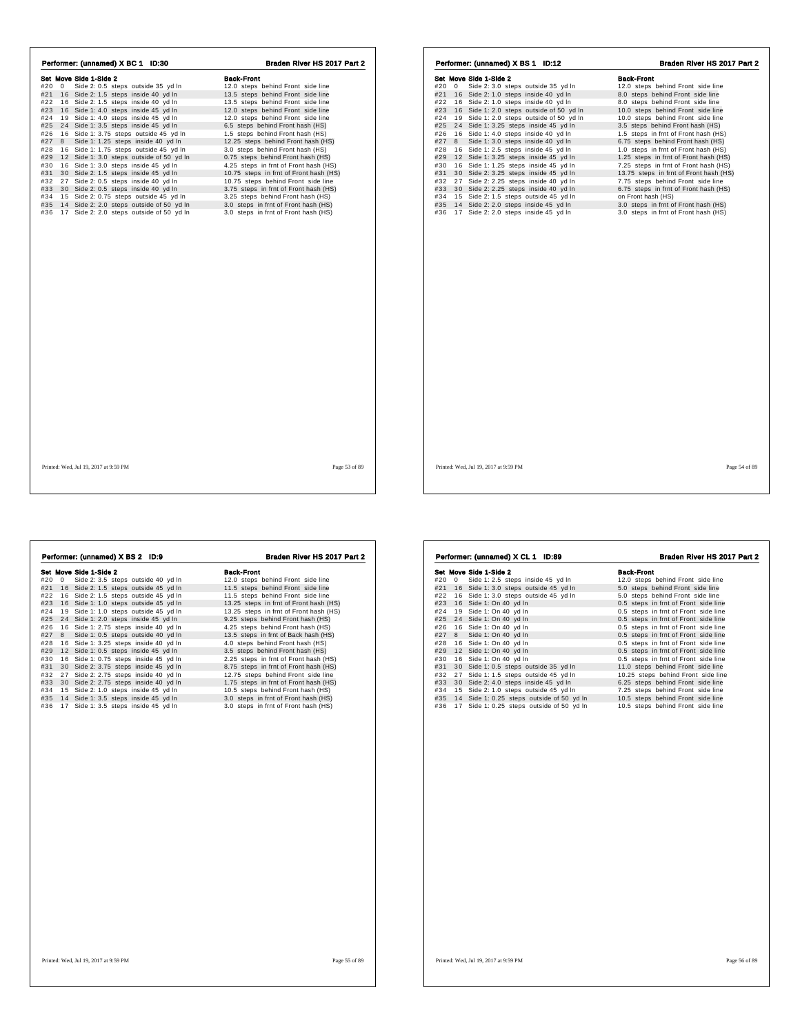| Performer: (unnamed) X BC 1 ID:30            | Braden River HS 2017 Part 2            | Performer: (unnamed) X BS 1 ID:12               | Braden River HS 2017 Part 2            |
|----------------------------------------------|----------------------------------------|-------------------------------------------------|----------------------------------------|
| Set Move Side 1-Side 2                       | <b>Back-Front</b>                      | Set Move Side 1-Side 2                          | <b>Back-Front</b>                      |
| #20 0 Side 2: 0.5 steps outside 35 yd In     | 12.0 steps behind Front side line      | #20 0 Side 2: 3.0 steps outside 35 yd In        | 12.0 steps behind Front side line      |
| #21 16 Side 2: 1.5 steps inside 40 yd In     | 13.5 steps behind Front side line      | #21 16 Side 2: 1.0 steps inside 40 yd In        | 8.0 steps behind Front side line       |
| #22 16 Side 2: 1.5 steps inside 40 yd In     | 13.5 steps behind Front side line      | #22 16 Side 2: 1.0 steps inside 40 yd In        | 8.0 steps behind Front side line       |
| #23 16 Side 1: 4.0 steps inside 45 yd In     | 12.0 steps behind Front side line      | #23 16 Side 1: 2.0 steps outside of 50 yd In    | 10.0 steps behind Front side line      |
| 19 Side 1: 4.0 steps inside 45 yd In<br>#24  | 12.0 steps behind Front side line      | 19 Side 1: 2.0 steps outside of 50 yd In<br>#24 | 10.0 steps behind Front side line      |
| #25 24 Side 1: 3.5 steps inside 45 yd In     | 6.5 steps behind Front hash (HS)       | 24 Side 1: 3.25 steps inside 45 yd In<br>#25    | 3.5 steps behind Front hash (HS)       |
| #26 16 Side 1: 3.75 steps outside 45 yd In   | 1.5 steps behind Front hash (HS)       | 16 Side 1: 4.0 steps inside 40 yd In<br>#26     | 1.5 steps in frnt of Front hash (HS)   |
| #27 8<br>Side 1: 1.25 steps inside 40 yd In  | 12.25 steps behind Front hash (HS)     | #27 8 Side 1: 3.0 steps inside 40 yd In         | 6.75 steps behind Front hash (HS)      |
| #28 16 Side 1: 1.75 steps outside 45 yd In   | 3.0 steps behind Front hash (HS)       | 16 Side 1: 2.5 steps inside 45 yd In<br>#28     | 1.0 steps in frnt of Front hash (HS)   |
| #29 12 Side 1:3.0 steps outside of 50 yd In  | 0.75 steps behind Front hash (HS)      | 12 Side 1: 3.25 steps inside 45 yd In<br>#29    | 1.25 steps in frnt of Front hash (HS)  |
| #30 16 Side 1: 3.0 steps inside 45 yd In     | 4.25 steps in frnt of Front hash (HS)  | 16 Side 1: 1.25 steps inside 45 yd In<br>#30    | 7.25 steps in frnt of Front hash (HS)  |
| #31 30 Side 2: 1.5 steps inside 45 yd In     | 10.75 steps in frnt of Front hash (HS) | 30 Side 2: 3.25 steps inside 45 yd In<br>#31    | 13.75 steps in frnt of Front hash (HS) |
| #32 27 Side 2: 0.5 steps inside 40 yd In     | 10.75 steps behind Front side line     | #32 27 Side 2: 2.25 steps inside 40 yd In       | 7.75 steps behind Front side line      |
| #33 30 Side 2: 0.5 steps inside 40 yd In     | 3.75 steps in frnt of Front hash (HS)  | #33 30 Side 2: 2.25 steps inside 40 yd In       | 6.75 steps in frnt of Front hash (HS)  |
| #34 15 Side 2: 0.75 steps outside 45 yd In   | 3.25 steps behind Front hash (HS)      | #34<br>15 Side 2: 1.5 steps outside 45 yd In    | on Front hash (HS)                     |
| #35 14 Side 2: 2.0 steps outside of 50 yd In | 3.0 steps in frnt of Front hash (HS)   | #35<br>14 Side 2: 2.0 steps inside 45 yd In     | 3.0 steps in frnt of Front hash (HS)   |
| #36 17 Side 2: 2.0 steps outside of 50 yd In | 3.0 steps in frnt of Front hash (HS)   | 17 Side 2: 2.0 steps inside 45 yd In<br>#36     | 3.0 steps in frnt of Front hash (HS)   |
|                                              |                                        |                                                 |                                        |
| Printed: Wed, Jul 19, 2017 at 9:59 PM        | Page 53 of 89                          | Printed: Wed, Jul 19, 2017 at 9:59 PM           | Page 54 of 89                          |

|          | Performer: (unnamed) X BS 2 ID:9      | Braden River HS 2017 Part 2            |
|----------|---------------------------------------|----------------------------------------|
|          | Set Move Side 1-Side 2                | <b>Back-Front</b>                      |
| #20<br>0 | Side 2: 3.5 steps outside 40 yd In    | 12.0 steps behind Front side line      |
| #21      | 16 Side 2: 1.5 steps outside 45 yd In | 11.5 steps behind Front side line      |
| #22      | 16 Side 2: 1.5 steps outside 45 yd In | 11.5 steps behind Front side line      |
| #23      | 16 Side 1: 1.0 steps outside 45 yd In | 13.25 steps in frnt of Front hash (HS) |
| #24      | 19 Side 1: 1.0 steps outside 45 yd In | 13.25 steps in frnt of Front hash (HS) |
| #25      | 24 Side 1: 2.0 steps inside 45 yd In  | 9.25 steps behind Front hash (HS)      |
| #26      | 16 Side 1: 2.75 steps inside 40 yd In | 4.25 steps behind Front hash (HS)      |
| #27<br>8 | Side 1: 0.5 steps outside 40 yd In    | 13.5 steps in frnt of Back hash (HS)   |
| #28      | 16 Side 1: 3.25 steps inside 40 yd In | 4.0 steps behind Front hash (HS)       |
| #29      | 12 Side 1: 0.5 steps inside 45 yd In  | 3.5 steps behind Front hash (HS)       |
| #30      | 16 Side 1: 0.75 steps inside 45 yd In | 2.25 steps in frnt of Front hash (HS)  |
| #31      | 30 Side 2: 3.75 steps inside 45 yd In | 8.75 steps in frnt of Front hash (HS)  |
| #32      | 27 Side 2: 2.75 steps inside 40 yd In | 12.75 steps behind Front side line     |
| #33      | 30 Side 2: 2.75 steps inside 40 yd In | 1.75 steps in frnt of Front hash (HS)  |
| #34      | 15 Side 2: 1.0 steps inside 45 yd In  | 10.5 steps behind Front hash (HS)      |
| #35      | 14 Side 1: 3.5 steps inside 45 yd In  | 3.0 steps in frnt of Front hash (HS)   |
| #36      | 17 Side 1: 3.5 steps inside 45 yd In  | 3.0 steps in frnt of Front hash (HS)   |
|          |                                       |                                        |
|          |                                       |                                        |
|          |                                       |                                        |
|          |                                       |                                        |
|          |                                       |                                        |
|          |                                       |                                        |
|          |                                       |                                        |
|          |                                       |                                        |
|          | Printed: Wed. Jul 19, 2017 at 9:59 PM | Page 55 of 89                          |

|     |                                           | Braden River HS 2017 Part 2          |
|-----|-------------------------------------------|--------------------------------------|
|     | Set Move Side 1-Side 2                    | <b>Back-Front</b>                    |
| #20 | 0 Side 1: 2.5 steps inside 45 yd In       | 12.0 steps behind Front side line    |
| #21 | 16 Side 1: 3.0 steps outside 45 yd In     | 5.0 steps behind Front side line     |
| #22 | 16 Side 1: 3.0 steps outside 45 yd In     | 5.0 steps behind Front side line     |
| #23 | 16 Side 1: On 40 yd In                    | 0.5 steps in frnt of Front side line |
| #24 | 19 Side 1: On 40 yd In                    | 0.5 steps in frnt of Front side line |
| #25 | 24 Side 1: On 40 yd In                    | 0.5 steps in frnt of Front side line |
| #26 | 16 Side 1: On 40 yd In                    | 0.5 steps in frnt of Front side line |
| #27 | 8 Side 1: On 40 yd In                     | 0.5 steps in frnt of Front side line |
| #28 | 16 Side 1: On 40 yd In                    | 0.5 steps in frnt of Front side line |
| #29 | 12 Side 1: On 40 yd In                    | 0.5 steps in frnt of Front side line |
| #30 | 16 Side 1: On 40 yd In                    | 0.5 steps in frnt of Front side line |
| #31 | 30 Side 1: 0.5 steps outside 35 yd In     | 11.0 steps behind Front side line    |
| #32 | 27 Side 1: 1.5 steps outside 45 yd In     | 10.25 steps behind Front side line   |
| #33 | 30 Side 2: 4.0 steps inside 45 yd In      | 6.25 steps behind Front side line    |
| #34 | 15 Side 2: 1.0 steps outside 45 yd In     | 7.25 steps behind Front side line    |
| #35 | 14 Side 1: 0.25 steps outside of 50 yd In | 10.5 steps behind Front side line    |
| #36 | 17 Side 1: 0.25 steps outside of 50 yd In | 10.5 steps behind Front side line    |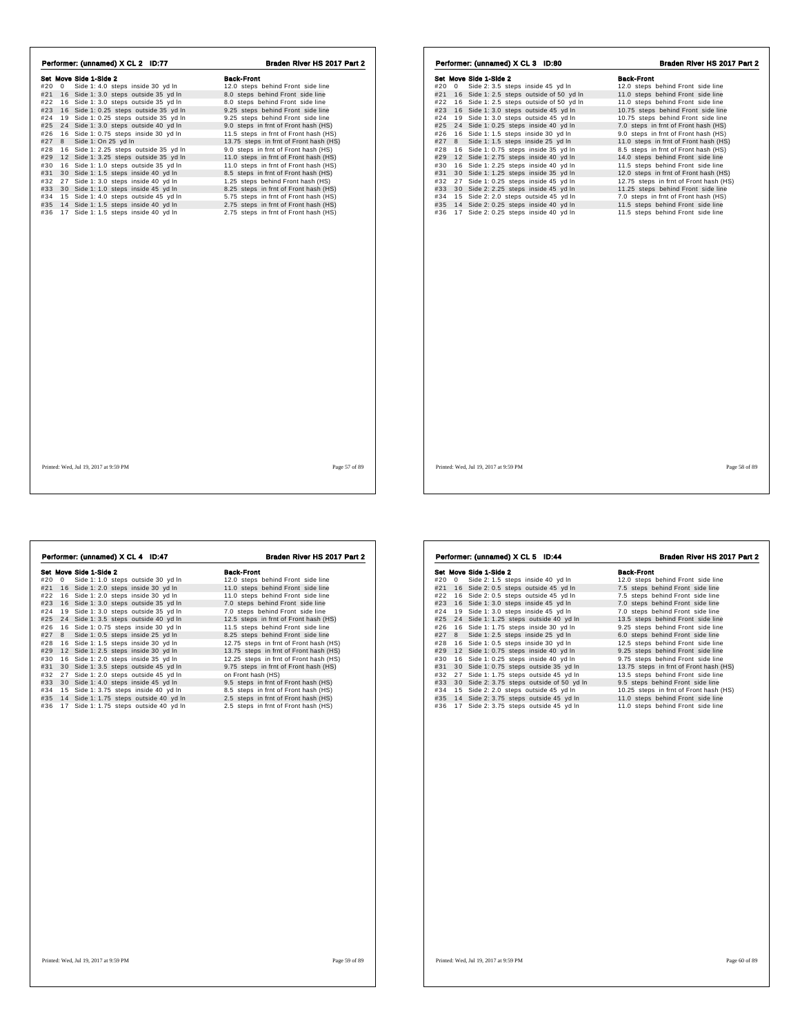| Performer: (unnamed) X CL 2 ID:77          | Braden River HS 2017 Part 2            | Performer: (unnamed) X CL 3 ID:80            | Braden River HS 2017 Part 2            |
|--------------------------------------------|----------------------------------------|----------------------------------------------|----------------------------------------|
| Set Move Side 1-Side 2                     | <b>Back-Front</b>                      | Set Move Side 1-Side 2                       | <b>Back-Front</b>                      |
| Side 1: 4.0 steps inside 30 yd ln<br>#20 0 | 12.0 steps behind Front side line      | #20 0<br>Side 2: 3.5 steps inside 45 yd In   | 12.0 steps behind Front side line      |
| #21 16 Side 1: 3.0 steps outside 35 yd In  | 8.0 steps behind Front side line       | #21 16 Side 1: 2.5 steps outside of 50 yd In | 11.0 steps behind Front side line      |
| #22 16 Side 1: 3.0 steps outside 35 yd In  | 8.0 steps behind Front side line       | #22 16 Side 1: 2.5 steps outside of 50 yd In | 11.0 steps behind Front side line      |
| #23 16 Side 1: 0.25 steps outside 35 yd In | 9.25 steps behind Front side line      | 16 Side 1: 3.0 steps outside 45 yd In<br>#23 | 10.75 steps behind Front side line     |
| #24 19 Side 1: 0.25 steps outside 35 yd In | 9.25 steps behind Front side line      | 19 Side 1: 3.0 steps outside 45 yd In<br>#24 | 10.75 steps behind Front side line     |
| #25 24 Side 1: 3.0 steps outside 40 yd In  | 9.0 steps in frnt of Front hash (HS)   | 24 Side 1: 0.25 steps inside 40 yd In<br>#25 | 7.0 steps in frnt of Front hash (HS)   |
| #26 16 Side 1: 0.75 steps inside 30 yd In  | 11.5 steps in frnt of Front hash (HS)  | 16 Side 1: 1.5 steps inside 30 yd In<br>#26  | 9.0 steps in frnt of Front hash (HS)   |
| #27 8 Side 1: On 25 yd In                  | 13.75 steps in frnt of Front hash (HS) | #27 8 Side 1: 1.5 steps inside 25 yd In      | 11.0 steps in frnt of Front hash (HS)  |
| #28 16 Side 1: 2.25 steps outside 35 yd In | 9.0 steps in frnt of Front hash (HS)   | #28<br>16 Side 1: 0.75 steps inside 35 yd In | 8.5 steps in frnt of Front hash (HS)   |
| #29 12 Side 1: 3.25 steps outside 35 yd In | 11.0 steps in frnt of Front hash (HS)  | 12 Side 1: 2.75 steps inside 40 yd In<br>#29 | 14.0 steps behind Front side line      |
| #30 16 Side 1: 1.0 steps outside 35 yd In  | 11.0 steps in frnt of Front hash (HS)  | 16 Side 1: 2.25 steps inside 40 yd In<br>#30 | 11.5 steps behind Front side line      |
| #31 30 Side 1: 1.5 steps inside 40 yd In   | 8.5 steps in frnt of Front hash (HS)   | #31 30 Side 1: 1.25 steps inside 35 yd In    | 12.0 steps in frnt of Front hash (HS)  |
| #32 27 Side 1: 3.0 steps inside 40 yd In   | 1.25 steps behind Front hash (HS)      | 27 Side 1: 0.25 steps inside 45 yd In<br>#32 | 12.75 steps in frnt of Front hash (HS) |
| #33 30 Side 1: 1.0 steps inside 45 yd In   | 8.25 steps in frnt of Front hash (HS)  | 30 Side 2: 2.25 steps inside 45 yd In<br>#33 | 11.25 steps behind Front side line     |
| #34 15 Side 1: 4.0 steps outside 45 yd In  | 5.75 steps in frnt of Front hash (HS)  | #34<br>15 Side 2: 2.0 steps outside 45 yd In | 7.0 steps in frnt of Front hash (HS)   |
| #35 14 Side 1: 1.5 steps inside 40 yd In   | 2.75 steps in frnt of Front hash (HS)  | 14 Side 2: 0.25 steps inside 40 yd In<br>#35 | 11.5 steps behind Front side line      |
| #36 17 Side 1: 1.5 steps inside 40 yd In   | 2.75 steps in frnt of Front hash (HS)  | #36<br>17 Side 2: 0.25 steps inside 40 yd In | 11.5 steps behind Front side line      |
|                                            |                                        |                                              |                                        |
| Printed: Wed, Jul 19, 2017 at 9:59 PM      | Page 57 of 89                          | Printed: Wed, Jul 19, 2017 at 9:59 PM        | Page 58 of 89                          |

|            |    | Performer: (unnamed) X CL 4 ID:47                                             | Braden River HS 2017 Part 2                                                  |
|------------|----|-------------------------------------------------------------------------------|------------------------------------------------------------------------------|
|            |    | Set Move Side 1-Side 2                                                        | <b>Back-Front</b>                                                            |
| #20        | 0  | Side 1: 1.0 steps outside 30 yd In                                            | 12.0 steps behind Front side line                                            |
| #21        |    | 16 Side 1: 2.0 steps inside 30 yd In                                          | 11.0 steps behind Front side line                                            |
| #22        |    | 16 Side 1: 2.0 steps inside 30 yd In                                          | 11.0 steps behind Front side line                                            |
| #23        |    | 16 Side 1: 3.0 steps outside 35 yd In                                         | 7.0 steps behind Front side line                                             |
| #24        |    | 19 Side 1: 3.0 steps outside 35 yd In                                         | 7.0 steps behind Front side line                                             |
| #25        |    | 24 Side 1: 3.5 steps outside 40 yd In                                         | 12.5 steps in frnt of Front hash (HS)                                        |
| #26        |    | 16 Side 1: 0.75 steps inside 30 yd In                                         | 11.5 steps behind Front side line                                            |
| #27        | 8  | Side 1: 0.5 steps inside 25 yd In                                             | 8.25 steps behind Front side line                                            |
| #28        |    | 16 Side 1: 1.5 steps inside 30 yd In                                          | 12.75 steps in frnt of Front hash (HS)                                       |
| #29        |    | 12 Side 1: 2.5 steps inside 30 yd In                                          | 13.75 steps in frnt of Front hash (HS)                                       |
| #30        |    | 16 Side 1: 2.0 steps inside 35 yd In                                          | 12.25 steps in frnt of Front hash (HS)                                       |
| #31        |    | 30 Side 1: 3.5 steps outside 45 yd In                                         | 9.75 steps in frnt of Front hash (HS)                                        |
| #32        |    | 27 Side 1: 2.0 steps outside 45 yd In                                         | on Front hash (HS)                                                           |
| #33        |    | 30 Side 1: 4.0 steps inside 45 yd In                                          | 9.5 steps in frnt of Front hash (HS)                                         |
| #34        |    | 15 Side 1: 3.75 steps inside 40 yd In                                         | 8.5 steps in frnt of Front hash (HS)                                         |
| #35<br>#36 | 17 | 14 Side 1: 1.75 steps outside 40 yd In<br>Side 1: 1.75 steps outside 40 yd In | 2.5 steps in frnt of Front hash (HS)<br>2.5 steps in frnt of Front hash (HS) |
|            |    |                                                                               |                                                                              |
|            |    |                                                                               |                                                                              |
|            |    |                                                                               |                                                                              |
|            |    |                                                                               |                                                                              |
|            |    |                                                                               |                                                                              |

|                   | Set Move Side 1-Side 2                    | <b>Back-Front</b>                      |
|-------------------|-------------------------------------------|----------------------------------------|
| #20<br>$^{\circ}$ | Side 2: 1.5 steps inside 40 yd ln         | 12.0 steps behind Front side line      |
| #21               | 16 Side 2: 0.5 steps outside 45 yd In     | 7.5 steps behind Front side line       |
| #22               | 16 Side 2: 0.5 steps outside 45 yd In     | 7.5 steps behind Front side line       |
| #23               | 16 Side 1: 3.0 steps inside 45 yd In      | 7.0 steps behind Front side line       |
| #24<br>19         | Side 1: 3.0 steps inside 45 yd In         | 7.0 steps behind Front side line       |
| #25               | 24 Side 1: 1.25 steps outside 40 yd In    | 13.5 steps behind Front side line      |
| #26               | 16 Side 1: 1.75 steps inside 30 yd In     | 9.25 steps behind Front side line      |
| #27<br>8          | Side 1: 2.5 steps inside 25 yd In         | 6.0 steps behind Front side line       |
| #28               | 16 Side 1: 0.5 steps inside 30 yd In      | 12.5 steps behind Front side line      |
| #29               | 12 Side 1: 0.75 steps inside 40 yd In     | 9.25 steps behind Front side line      |
| #30<br>16         | Side 1: 0.25 steps inside 40 yd In        | 9.75 steps behind Front side line      |
| #31               | 30 Side 1: 0.75 steps outside 35 yd In    | 13.75 steps in frnt of Front hash (HS) |
| #32<br>27         | Side 1: 1.75 steps outside 45 yd In       | 13.5 steps behind Front side line      |
| #33               | 30 Side 2: 3.75 steps outside of 50 yd In | 9.5 steps behind Front side line       |
| #34               | 15 Side 2: 2.0 steps outside 45 yd In     | 10.25 steps in frnt of Front hash (HS) |
| #35               | 14 Side 2: 3.75 steps outside 45 yd In    | 11.0 steps behind Front side line      |
| #36               | 17 Side 2: 3.75 steps outside 45 yd In    | 11.0 steps behind Front side line      |
|                   |                                           |                                        |
|                   |                                           |                                        |
|                   |                                           |                                        |
|                   |                                           |                                        |
|                   |                                           |                                        |
|                   |                                           |                                        |
|                   |                                           |                                        |
|                   |                                           |                                        |
|                   |                                           |                                        |
|                   |                                           |                                        |
|                   |                                           |                                        |
|                   |                                           |                                        |
|                   |                                           |                                        |

Performer: (unnamed) X CL 5 ID:44 Braden River HS 2017 Part 2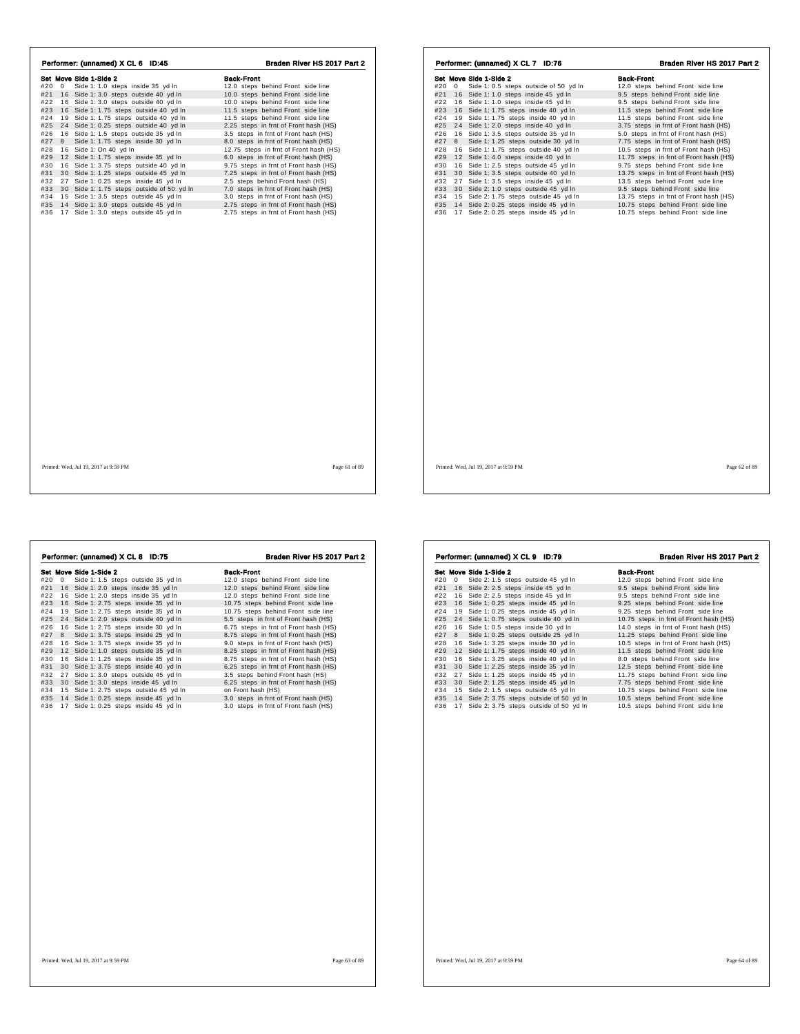| Performer: (unnamed) X CL 6 ID:45                                                                                                                                                                                                                                                                                                                                                                                                                                                                                                                                                                                                                                                                                                                                                                         | Braden River HS 2017 Part 2                                                                                                                                                                                                                                                                                                                                                                                                                                                                                                                                                                                                                                                                                   | Performer: (unnamed) X CL 7 ID:76                                                                                                                                                                                                                                                                                                                                                                                                                                                                                                                                                                                                                                                                                                                                                                                     | Braden River HS 2017 Part 2                                                                                                                                                                                                                                                                                                                                                                                                                                                                                                                                                                                                                                                                         |
|-----------------------------------------------------------------------------------------------------------------------------------------------------------------------------------------------------------------------------------------------------------------------------------------------------------------------------------------------------------------------------------------------------------------------------------------------------------------------------------------------------------------------------------------------------------------------------------------------------------------------------------------------------------------------------------------------------------------------------------------------------------------------------------------------------------|---------------------------------------------------------------------------------------------------------------------------------------------------------------------------------------------------------------------------------------------------------------------------------------------------------------------------------------------------------------------------------------------------------------------------------------------------------------------------------------------------------------------------------------------------------------------------------------------------------------------------------------------------------------------------------------------------------------|-----------------------------------------------------------------------------------------------------------------------------------------------------------------------------------------------------------------------------------------------------------------------------------------------------------------------------------------------------------------------------------------------------------------------------------------------------------------------------------------------------------------------------------------------------------------------------------------------------------------------------------------------------------------------------------------------------------------------------------------------------------------------------------------------------------------------|-----------------------------------------------------------------------------------------------------------------------------------------------------------------------------------------------------------------------------------------------------------------------------------------------------------------------------------------------------------------------------------------------------------------------------------------------------------------------------------------------------------------------------------------------------------------------------------------------------------------------------------------------------------------------------------------------------|
| Set Move Side 1-Side 2<br>#20 0 Side 1: 1.0 steps inside 35 yd In<br>#21 16 Side 1: 3.0 steps outside 40 yd In<br>#22 16 Side 1:3.0 steps outside 40 yd In<br>#23 16 Side 1: 1.75 steps outside 40 yd In<br>#24 19 Side 1: 1.75 steps outside 40 yd In<br>#25 24 Side 1: 0.25 steps outside 40 yd In<br>#26 16 Side 1: 1.5 steps outside 35 yd In<br>#27 8 Side 1: 1.75 steps inside 30 yd In<br>#28 16 Side 1: On 40 yd In<br>#29 12 Side 1: 1.75 steps inside 35 yd In<br>#30 16 Side 1: 3.75 steps outside 40 yd In<br>#31 30 Side 1: 1.25 steps outside 45 yd In<br>#32 27 Side 1: 0.25 steps inside 45 yd In<br>#33 30 Side 1: 1.75 steps outside of 50 yd In<br>#34 15 Side 1: 3.5 steps outside 45 yd In<br>#35 14 Side 1: 3.0 steps outside 45 yd In<br>#36 17 Side 1: 3.0 steps outside 45 yd In | <b>Back-Front</b><br>12.0 steps behind Front side line<br>10.0 steps behind Front side line<br>10.0 steps behind Front side line<br>11.5 steps behind Front side line<br>11.5 steps behind Front side line<br>2.25 steps in frnt of Front hash (HS)<br>3.5 steps in frnt of Front hash (HS)<br>8.0 steps in frnt of Front hash (HS)<br>12.75 steps in frnt of Front hash (HS)<br>6.0 steps in frnt of Front hash (HS)<br>9.75 steps in frnt of Front hash (HS)<br>7.25 steps in frnt of Front hash (HS)<br>2.5 steps behind Front hash (HS)<br>7.0 steps in frnt of Front hash (HS)<br>3.0 steps in frnt of Front hash (HS)<br>2.75 steps in frnt of Front hash (HS)<br>2.75 steps in frnt of Front hash (HS) | Set Move Side 1-Side 2<br>#20 0 Side 1: 0.5 steps outside of 50 yd In<br>#21 16 Side 1: 1.0 steps inside 45 yd In<br>#22 16 Side 1: 1.0 steps inside 45 yd In<br>#23 16 Side 1: 1.75 steps inside 40 yd In<br>#24 19 Side 1: 1.75 steps inside 40 yd In<br>#25 24 Side 1: 2.0 steps inside 40 yd In<br>#26 16 Side 1: 3.5 steps outside 35 yd In<br>#27 8 Side 1: 1.25 steps outside 30 yd In<br>#28 16 Side 1: 1.75 steps outside 40 yd In<br>#29 12 Side 1: 4.0 steps inside 40 yd In<br>#30 16 Side 1: 2.5 steps outside 45 yd In<br>#31 30 Side 1: 3.5 steps outside 40 yd In<br>#32 27 Side 1: 3.5 steps inside 45 yd In<br>#33 30 Side 2: 1.0 steps outside 45 yd In<br>15 Side 2: 1.75 steps outside 45 yd In<br>#34<br>#35 14 Side 2: 0.25 steps inside 45 yd In<br>#36 17 Side 2: 0.25 steps inside 45 yd In | <b>Back-Front</b><br>12.0 steps behind Front side line<br>9.5 steps behind Front side line<br>9.5 steps behind Front side line<br>11.5 steps behind Front side line<br>11.5 steps behind Front side line<br>3.75 steps in frnt of Front hash (HS)<br>5.0 steps in frnt of Front hash (HS)<br>7.75 steps in frnt of Front hash (HS)<br>10.5 steps in frnt of Front hash (HS)<br>11.75 steps in frnt of Front hash (HS)<br>9.75 steps behind Front side line<br>13.75 steps in frnt of Front hash (HS)<br>13.5 steps behind Front side line<br>9.5 steps behind Front side line<br>13.75 steps in frnt of Front hash (HS)<br>10.75 steps behind Front side line<br>10.75 steps behind Front side line |
| Printed: Wed, Jul 19, 2017 at 9:59 PM                                                                                                                                                                                                                                                                                                                                                                                                                                                                                                                                                                                                                                                                                                                                                                     | Page 61 of 89                                                                                                                                                                                                                                                                                                                                                                                                                                                                                                                                                                                                                                                                                                 | Printed: Wed, Jul 19, 2017 at 9:59 PM                                                                                                                                                                                                                                                                                                                                                                                                                                                                                                                                                                                                                                                                                                                                                                                 | Page 62 of 89                                                                                                                                                                                                                                                                                                                                                                                                                                                                                                                                                                                                                                                                                       |

|     |    | Performer: (unnamed) X CL 8 ID:75      | Braden River HS 2017 Part 2           |
|-----|----|----------------------------------------|---------------------------------------|
|     |    | Set Move Side 1-Side 2                 | <b>Back-Front</b>                     |
| #20 | 0  | Side 1: 1.5 steps outside 35 yd In     | 12.0 steps behind Front side line     |
| #21 | 16 | Side 1: 2.0 steps inside 35 yd In      | 12.0 steps behind Front side line     |
| #22 |    | 16 Side 1: 2.0 steps inside 35 yd In   | 12.0 steps behind Front side line     |
| #23 |    | 16 Side 1: 2.75 steps inside 35 vd In  | 10.75 steps behind Front side line    |
| #24 |    | 19 Side 1: 2.75 steps inside 35 yd In  | 10.75 steps behind Front side line    |
| #25 |    | 24 Side 1: 2.0 steps outside 40 yd In  | 5.5 steps in frnt of Front hash (HS)  |
| #26 |    | 16 Side 1: 2.75 steps inside 30 yd In  | 6.75 steps in frnt of Front hash (HS) |
| #27 | 8  | Side 1: 3.75 steps inside 25 yd In     | 8.75 steps in frnt of Front hash (HS) |
| #28 |    | 16 Side 1: 3.75 steps inside 35 yd In  | 9.0 steps in frnt of Front hash (HS)  |
| #29 |    | 12 Side 1: 1.0 steps outside 35 yd In  | 8.25 steps in frnt of Front hash (HS) |
| #30 |    | 16 Side 1: 1.25 steps inside 35 yd In  | 8.75 steps in frnt of Front hash (HS) |
| #31 |    | 30 Side 1: 3.75 steps inside 40 yd In  | 6.25 steps in frnt of Front hash (HS) |
| #32 |    | 27 Side 1: 3.0 steps outside 45 yd In  | 3.5 steps behind Front hash (HS)      |
| #33 |    | 30 Side 1: 3.0 steps inside 45 yd In   | 6.25 steps in frnt of Front hash (HS) |
| #34 |    | 15 Side 1: 2.75 steps outside 45 yd In | on Front hash (HS)                    |
| #35 |    | 14 Side 1: 0.25 steps inside 45 yd In  | 3.0 steps in frnt of Front hash (HS)  |
| #36 |    | 17 Side 1: 0.25 steps inside 45 yd In  | 3.0 steps in frnt of Front hash (HS)  |
|     |    |                                        |                                       |
|     |    |                                        |                                       |
|     |    |                                        |                                       |
|     |    |                                        |                                       |
|     |    |                                        |                                       |
|     |    |                                        |                                       |

|                   | Performer: (unnamed) X CL 9 ID:79         | Braden River HS 2017 Part 2            |
|-------------------|-------------------------------------------|----------------------------------------|
|                   | Set Move Side 1-Side 2                    | <b>Back-Front</b>                      |
| #20<br>$^{\circ}$ | Side 2: 1.5 steps outside 45 yd In        | 12.0 steps behind Front side line      |
| #21               | 16 Side 2: 2.5 steps inside 45 yd In      | 9.5 steps behind Front side line       |
| #22               | 16 Side 2: 2.5 steps inside 45 yd In      | 9.5 steps behind Front side line       |
| #23               | 16 Side 1: 0.25 steps inside 45 yd In     | 9.25 steps behind Front side line      |
| #24               | 19 Side 1: 0.25 steps inside 45 yd In     | 9.25 steps behind Front side line      |
| #25               | 24 Side 1: 0.75 steps outside 40 yd In    | 10.75 steps in frnt of Front hash (HS) |
| #26               | 16 Side 1: 0.5 steps inside 30 yd In      | 14.0 steps in frnt of Front hash (HS)  |
| #27<br>8          | Side 1: 0.25 steps outside 25 yd In       | 11.25 steps behind Front side line     |
| #28               | 16 Side 1: 3.25 steps inside 30 yd In     | 10.5 steps in frnt of Front hash (HS)  |
| #29               | 12 Side 1: 1.75 steps inside 40 yd In     | 11.5 steps behind Front side line      |
| #30               | 16 Side 1: 3.25 steps inside 40 yd In     | 8.0 steps behind Front side line       |
| #31               | 30 Side 1: 2.25 steps inside 35 yd In     | 12.5 steps behind Front side line      |
| #32               | 27 Side 1: 1.25 steps inside 45 yd In     | 11.75 steps behind Front side line     |
| #33               | 30 Side 2: 1.25 steps inside 45 yd In     | 7.75 steps behind Front side line      |
| #34               | 15 Side 2: 1.5 steps outside 45 yd In     | 10.75 steps behind Front side line     |
| #35               | 14 Side 2: 3.75 steps outside of 50 yd In | 10.5 steps behind Front side line      |
| #36               | 17 Side 2: 3.75 steps outside of 50 yd In | 10.5 steps behind Front side line      |
|                   |                                           |                                        |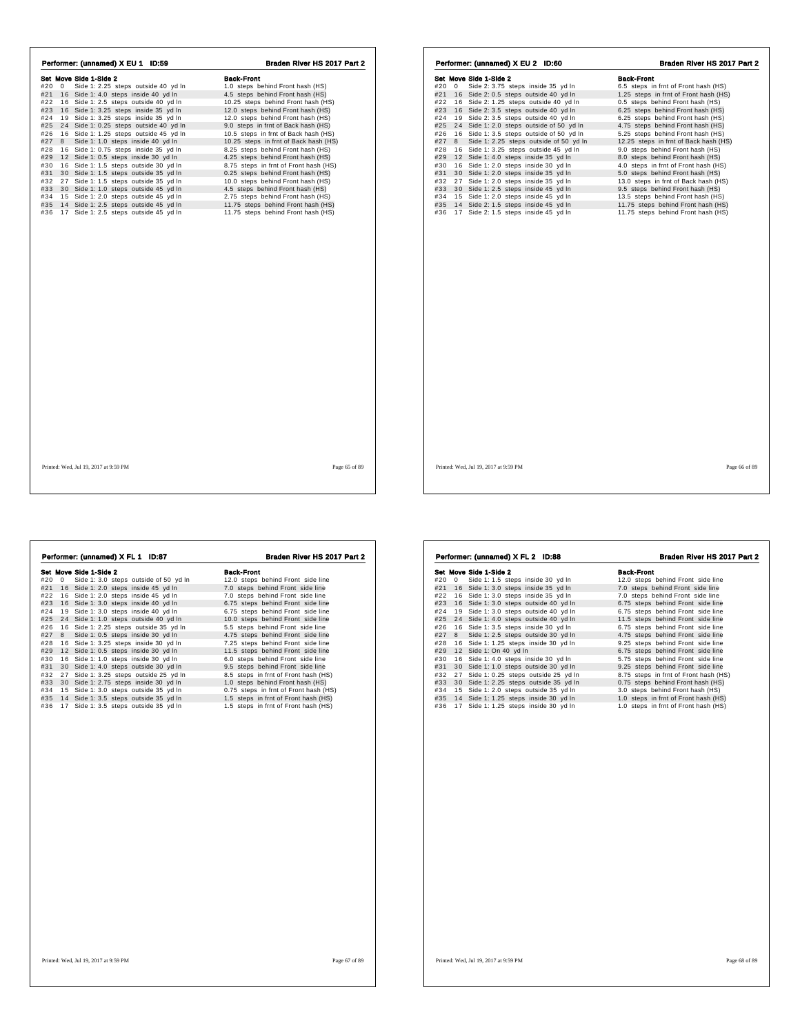| Performer: (unnamed) X EU 1 ID:59          | Braden River HS 2017 Part 2           | Performer: (unnamed) X EU 2 ID:60                  | Braden River HS 2017 Part 2           |  |
|--------------------------------------------|---------------------------------------|----------------------------------------------------|---------------------------------------|--|
| Set Move Side 1-Side 2                     | <b>Back-Front</b>                     | Set Move Side 1-Side 2                             | <b>Back-Front</b>                     |  |
| #20 0 Side 1: 2.25 steps outside 40 yd In  | 1.0 steps behind Front hash (HS)      | #20 0 Side 2: 3.75 steps inside 35 yd In           | 6.5 steps in frnt of Front hash (HS)  |  |
| #21 16 Side 1: 4.0 steps inside 40 yd In   | 4.5 steps behind Front hash (HS)      | 16 Side 2: 0.5 steps outside 40 yd In<br>#21       | 1.25 steps in frnt of Front hash (HS) |  |
| #22 16 Side 1: 2.5 steps outside 40 yd In  | 10.25 steps behind Front hash (HS)    | #22 16 Side 2: 1.25 steps outside 40 yd In         | 0.5 steps behind Front hash (HS)      |  |
| #23 16 Side 1: 3.25 steps inside 35 yd In  | 12.0 steps behind Front hash (HS)     | #23 16 Side 2: 3.5 steps outside 40 yd In          | 6.25 steps behind Front hash (HS)     |  |
| #24 19 Side 1: 3.25 steps inside 35 yd In  | 12.0 steps behind Front hash (HS)     | 19 Side 2: 3.5 steps outside 40 yd In<br>#24       | 6.25 steps behind Front hash (HS)     |  |
| #25 24 Side 1: 0.25 steps outside 40 yd In | 9.0 steps in frnt of Back hash (HS)   | #25 24 Side 1: 2.0 steps outside of 50 yd In       | 4.75 steps behind Front hash (HS)     |  |
| #26 16 Side 1: 1.25 steps outside 45 yd In | 10.5 steps in frnt of Back hash (HS)  | #26<br>16 Side 1: 3.5 steps outside of 50 yd In    | 5.25 steps behind Front hash (HS)     |  |
| #27 8 Side 1: 1.0 steps inside 40 yd In    | 10.25 steps in frnt of Back hash (HS) | Side 1: 2.25 steps outside of 50 yd In<br>#27<br>8 | 12.25 steps in frnt of Back hash (HS) |  |
| #28 16 Side 1: 0.75 steps inside 35 yd In  | 8.25 steps behind Front hash (HS)     | 16 Side 1: 3.25 steps outside 45 yd In<br>#28      | 9.0 steps behind Front hash (HS)      |  |
| #29 12 Side 1: 0.5 steps inside 30 yd In   | 4.25 steps behind Front hash (HS)     | #29<br>12 Side 1: 4.0 steps inside 35 yd In        | 8.0 steps behind Front hash (HS)      |  |
| #30 16 Side 1: 1.5 steps outside 30 yd In  | 8.75 steps in frnt of Front hash (HS) | 16 Side 1: 2.0 steps inside 30 yd In<br>#30        | 4.0 steps in frnt of Front hash (HS)  |  |
| #31 30 Side 1: 1.5 steps outside 35 yd In  | 0.25 steps behind Front hash (HS)     | #31 30 Side 1: 2.0 steps inside 35 yd In           | 5.0 steps behind Front hash (HS)      |  |
| #32 27 Side 1: 1.5 steps outside 35 yd In  | 10.0 steps behind Front hash (HS)     | #32 27 Side 1: 2.0 steps inside 35 yd In           | 13.0 steps in frnt of Back hash (HS)  |  |
| #33 30 Side 1: 1.0 steps outside 45 yd In  | 4.5 steps behind Front hash (HS)      | #33 30 Side 1: 2.5 steps inside 45 yd In           | 9.5 steps behind Front hash (HS)      |  |
| #34 15 Side 1: 2.0 steps outside 45 yd In  | 2.75 steps behind Front hash (HS)     | #34<br>15 Side 1: 2.0 steps inside 45 yd In        | 13.5 steps behind Front hash (HS)     |  |
| #35 14 Side 1: 2.5 steps outside 45 yd In  | 11.75 steps behind Front hash (HS)    | #35<br>14 Side 2: 1.5 steps inside 45 yd In        | 11.75 steps behind Front hash (HS)    |  |
| #36 17 Side 1: 2.5 steps outside 45 yd In  | 11.75 steps behind Front hash (HS)    | #36 17 Side 2: 1.5 steps inside 45 yd In           | 11.75 steps behind Front hash (HS)    |  |
|                                            |                                       |                                                    |                                       |  |
|                                            |                                       |                                                    |                                       |  |
| Printed: Wed. Jul 19, 2017 at 9:59 PM      | Page 65 of 89                         | Printed: Wed. Jul 19, 2017 at 9:59 PM              | Page 66 of 89                         |  |

|     |    | Performer: (unnamed) X FL 1 ID:87     | Braden River HS 2017 Part 2           |
|-----|----|---------------------------------------|---------------------------------------|
|     |    | Set Move Side 1-Side 2                | <b>Back-Front</b>                     |
| #20 | 0  | Side 1: 3.0 steps outside of 50 yd In | 12.0 steps behind Front side line     |
| #21 |    | 16 Side 1: 2.0 steps inside 45 yd In  | 7.0 steps behind Front side line      |
| #22 | 16 | Side 1: 2.0 steps inside 45 yd In     | 7.0 steps behind Front side line      |
| #23 |    | 16 Side 1: 3.0 steps inside 40 yd In  | 6.75 steps behind Front side line     |
| #24 | 19 | Side 1: 3.0 steps inside 40 yd In     | 6.75 steps behind Front side line     |
| #25 |    | 24 Side 1: 1.0 steps outside 40 yd In | 10.0 steps behind Front side line     |
| #26 | 16 | Side 1: 2.25 steps outside 35 yd In   | 5.5 steps behind Front side line      |
| #27 | 8  | Side 1: 0.5 steps inside 30 yd In     | 4.75 steps behind Front side line     |
| #28 | 16 | Side 1: 3.25 steps inside 30 yd In    | 7.25 steps behind Front side line     |
| #29 |    | 12 Side 1: 0.5 steps inside 30 yd In  | 11.5 steps behind Front side line     |
| #30 | 16 | Side 1: 1.0 steps inside 30 yd In     | 6.0 steps behind Front side line      |
| #31 | 30 | Side 1: 4.0 steps outside 30 yd In    | 9.5 steps behind Front side line      |
| #32 | 27 | Side 1: 3.25 steps outside 25 yd In   | 8.5 steps in frnt of Front hash (HS)  |
| #33 | 30 | Side 1: 2.75 steps inside 30 yd In    | 1.0 steps behind Front hash (HS)      |
| #34 | 15 | Side 1: 3.0 steps outside 35 yd In    | 0.75 steps in frnt of Front hash (HS) |
| #35 |    | 14 Side 1: 3.5 steps outside 35 yd In | 1.5 steps in frnt of Front hash (HS)  |
| #36 |    | 17 Side 1: 3.5 steps outside 35 yd In | 1.5 steps in frnt of Front hash (HS)  |
|     |    |                                       |                                       |
|     |    |                                       |                                       |

| Performer: (unnamed) X FL 2 ID:88 |                |                                        | Braden River HS 2017 Part 2           |  |
|-----------------------------------|----------------|----------------------------------------|---------------------------------------|--|
|                                   |                | Set Move Side 1-Side 2                 | <b>Back-Front</b>                     |  |
| #20                               | $\overline{0}$ | Side 1: 1.5 steps inside 30 yd In      | 12.0 steps behind Front side line     |  |
| #21                               |                | 16 Side 1: 3.0 steps inside 35 yd In   | 7.0 steps behind Front side line      |  |
| #22                               |                | 16 Side 1: 3.0 steps inside 35 yd In   | 7.0 steps behind Front side line      |  |
| #23                               |                | 16 Side 1: 3.0 steps outside 40 yd In  | 6.75 steps behind Front side line     |  |
| #24                               |                | 19 Side 1: 3.0 steps outside 40 yd In  | 6.75 steps behind Front side line     |  |
| #25                               |                | 24 Side 1: 4.0 steps outside 40 yd In  | 11.5 steps behind Front side line     |  |
| #26                               |                | 16 Side 1: 3.5 steps inside 30 yd In   | 6.75 steps behind Front side line     |  |
| #27                               |                | 8 Side 1: 2.5 steps outside 30 yd In   | 4.75 steps behind Front side line     |  |
| #28                               |                | 16 Side 1: 1.25 steps inside 30 yd In  | 9.25 steps behind Front side line     |  |
| #29                               |                | 12 Side 1: On 40 yd In                 | 6.75 steps behind Front side line     |  |
| #30                               |                | 16 Side 1: 4.0 steps inside 30 yd In   | 5.75 steps behind Front side line     |  |
| #31                               |                | 30 Side 1: 1.0 steps outside 30 yd In  | 9.25 steps behind Front side line     |  |
| #32                               |                | 27 Side 1: 0.25 steps outside 25 yd In | 8.75 steps in frnt of Front hash (HS) |  |
| #33                               |                | 30 Side 1: 2.25 steps outside 35 yd In | 0.75 steps behind Front hash (HS)     |  |
| #34                               |                | 15 Side 1: 2.0 steps outside 35 yd In  | 3.0 steps behind Front hash (HS)      |  |
| #35                               |                | 14 Side 1: 1.25 steps inside 30 yd In  | 1.0 steps in frnt of Front hash (HS)  |  |
| #36                               |                | 17 Side 1: 1.25 steps inside 30 yd In  | 1.0 steps in frnt of Front hash (HS)  |  |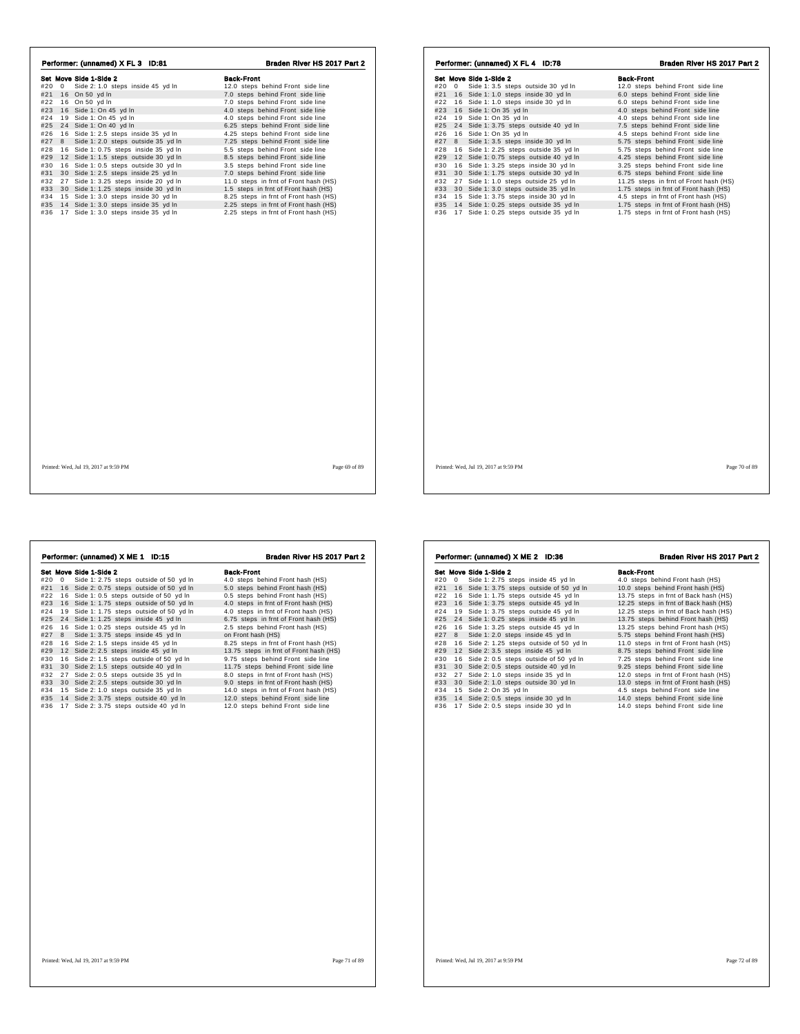|       |       | Performer: (unnamed) X FL 3 ID:81         | Braden River HS 2017 Part 2           |       | Performer: (unnam |                    |
|-------|-------|-------------------------------------------|---------------------------------------|-------|-------------------|--------------------|
|       |       | Set Move Side 1-Side 2                    | <b>Back-Front</b>                     |       |                   | Set Move Side 1-Si |
| #20 0 |       | Side 2: 1.0 steps inside 45 yd In         | 12.0 steps behind Front side line     | #20 0 |                   | Side 1: 3.         |
|       |       | #21 16 On 50 yd In                        | 7.0 steps behind Front side line      | #21   |                   | 16 Side 1: 1.      |
|       |       | #22 16 On 50 yd In                        | 7.0 steps behind Front side line      |       |                   | #22 16 Side 1: 1.  |
|       |       | #23 16 Side 1: On 45 yd In                | 4.0 steps behind Front side line      | #23   |                   | 16 Side 1: O       |
|       |       | #24 19 Side 1: On 45 yd In                | 4.0 steps behind Front side line      |       |                   | #24 19 Side 1: Or  |
|       |       | #25 24 Side 1: On 40 yd In                | 6.25 steps behind Front side line     | #25   |                   | 24 Side 1: 3.      |
|       |       | #26 16 Side 1: 2.5 steps inside 35 yd In  | 4.25 steps behind Front side line     |       |                   | #26 16 Side 1: O   |
|       | #27 8 | Side 1: 2.0 steps outside 35 yd In        | 7.25 steps behind Front side line     | #27   | 8                 | Side 1: 3.         |
|       |       | #28 16 Side 1: 0.75 steps inside 35 yd In | 5.5 steps behind Front side line      | #28   |                   | 16 Side 1: 2.      |
|       |       | #29 12 Side 1: 1.5 steps outside 30 yd In | 8.5 steps behind Front side line      | #29   |                   | 12 Side 1: 0.      |
|       |       | #30 16 Side 1: 0.5 steps outside 30 yd In | 3.5 steps behind Front side line      | #30   |                   | 16 Side 1: 3.      |
| #31   |       | 30 Side 1: 2.5 steps inside 25 yd In      | 7.0 steps behind Front side line      | #31   |                   | 30 Side 1: 1.      |
|       |       | #32 27 Side 1: 3.25 steps inside 20 yd In | 11.0 steps in frnt of Front hash (HS) | #32   |                   | 27 Side 1: 1.      |
|       |       | #33 30 Side 1: 1.25 steps inside 30 yd In | 1.5 steps in frnt of Front hash (HS)  | #33   |                   | 30 Side 1: 3.      |
|       |       | #34 15 Side 1: 3.0 steps inside 30 yd In  | 8.25 steps in frnt of Front hash (HS) | #34   |                   | 15 Side 1: 3.      |
|       |       | #35 14 Side 1: 3.0 steps inside 35 yd In  | 2.25 steps in frnt of Front hash (HS) |       |                   | #35 14 Side 1:0.   |
|       |       | #36 17 Side 1: 3.0 steps inside 35 yd In  | 2.25 steps in frnt of Front hash (HS) |       |                   | #36 17 Side 1:0.   |
|       |       |                                           |                                       |       |                   |                    |
|       |       |                                           |                                       |       |                   |                    |
|       |       |                                           |                                       |       |                   |                    |
|       |       |                                           |                                       |       |                   |                    |
|       |       |                                           |                                       |       |                   |                    |
|       |       |                                           |                                       |       |                   |                    |

|     |    | Set Move Side 1-Side 2                 | <b>Back-Front</b>                      |
|-----|----|----------------------------------------|----------------------------------------|
| #20 | 0  | Side 1: 3.5 steps outside 30 yd In     | 12.0 steps behind Front side line      |
| #21 |    | 16 Side 1: 1.0 steps inside 30 yd In   | 6.0 steps behind Front side line       |
| #22 | 16 | Side 1: 1.0 steps inside 30 yd In      | 6.0 steps behind Front side line       |
| #23 | 16 | Side 1: On 35 yd In                    | 4.0 steps behind Front side line       |
| #24 | 19 | Side 1: On 35 yd In                    | 4.0 steps behind Front side line       |
| #25 | 24 | Side 1: 3.75 steps outside 40 yd In    | 7.5 steps behind Front side line       |
| #26 | 16 | Side 1: On 35 yd In                    | 4.5 steps behind Front side line       |
| #27 | 8  | Side 1: 3.5 steps inside 30 yd In      | 5.75 steps behind Front side line      |
| #28 | 16 | Side 1: 2.25 steps outside 35 yd In    | 5.75 steps behind Front side line      |
| #29 | 12 | Side 1: 0.75 steps outside 40 yd In    | 4.25 steps behind Front side line      |
| #30 | 16 | Side 1: 3.25 steps inside 30 yd In     | 3.25 steps behind Front side line      |
| #31 | 30 | Side 1: 1.75 steps outside 30 yd In    | 6.75 steps behind Front side line      |
| #32 | 27 | Side 1: 1.0 steps outside 25 yd In     | 11.25 steps in frnt of Front hash (HS) |
| #33 | 30 | Side 1: 3.0 steps outside 35 yd In     | 1.75 steps in frnt of Front hash (HS)  |
| #34 |    | 15 Side 1: 3.75 steps inside 30 yd In  | 4.5 steps in frnt of Front hash (HS)   |
| #35 | 14 | Side 1: 0.25 steps outside 35 yd In    | 1.75 steps in frnt of Front hash (HS)  |
| #36 |    | 17 Side 1: 0.25 steps outside 35 yd In | 1.75 steps in frnt of Front hash (HS)  |
|     |    |                                        |                                        |
|     |    |                                        |                                        |
|     |    |                                        |                                        |
|     |    |                                        |                                        |
|     |    |                                        |                                        |
|     |    |                                        |                                        |
|     |    |                                        |                                        |

**Set Move Side 1-8062**<br> **Section** 1-8062 **C** 1506 **C** 160 **C** 160 **C** 160 **C** 160 **C** 160 **C** 160 **C** 16 **C** 16 **C** 3 **C** 16 Side 1:0.75 steps outside of 50 yd In 0.5 steps behind Front hash (HS) #22 16 Side 1:0.75 steps #27 8 Side 1: 3.75 steps inside 45 yd ln  $\#28$  16 Side 2: 1.5 steps inside 45 yd ln  $\#29$  12 Side 2: 2.5 steps inside 45 yd ln  $\#30$  16.25 steps in fmt of Front hash (HS)<br>
#30 16 Side 2: 1.5 steps outside 40 yd ln  $\#3$ Performer: (unnamed) X ME 1 ID:15 Braden River HS 2017 Part 2

| Performer: (unnamed) X ME 2 ID:36 |       |                                               | Braden River HS 2017 Part 2           |  |
|-----------------------------------|-------|-----------------------------------------------|---------------------------------------|--|
|                                   |       | Set Move Side 1-Side 2                        | <b>Back-Front</b>                     |  |
|                                   | #20 0 | Side 1: 2.75 steps inside 45 yd In            | 4.0 steps behind Front hash (HS)      |  |
|                                   |       | #21 16 Side 1: 3.75 steps outside of 50 yd In | 10.0 steps behind Front hash (HS)     |  |
| #22                               |       | 16 Side 1: 1.75 steps outside 45 yd In        | 13.75 steps in frnt of Back hash (HS) |  |
| #23                               |       | 16 Side 1: 3.75 steps outside 45 yd In        | 12.25 steps in frnt of Back hash (HS) |  |
| #24                               |       | 19 Side 1: 3.75 steps outside 45 yd In        | 12.25 steps in frnt of Back hash (HS) |  |
| #25                               |       | 24 Side 1: 0.25 steps inside 45 yd In         | 13.75 steps behind Front hash (HS)    |  |
| #26                               |       | 16 Side 1: 3.25 steps outside 45 yd In        | 13.25 steps behind Front hash (HS)    |  |
| #27                               |       | 8 Side 1: 2.0 steps inside 45 yd In           | 5.75 steps behind Front hash (HS)     |  |
| #28                               |       | 16 Side 2: 1.25 steps outside of 50 yd In     | 11.0 steps in frnt of Front hash (HS) |  |
| #29                               |       | 12 Side 2: 3.5 steps inside 45 yd In          | 8.75 steps behind Front side line     |  |
| #30                               |       | 16 Side 2: 0.5 steps outside of 50 yd In      | 7.25 steps behind Front side line     |  |
| #31                               |       | 30 Side 2: 0.5 steps outside 40 yd In         | 9.25 steps behind Front side line     |  |
| #32                               |       | 27 Side 2: 1.0 steps inside 35 yd In          | 12.0 steps in frnt of Front hash (HS) |  |
| #33                               |       | 30 Side 2: 1.0 steps outside 30 yd In         | 13.0 steps in frnt of Front hash (HS) |  |
| #34                               |       | 15 Side 2: On 35 yd In                        | 4.5 steps behind Front side line      |  |
| #35                               |       | 14 Side 2: 0.5 steps inside 30 yd In          | 14.0 steps behind Front side line     |  |
| #36                               |       | 17 Side 2: 0.5 steps inside 30 yd In          | 14.0 steps behind Front side line     |  |
|                                   |       |                                               |                                       |  |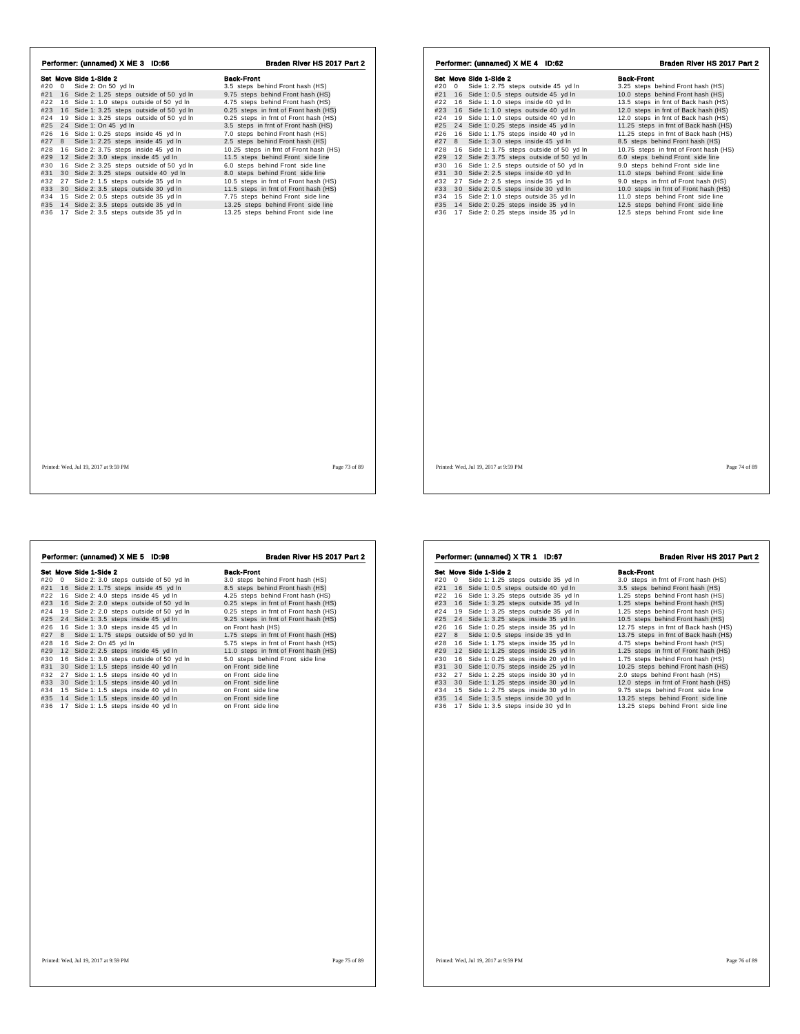| Performer: (unnamed) X ME 3 ID:66                                                                                                                                                                                                                                                                                                                                                                                                                                                                                                                                     | Braden River HS 2017 Part 2                                                                                                                                                                                                                                                                                                                                                                                                                                                              | Performer: (unnamed) X ME 4 ID:62                                                                                                                                                                                                                                                                                                                                                                                                                                                                                                                                                               | Braden River HS 2017 Part 2                                                                                                                                                                                                                                                                                                                                                                                                                                                                      |
|-----------------------------------------------------------------------------------------------------------------------------------------------------------------------------------------------------------------------------------------------------------------------------------------------------------------------------------------------------------------------------------------------------------------------------------------------------------------------------------------------------------------------------------------------------------------------|------------------------------------------------------------------------------------------------------------------------------------------------------------------------------------------------------------------------------------------------------------------------------------------------------------------------------------------------------------------------------------------------------------------------------------------------------------------------------------------|-------------------------------------------------------------------------------------------------------------------------------------------------------------------------------------------------------------------------------------------------------------------------------------------------------------------------------------------------------------------------------------------------------------------------------------------------------------------------------------------------------------------------------------------------------------------------------------------------|--------------------------------------------------------------------------------------------------------------------------------------------------------------------------------------------------------------------------------------------------------------------------------------------------------------------------------------------------------------------------------------------------------------------------------------------------------------------------------------------------|
| Set Move Side 1-Side 2<br>#20 0 Side 2: On 50 yd In<br>#21 16 Side 2: 1.25 steps outside of 50 yd In<br>#22 16 Side 1: 1.0 steps outside of 50 yd In<br>#23 16 Side 1: 3.25 steps outside of 50 yd In<br>#24 19 Side 1: 3.25 steps outside of 50 yd In<br>#25 24 Side 1: On 45 yd In<br>#26 16 Side 1: 0.25 steps inside 45 yd In<br>#27 8 Side 1: 2.25 steps inside 45 yd In<br>#28 16 Side 2: 3.75 steps inside 45 yd In<br>#29 12 Side 2: 3.0 steps inside 45 yd In<br>#30 16 Side 2: 3.25 steps outside of 50 yd In<br>#31 30 Side 2: 3.25 steps outside 40 yd In | <b>Back-Front</b><br>3.5 steps behind Front hash (HS)<br>9.75 steps behind Front hash (HS)<br>4.75 steps behind Front hash (HS)<br>0.25 steps in frnt of Front hash (HS)<br>0.25 steps in frnt of Front hash (HS)<br>3.5 steps in frnt of Front hash (HS)<br>7.0 steps behind Front hash (HS)<br>2.5 steps behind Front hash (HS)<br>10.25 steps in frnt of Front hash (HS)<br>11.5 steps behind Front side line<br>6.0 steps behind Front side line<br>8.0 steps behind Front side line | Set Move Side 1-Side 2<br>#20 0 Side 1: 2.75 steps outside 45 yd In<br>#21 16 Side 1: 0.5 steps outside 45 yd In<br>#22 16 Side 1: 1.0 steps inside 40 yd In<br>#23 16 Side 1: 1.0 steps outside 40 yd In<br>#24 19 Side 1: 1.0 steps outside 40 yd In<br>#25 24 Side 1: 0.25 steps inside 45 yd In<br>16 Side 1: 1.75 steps inside 40 yd In<br>#26<br>#27 8 Side 1: 3.0 steps inside 45 yd In<br>#28 16 Side 1: 1.75 steps outside of 50 yd In<br>#29<br>12 Side 2: 3.75 steps outside of 50 yd In<br>#30 16 Side 1: 2.5 steps outside of 50 yd In<br>#31 30 Side 2: 2.5 steps inside 40 yd In | <b>Back-Front</b><br>3.25 steps behind Front hash (HS)<br>10.0 steps behind Front hash (HS)<br>13.5 steps in frnt of Back hash (HS)<br>12.0 steps in frnt of Back hash (HS)<br>12.0 steps in frnt of Back hash (HS)<br>11.25 steps in frnt of Back hash (HS)<br>11.25 steps in frnt of Back hash (HS)<br>8.5 steps behind Front hash (HS)<br>10.75 steps in frnt of Front hash (HS)<br>6.0 steps behind Front side line<br>9.0 steps behind Front side line<br>11.0 steps behind Front side line |
| #32 27 Side 2: 1.5 steps outside 35 yd In<br>#33 30 Side 2: 3.5 steps outside 30 yd In<br>#34 15 Side 2: 0.5 steps outside 35 yd In<br>#35 14 Side 2: 3.5 steps outside 35 yd In<br>#36 17 Side 2: 3.5 steps outside 35 yd In                                                                                                                                                                                                                                                                                                                                         | 10.5 steps in frnt of Front hash (HS)<br>11.5 steps in frnt of Front hash (HS)<br>7.75 steps behind Front side line<br>13.25 steps behind Front side line<br>13.25 steps behind Front side line                                                                                                                                                                                                                                                                                          | #32 27 Side 2: 2.5 steps inside 35 yd In<br>#33 30 Side 2: 0.5 steps inside 30 yd In<br>#34 15 Side 2: 1.0 steps outside 35 yd In<br>#35 14 Side 2: 0.25 steps inside 35 yd In<br>#36 17 Side 2: 0.25 steps inside 35 yd In                                                                                                                                                                                                                                                                                                                                                                     | 9.0 steps in frnt of Front hash (HS)<br>10.0 steps in frnt of Front hash (HS)<br>11.0 steps behind Front side line<br>12.5 steps behind Front side line<br>12.5 steps behind Front side line                                                                                                                                                                                                                                                                                                     |
|                                                                                                                                                                                                                                                                                                                                                                                                                                                                                                                                                                       |                                                                                                                                                                                                                                                                                                                                                                                                                                                                                          |                                                                                                                                                                                                                                                                                                                                                                                                                                                                                                                                                                                                 |                                                                                                                                                                                                                                                                                                                                                                                                                                                                                                  |
| Printed: Wed, Jul 19, 2017 at 9:59 PM                                                                                                                                                                                                                                                                                                                                                                                                                                                                                                                                 | Page 73 of 89                                                                                                                                                                                                                                                                                                                                                                                                                                                                            | Printed: Wed, Jul 19, 2017 at 9:59 PM                                                                                                                                                                                                                                                                                                                                                                                                                                                                                                                                                           | Page 74 of 89                                                                                                                                                                                                                                                                                                                                                                                                                                                                                    |

|     |   | Performer: (unnamed) X ME 5 ID:98        | Braden River HS 2017 Part 2           |
|-----|---|------------------------------------------|---------------------------------------|
|     |   | Set Move Side 1-Side 2                   | <b>Back-Front</b>                     |
| #20 | 0 | Side 2: 3.0 steps outside of 50 yd In    | 3.0 steps behind Front hash (HS)      |
| #21 |   | 16 Side 2: 1.75 steps inside 45 yd In    | 8.5 steps behind Front hash (HS)      |
| #22 |   | 16 Side 2: 4.0 steps inside 45 yd In     | 4.25 steps behind Front hash (HS)     |
| #23 |   | 16 Side 2: 2.0 steps outside of 50 vd In | 0.25 steps in frnt of Front hash (HS) |
| #24 |   | 19 Side 2: 2.0 steps outside of 50 yd In | 0.25 steps in frnt of Front hash (HS) |
| #25 |   | 24 Side 1: 3.5 steps inside 45 yd In     | 9.25 steps in frnt of Front hash (HS) |
| #26 |   | 16 Side 1: 3.0 steps inside 45 yd In     | on Front hash (HS)                    |
| #27 | 8 | Side 1: 1.75 steps outside of 50 yd In   | 1.75 steps in frnt of Front hash (HS) |
| #28 |   | 16 Side 2: On 45 yd In                   | 5.75 steps in frnt of Front hash (HS) |
| #29 |   | 12 Side 2: 2.5 steps inside 45 yd In     | 11.0 steps in frnt of Front hash (HS) |
| #30 |   | 16 Side 1: 3.0 steps outside of 50 yd In | 5.0 steps behind Front side line      |
| #31 |   | 30 Side 1: 1.5 steps inside 40 yd In     | on Front side line                    |
| #32 |   | 27 Side 1: 1.5 steps inside 40 yd In     | on Front side line                    |
| #33 |   | 30 Side 1: 1.5 steps inside 40 yd In     | on Front side line                    |
| #34 |   | 15 Side 1: 1.5 steps inside 40 yd In     | on Front side line                    |
| #35 |   | 14 Side 1: 1.5 steps inside 40 yd In     | on Front side line                    |
| #36 |   | 17 Side 1: 1.5 steps inside 40 yd In     | on Front side line                    |
|     |   |                                          |                                       |
|     |   |                                          |                                       |
|     |   |                                          |                                       |
|     |   |                                          |                                       |
|     |   |                                          |                                       |

|    | <b>Back-Front</b>                                                                                                                                                                                                                                                                                                                                                                                                                                                                                                                                                                                                                                                                                                                          |
|----|--------------------------------------------------------------------------------------------------------------------------------------------------------------------------------------------------------------------------------------------------------------------------------------------------------------------------------------------------------------------------------------------------------------------------------------------------------------------------------------------------------------------------------------------------------------------------------------------------------------------------------------------------------------------------------------------------------------------------------------------|
|    | 3.0 steps in frnt of Front hash (HS)                                                                                                                                                                                                                                                                                                                                                                                                                                                                                                                                                                                                                                                                                                       |
|    | 3.5 steps behind Front hash (HS)                                                                                                                                                                                                                                                                                                                                                                                                                                                                                                                                                                                                                                                                                                           |
|    | 1.25 steps behind Front hash (HS)                                                                                                                                                                                                                                                                                                                                                                                                                                                                                                                                                                                                                                                                                                          |
|    | 1.25 steps behind Front hash (HS)                                                                                                                                                                                                                                                                                                                                                                                                                                                                                                                                                                                                                                                                                                          |
|    | 1.25 steps behind Front hash (HS)                                                                                                                                                                                                                                                                                                                                                                                                                                                                                                                                                                                                                                                                                                          |
|    | 10.5 steps behind Front hash (HS)                                                                                                                                                                                                                                                                                                                                                                                                                                                                                                                                                                                                                                                                                                          |
|    | 12.75 steps in frnt of Back hash (HS)                                                                                                                                                                                                                                                                                                                                                                                                                                                                                                                                                                                                                                                                                                      |
|    | 13.75 steps in frnt of Back hash (HS)                                                                                                                                                                                                                                                                                                                                                                                                                                                                                                                                                                                                                                                                                                      |
|    | 4.75 steps behind Front hash (HS)                                                                                                                                                                                                                                                                                                                                                                                                                                                                                                                                                                                                                                                                                                          |
|    | 1.25 steps in frnt of Front hash (HS)                                                                                                                                                                                                                                                                                                                                                                                                                                                                                                                                                                                                                                                                                                      |
|    | 1.75 steps behind Front hash (HS)                                                                                                                                                                                                                                                                                                                                                                                                                                                                                                                                                                                                                                                                                                          |
|    | 10.25 steps behind Front hash (HS)                                                                                                                                                                                                                                                                                                                                                                                                                                                                                                                                                                                                                                                                                                         |
|    | 2.0 steps behind Front hash (HS)                                                                                                                                                                                                                                                                                                                                                                                                                                                                                                                                                                                                                                                                                                           |
|    | 12.0 steps in frnt of Front hash (HS)                                                                                                                                                                                                                                                                                                                                                                                                                                                                                                                                                                                                                                                                                                      |
|    | 9.75 steps behind Front side line                                                                                                                                                                                                                                                                                                                                                                                                                                                                                                                                                                                                                                                                                                          |
|    | 13.25 steps behind Front side line                                                                                                                                                                                                                                                                                                                                                                                                                                                                                                                                                                                                                                                                                                         |
|    | 13.25 steps behind Front side line                                                                                                                                                                                                                                                                                                                                                                                                                                                                                                                                                                                                                                                                                                         |
| 16 | Set Move Side 1-Side 2<br>Side 1: 1.25 steps outside 35 yd In<br>16 Side 1: 0.5 steps outside 40 yd In<br>Side 1: 3.25 steps outside 35 yd In<br>16 Side 1: 3.25 steps outside 35 yd In<br>19 Side 1: 3.25 steps outside 35 yd In<br>24 Side 1: 3.25 steps inside 35 yd In<br>16 Side 1: 0.25 steps inside 35 yd In<br>Side 1: 0.5 steps inside 35 yd In<br>16 Side 1: 1.75 steps inside 35 yd In<br>12 Side 1: 1.25 steps inside 25 yd In<br>Side 1: 0.25 steps inside 20 yd In<br>16<br>30 Side 1: 0.75 steps inside 25 yd In<br>27 Side 1: 2.25 steps inside 30 yd In<br>30 Side 1: 1.25 steps inside 30 yd In<br>15 Side 1: 2.75 steps inside 30 yd In<br>14 Side 1: 3.5 steps inside 30 yd In<br>17 Side 1: 3.5 steps inside 30 yd In |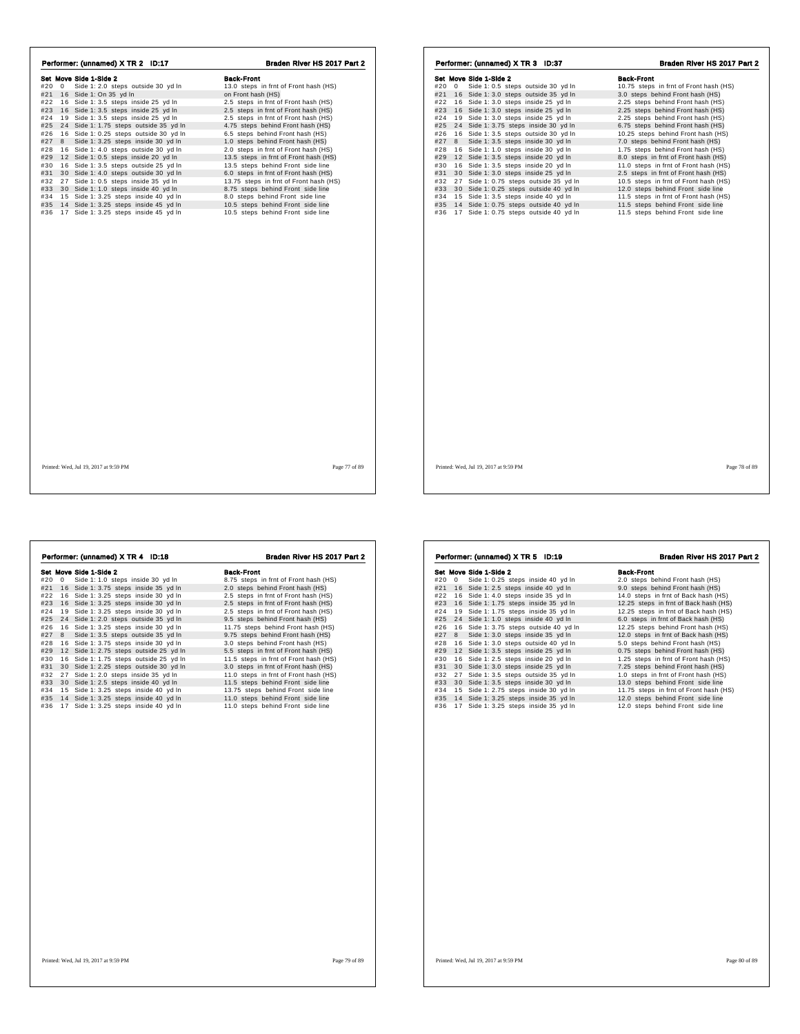| Performer: (unnamed) X TR 2 ID:17          | Braden River HS 2017 Part 2            | Performer: (unnamed) X TR 3 ID:37            | Braden River HS 2017 Part 2            |
|--------------------------------------------|----------------------------------------|----------------------------------------------|----------------------------------------|
| Set Move Side 1-Side 2                     | <b>Back-Front</b>                      | Set Move Side 1-Side 2                       | <b>Back-Front</b>                      |
| #20 0 Side 1: 2.0 steps outside 30 yd In   | 13.0 steps in frnt of Front hash (HS)  | #20 0 Side 1: 0.5 steps outside 30 yd In     | 10.75 steps in frnt of Front hash (HS) |
| #21 16 Side 1: On 35 yd In                 | on Front hash (HS)                     | #21 16 Side 1: 3.0 steps outside 35 yd In    | 3.0 steps behind Front hash (HS)       |
| #22 16 Side 1: 3.5 steps inside 25 yd In   | 2.5 steps in frnt of Front hash (HS)   | #22 16 Side 1: 3.0 steps inside 25 yd In     | 2.25 steps behind Front hash (HS)      |
| #23 16 Side 1: 3.5 steps inside 25 yd In   | 2.5 steps in frnt of Front hash (HS)   | #23 16 Side 1: 3.0 steps inside 25 yd In     | 2.25 steps behind Front hash (HS)      |
| #24 19 Side 1: 3.5 steps inside 25 yd In   | 2.5 steps in frnt of Front hash (HS)   | #24 19 Side 1: 3.0 steps inside 25 yd In     | 2.25 steps behind Front hash (HS)      |
| #25 24 Side 1: 1.75 steps outside 35 yd In | 4.75 steps behind Front hash (HS)      | #25 24 Side 1: 3.75 steps inside 30 yd In    | 6.75 steps behind Front hash (HS)      |
| #26 16 Side 1: 0.25 steps outside 30 yd In | 6.5 steps behind Front hash (HS)       | 16 Side 1: 3.5 steps outside 30 yd In<br>#26 | 10.25 steps behind Front hash (HS)     |
| #27 8 Side 1: 3.25 steps inside 30 yd In   | 1.0 steps behind Front hash (HS)       | #27 8 Side 1: 3.5 steps inside 30 yd In      | 7.0 steps behind Front hash (HS)       |
| #28 16 Side 1: 4.0 steps outside 30 yd In  | 2.0 steps in frnt of Front hash (HS)   | #28 16 Side 1: 1.0 steps inside 30 yd In     | 1.75 steps behind Front hash (HS)      |
| #29 12 Side 1: 0.5 steps inside 20 yd In   | 13.5 steps in frnt of Front hash (HS)  | #29 12 Side 1: 3.5 steps inside 20 yd In     | 8.0 steps in frnt of Front hash (HS)   |
| #30 16 Side 1: 3.5 steps outside 25 yd In  | 13.5 steps behind Front side line      | #30 16 Side 1: 3.5 steps inside 20 yd In     | 11.0 steps in frnt of Front hash (HS)  |
| #31 30 Side 1: 4.0 steps outside 30 yd In  | 6.0 steps in frnt of Front hash (HS)   | #31 30 Side 1: 3.0 steps inside 25 yd In     | 2.5 steps in frnt of Front hash (HS)   |
| #32 27 Side 1: 0.5 steps inside 35 yd In   | 13.75 steps in frnt of Front hash (HS) | #32 27 Side 1: 0.75 steps outside 35 yd In   | 10.5 steps in frnt of Front hash (HS)  |
| #33 30 Side 1: 1.0 steps inside 40 yd In   | 8.75 steps behind Front side line      | #33 30 Side 1: 0.25 steps outside 40 yd In   | 12.0 steps behind Front side line      |
| #34 15 Side 1: 3.25 steps inside 40 yd In  | 8.0 steps behind Front side line       | #34 15 Side 1: 3.5 steps inside 40 yd In     | 11.5 steps in frnt of Front hash (HS)  |
| #35 14 Side 1: 3.25 steps inside 45 yd In  | 10.5 steps behind Front side line      | #35 14 Side 1: 0.75 steps outside 40 yd In   | 11.5 steps behind Front side line      |
| #36 17 Side 1: 3.25 steps inside 45 yd In  | 10.5 steps behind Front side line      | #36 17 Side 1: 0.75 steps outside 40 yd In   | 11.5 steps behind Front side line      |
|                                            |                                        |                                              |                                        |
| Printed: Wed, Jul 19, 2017 at 9:59 PM      | Page 77 of 89                          | Printed: Wed, Jul 19, 2017 at 9:59 PM        | Page 78 of 89                          |

|     |    | Performer: (unnamed) X TR 4 ID:18      | Braden River HS 2017 Part 2           |
|-----|----|----------------------------------------|---------------------------------------|
|     |    | Set Move Side 1-Side 2                 | Back-Front                            |
| #20 | 0  | Side 1: 1.0 steps inside 30 yd In      | 8.75 steps in frnt of Front hash (HS) |
| #21 |    | 16 Side 1: 3.75 steps inside 35 yd In  | 2.0 steps behind Front hash (HS)      |
| #22 | 16 | Side 1: 3.25 steps inside 30 yd In     | 2.5 steps in frnt of Front hash (HS)  |
| #23 | 16 | Side 1: 3.25 steps inside 30 yd In     | 2.5 steps in frnt of Front hash (HS)  |
| #24 | 19 | Side 1: 3.25 steps inside 30 yd In     | 2.5 steps in frnt of Front hash (HS)  |
| #25 | 24 | Side 1: 2.0 steps outside 35 yd In     | 9.5 steps behind Front hash (HS)      |
| #26 | 16 | Side 1: 3.25 steps inside 30 yd In     | 11.75 steps behind Front hash (HS)    |
| #27 | 8  | Side 1: 3.5 steps outside 35 yd In     | 9.75 steps behind Front hash (HS)     |
| #28 |    | 16 Side 1: 3.75 steps inside 30 yd In  | 3.0 steps behind Front hash (HS)      |
| #29 |    | 12 Side 1: 2.75 steps outside 25 yd In | 5.5 steps in frnt of Front hash (HS)  |
| #30 |    | 16 Side 1: 1.75 steps outside 25 yd In | 11.5 steps in frnt of Front hash (HS) |
| #31 |    | 30 Side 1: 2.25 steps outside 30 yd In | 3.0 steps in frnt of Front hash (HS)  |
| #32 | 27 | Side 1: 2.0 steps inside 35 yd In      | 11.0 steps in frnt of Front hash (HS) |
| #33 |    | 30 Side 1: 2.5 steps inside 40 yd In   | 11.5 steps behind Front side line     |
| #34 |    | 15 Side 1: 3.25 steps inside 40 yd In  | 13.75 steps behind Front side line    |
| #35 |    | 14 Side 1: 3.25 steps inside 40 yd In  | 11.0 steps behind Front side line     |
| #36 | 17 | Side 1: 3.25 steps inside 40 yd In     | 11.0 steps behind Front side line     |
|     |    |                                        |                                       |
|     |    |                                        |                                       |
|     |    |                                        |                                       |
|     |    |                                        |                                       |
|     |    |                                        |                                       |
|     |    |                                        |                                       |
|     |    |                                        |                                       |
|     |    |                                        |                                       |
|     |    |                                        |                                       |

|     |            | Set Move Side 1-Side 2                | <b>Back-Front</b>                      |
|-----|------------|---------------------------------------|----------------------------------------|
| #20 | $^{\circ}$ | Side 1: 0.25 steps inside 40 yd In    | 2.0 steps behind Front hash (HS)       |
| #21 |            | 16 Side 1: 2.5 steps inside 40 yd In  | 9.0 steps behind Front hash (HS)       |
| #22 |            | 16 Side 1: 4.0 steps inside 35 yd In  | 14.0 steps in frnt of Back hash (HS)   |
| #23 |            | 16 Side 1: 1.75 steps inside 35 yd In | 12.25 steps in frnt of Back hash (HS)  |
| #24 | 19         | Side 1: 1.75 steps inside 35 yd In    | 12.25 steps in frnt of Back hash (HS)  |
| #25 |            | 24 Side 1: 1.0 steps inside 40 yd In  | 6.0 steps in frnt of Back hash (HS)    |
| #26 | 16         | Side 1: 3.75 steps outside 40 yd In   | 12.25 steps behind Front hash (HS)     |
| #27 | 8          | Side 1: 3.0 steps inside 35 yd In     | 12.0 steps in frnt of Back hash (HS)   |
| #28 |            | 16 Side 1: 3.0 steps outside 40 yd In | 5.0 steps behind Front hash (HS)       |
| #29 |            | 12 Side 1: 3.5 steps inside 25 yd In  | 0.75 steps behind Front hash (HS)      |
| #30 |            | 16 Side 1: 2.5 steps inside 20 yd In  | 1.25 steps in frnt of Front hash (HS)  |
| #31 | 30         | Side 1: 3.0 steps inside 25 yd In     | 7.25 steps behind Front hash (HS)      |
| #32 | 27         | Side 1: 3.5 steps outside 35 yd In    | 1.0 steps in frnt of Front hash (HS)   |
| #33 |            | 30 Side 1: 3.5 steps inside 30 yd In  | 13.0 steps behind Front side line      |
| #34 |            | 15 Side 1: 2.75 steps inside 30 yd In | 11.75 steps in frnt of Front hash (HS) |
| #35 |            | 14 Side 1: 3.25 steps inside 35 yd In | 12.0 steps behind Front side line      |
| #36 | 17         | Side 1: 3.25 steps inside 35 yd In    | 12.0 steps behind Front side line      |
|     |            |                                       |                                        |

Performer: (unnamed) X TR 5 ID:19 Braden River HS 2017 Part 2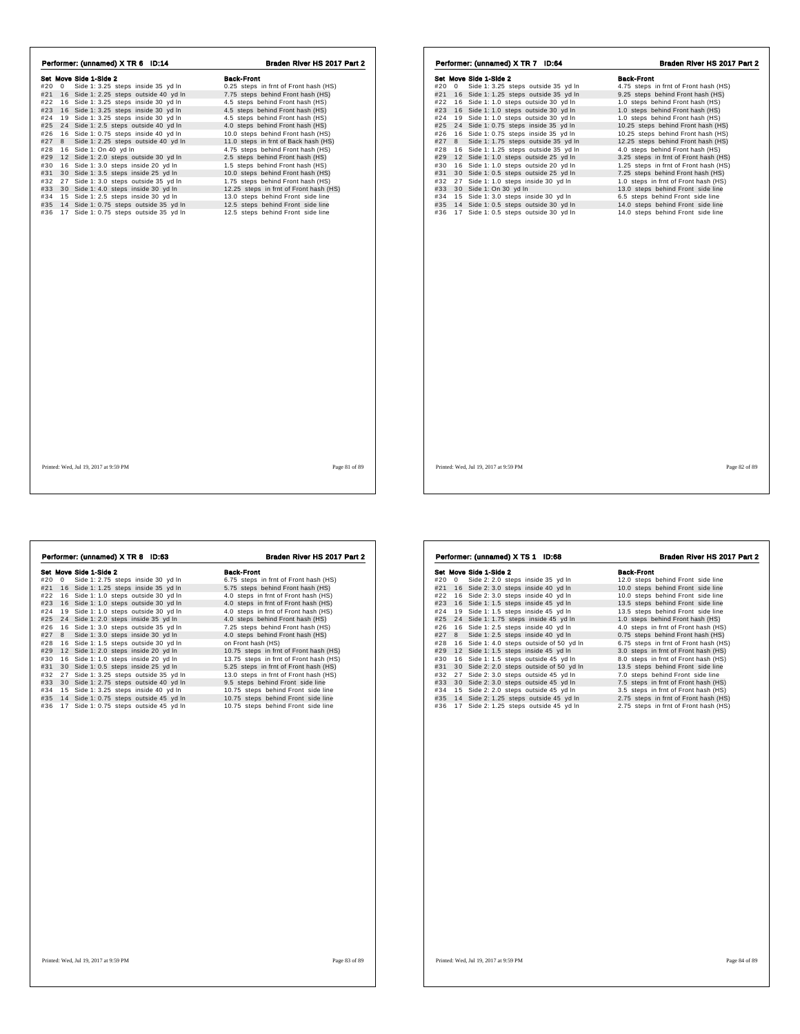| Performer: (unnamed) X TR 6 ID:14          | Braden River HS 2017 Part 2            | Performer: (unnamed) X TR 7 ID:64               | Braden River HS 2017 Part 2           |
|--------------------------------------------|----------------------------------------|-------------------------------------------------|---------------------------------------|
| Set Move Side 1-Side 2                     | <b>Back-Front</b>                      | Set Move Side 1-Side 2                          | <b>Back-Front</b>                     |
| #20 0 Side 1: 3.25 steps inside 35 yd In   | 0.25 steps in frnt of Front hash (HS)  | #20 0 Side 1: 3.25 steps outside 35 yd In       | 4.75 steps in frnt of Front hash (HS) |
| #21 16 Side 1: 2.25 steps outside 40 yd In | 7.75 steps behind Front hash (HS)      | #21 16 Side 1: 1.25 steps outside 35 yd In      | 9.25 steps behind Front hash (HS)     |
| #22 16 Side 1: 3.25 steps inside 30 yd In  | 4.5 steps behind Front hash (HS)       | #22 16 Side 1: 1.0 steps outside 30 yd In       | 1.0 steps behind Front hash (HS)      |
| #23 16 Side 1: 3.25 steps inside 30 yd In  | 4.5 steps behind Front hash (HS)       | #23<br>16 Side 1: 1.0 steps outside 30 yd In    | 1.0 steps behind Front hash (HS)      |
| #24 19 Side 1: 3.25 steps inside 30 yd In  | 4.5 steps behind Front hash (HS)       | 19 Side 1: 1.0 steps outside 30 yd In<br>#24    | 1.0 steps behind Front hash (HS)      |
| #25 24 Side 1: 2.5 steps outside 40 yd In  | 4.0 steps behind Front hash (HS)       | #25 24 Side 1: 0.75 steps inside 35 yd In       | 10.25 steps behind Front hash (HS)    |
| #26 16 Side 1: 0.75 steps inside 40 yd In  | 10.0 steps behind Front hash (HS)      | #26<br>16 Side 1: 0.75 steps inside 35 yd In    | 10.25 steps behind Front hash (HS)    |
| #27 8 Side 1: 2.25 steps outside 40 yd In  | 11.0 steps in frnt of Back hash (HS)   | Side 1: 1.75 steps outside 35 yd In<br>#27<br>8 | 12.25 steps behind Front hash (HS)    |
| #28 16 Side 1: On 40 yd In                 | 4.75 steps behind Front hash (HS)      | 16 Side 1: 1.25 steps outside 35 yd In<br>#28   | 4.0 steps behind Front hash (HS)      |
| #29 12 Side 1: 2.0 steps outside 30 yd In  | 2.5 steps behind Front hash (HS)       | #29<br>12 Side 1: 1.0 steps outside 25 yd In    | 3.25 steps in frnt of Front hash (HS) |
| #30 16 Side 1: 3.0 steps inside 20 yd In   | 1.5 steps behind Front hash (HS)       | #30<br>16 Side 1: 1.0 steps outside 20 yd In    | 1.25 steps in frnt of Front hash (HS) |
| #31 30 Side 1: 3.5 steps inside 25 yd In   | 10.0 steps behind Front hash (HS)      | #31 30 Side 1: 0.5 steps outside 25 yd In       | 7.25 steps behind Front hash (HS)     |
| #32 27 Side 1: 3.0 steps outside 35 yd In  | 1.75 steps behind Front hash (HS)      | #32 27 Side 1: 1.0 steps inside 30 yd In        | 1.0 steps in frnt of Front hash (HS)  |
| #33 30 Side 1: 4.0 steps inside 30 yd In   | 12.25 steps in frnt of Front hash (HS) | #33 30 Side 1: On 30 yd In                      | 13.0 steps behind Front side line     |
| #34 15 Side 1: 2.5 steps inside 30 yd In   | 13.0 steps behind Front side line      | #34 15 Side 1: 3.0 steps inside 30 yd In        | 6.5 steps behind Front side line      |
| #35 14 Side 1: 0.75 steps outside 35 yd In | 12.5 steps behind Front side line      | #35<br>14 Side 1: 0.5 steps outside 30 yd In    | 14.0 steps behind Front side line     |
| #36 17 Side 1: 0.75 steps outside 35 yd In | 12.5 steps behind Front side line      | #36 17 Side 1: 0.5 steps outside 30 yd In       | 14.0 steps behind Front side line     |
|                                            |                                        |                                                 |                                       |
|                                            |                                        |                                                 |                                       |
|                                            |                                        |                                                 |                                       |
|                                            |                                        |                                                 |                                       |

|     |            | Performer: (unnamed) X TR 8 ID:63      | Braden River HS 2017 Part 2            |
|-----|------------|----------------------------------------|----------------------------------------|
|     |            | Set Move Side 1-Side 2                 | <b>Back-Front</b>                      |
| #20 | $^{\circ}$ | Side 1: 2.75 steps inside 30 yd In     | 6.75 steps in frnt of Front hash (HS)  |
| #21 |            | 16 Side 1: 1.25 steps inside 35 yd In  | 5.75 steps behind Front hash (HS)      |
| #22 |            | 16 Side 1: 1.0 steps outside 30 yd In  | 4.0 steps in frnt of Front hash (HS)   |
| #23 |            | 16 Side 1: 1.0 steps outside 30 yd In  | 4.0 steps in frnt of Front hash (HS)   |
| #24 | 19         | Side 1: 1.0 steps outside 30 yd In     | 4.0 steps in frnt of Front hash (HS)   |
| #25 |            | 24 Side 1: 2.0 steps inside 35 yd In   | 4.0 steps behind Front hash (HS)       |
| #26 | 16         | Side 1: 3.0 steps outside 35 yd In     | 7.25 steps behind Front hash (HS)      |
| #27 | 8          | Side 1: 3.0 steps inside 30 yd In      | 4.0 steps behind Front hash (HS)       |
| #28 |            | 16 Side 1: 1.5 steps outside 30 yd In  | on Front hash (HS)                     |
| #29 |            | 12 Side 1: 2.0 steps inside 20 yd In   | 10.75 steps in frnt of Front hash (HS) |
| #30 | 16         | Side 1: 1.0 steps inside 20 yd In      | 13.75 steps in frnt of Front hash (HS) |
| #31 | 30         | Side 1: 0.5 steps inside 25 yd In      | 5.25 steps in frnt of Front hash (HS)  |
| #32 | 27         | Side 1: 3.25 steps outside 35 yd In    | 13.0 steps in frnt of Front hash (HS)  |
| #33 |            | 30 Side 1: 2.75 steps outside 40 yd In | 9.5 steps behind Front side line       |
| #34 |            | 15 Side 1: 3.25 steps inside 40 yd In  | 10.75 steps behind Front side line     |
| #35 |            | 14 Side 1: 0.75 steps outside 45 yd In | 10.75 steps behind Front side line     |
| #36 | 17         | Side 1: 0.75 steps outside 45 yd In    | 10.75 steps behind Front side line     |
|     |            |                                        |                                        |
|     |            |                                        |                                        |
|     |            |                                        |                                        |
|     |            |                                        |                                        |
|     |            |                                        |                                        |
|     |            |                                        |                                        |
|     |            |                                        |                                        |
|     |            |                                        |                                        |
|     |            |                                        |                                        |

|           | Set Move Side 1-Side 2                   | <b>Back-Front</b>                     |
|-----------|------------------------------------------|---------------------------------------|
| #20<br>0  | Side 2: 2.0 steps inside 35 yd In        | 12.0 steps behind Front side line     |
| #21       | 16 Side 2: 3.0 steps inside 40 yd In     | 10.0 steps behind Front side line     |
| #22       | 16 Side 2: 3.0 steps inside 40 yd In     | 10.0 steps behind Front side line     |
| #23       | 16 Side 1: 1.5 steps inside 45 yd In     | 13.5 steps behind Front side line     |
| #24<br>19 | Side 1: 1.5 steps inside 45 yd In        | 13.5 steps behind Front side line     |
| #25<br>24 | Side 1: 1.75 steps inside 45 yd In       | 1.0 steps behind Front hash (HS)      |
| #26<br>16 | Side 1: 2.5 steps inside 40 yd In        | 4.0 steps in frnt of Front hash (HS)  |
| #27<br>8  | Side 1: 2.5 steps inside 40 yd In        | 0.75 steps behind Front hash (HS)     |
| #28       | 16 Side 1: 4.0 steps outside of 50 yd In | 6.75 steps in frnt of Front hash (HS) |
| #29       | 12 Side 1: 1.5 steps inside 45 yd In     | 3.0 steps in frnt of Front hash (HS)  |
| #30       | 16 Side 1: 1.5 steps outside 45 yd In    | 8.0 steps in frnt of Front hash (HS)  |
| #31       | 30 Side 2: 2.0 steps outside of 50 yd In | 13.5 steps behind Front side line     |
| #32       | 27 Side 2: 3.0 steps outside 45 yd In    | 7.0 steps behind Front side line      |
| #33       | 30 Side 2: 3.0 steps outside 45 yd In    | 7.5 steps in frnt of Front hash (HS)  |
| #34       | 15 Side 2: 2.0 steps outside 45 yd In    | 3.5 steps in frnt of Front hash (HS)  |
| #35       | 14 Side 2: 1.25 steps outside 45 yd In   | 2.75 steps in frnt of Front hash (HS) |
| #36       | 17 Side 2: 1.25 steps outside 45 yd In   | 2.75 steps in frnt of Front hash (HS) |
|           |                                          |                                       |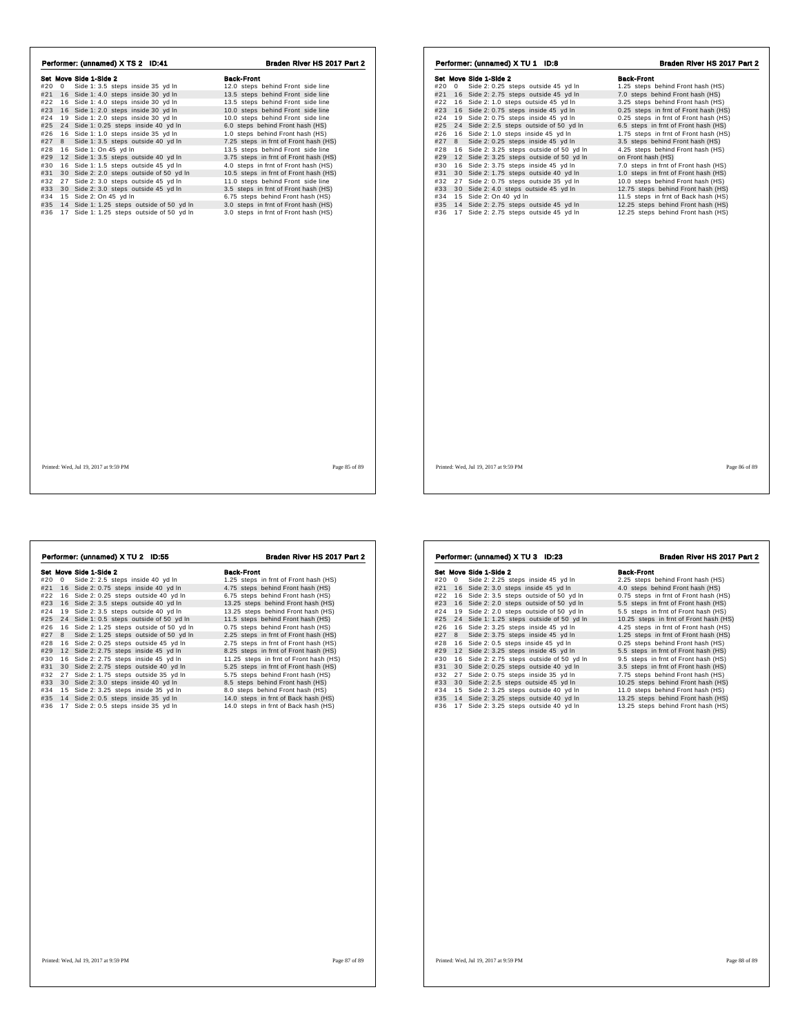| Set Move Side 1-Side 2                        |                                       |                                               |                                       |
|-----------------------------------------------|---------------------------------------|-----------------------------------------------|---------------------------------------|
|                                               | <b>Back-Front</b>                     | Set Move Side 1-Side 2                        | <b>Back-Front</b>                     |
| Side 1: 3.5 steps inside 35 yd In<br>#20 0    | 12.0 steps behind Front side line     | #20 0 Side 2: 0.25 steps outside 45 yd In     | 1.25 steps behind Front hash (HS)     |
| #21 16 Side 1: 4.0 steps inside 30 yd In      | 13.5 steps behind Front side line     | #21 16 Side 2: 2.75 steps outside 45 yd In    | 7.0 steps behind Front hash (HS)      |
| #22 16 Side 1: 4.0 steps inside 30 yd In      | 13.5 steps behind Front side line     | #22 16 Side 2: 1.0 steps outside 45 yd In     | 3.25 steps behind Front hash (HS)     |
| #23 16 Side 1: 2.0 steps inside 30 yd In      | 10.0 steps behind Front side line     | #23 16 Side 2: 0.75 steps inside 45 yd In     | 0.25 steps in frnt of Front hash (HS) |
| #24 19 Side 1: 2.0 steps inside 30 yd In      | 10.0 steps behind Front side line     | #24 19 Side 2: 0.75 steps inside 45 yd In     | 0.25 steps in frnt of Front hash (HS) |
| #25 24 Side 1: 0.25 steps inside 40 yd In     | 6.0 steps behind Front hash (HS)      | #25 24 Side 2: 2.5 steps outside of 50 yd In  | 6.5 steps in frnt of Front hash (HS)  |
| #26 16 Side 1: 1.0 steps inside 35 yd In      | 1.0 steps behind Front hash (HS)      | #26 16 Side 2: 1.0 steps inside 45 yd In      | 1.75 steps in frnt of Front hash (HS) |
| Side 1: 3.5 steps outside 40 yd In<br>#27 8   | 7.25 steps in frnt of Front hash (HS) | #27 8 Side 2: 0.25 steps inside 45 yd In      | 3.5 steps behind Front hash (HS)      |
| #28 16 Side 1: On 45 yd In                    | 13.5 steps behind Front side line     | #28 16 Side 2: 3.25 steps outside of 50 yd In | 4.25 steps behind Front hash (HS)     |
| #29 12 Side 1: 3.5 steps outside 40 yd In     | 3.75 steps in frnt of Front hash (HS) | #29 12 Side 2: 3.25 steps outside of 50 yd In | on Front hash (HS)                    |
| #30 16 Side 1: 1.5 steps outside 45 yd In     | 4.0 steps in frnt of Front hash (HS)  | 16 Side 2: 3.75 steps inside 45 yd In<br>#30  | 7.0 steps in frnt of Front hash (HS)  |
| #31 30 Side 2: 2.0 steps outside of 50 yd In  | 10.5 steps in frnt of Front hash (HS) | #31 30 Side 2: 1.75 steps outside 40 yd In    | 1.0 steps in frnt of Front hash (HS)  |
| #32 27 Side 2: 3.0 steps outside 45 yd In     | 11.0 steps behind Front side line     | #32 27 Side 2: 0.75 steps outside 35 yd In    | 10.0 steps behind Front hash (HS)     |
| #33 30 Side 2: 3.0 steps outside 45 yd In     | 3.5 steps in frnt of Front hash (HS)  | #33 30 Side 2: 4.0 steps outside 45 yd In     | 12.75 steps behind Front hash (HS)    |
| #34 15 Side 2: On 45 yd In                    | 6.75 steps behind Front hash (HS)     | #34 15 Side 2: On 40 yd In                    | 11.5 steps in frnt of Back hash (HS)  |
| #35 14 Side 1: 1.25 steps outside of 50 yd In | 3.0 steps in frnt of Front hash (HS)  | #35 14 Side 2: 2.75 steps outside 45 yd In    | 12.25 steps behind Front hash (HS)    |
| #36 17 Side 1: 1.25 steps outside of 50 yd In | 3.0 steps in frnt of Front hash (HS)  | #36 17 Side 2: 2.75 steps outside 45 yd In    | 12.25 steps behind Front hash (HS)    |
|                                               |                                       |                                               |                                       |
|                                               |                                       |                                               |                                       |
|                                               |                                       |                                               |                                       |
| Printed: Wed, Jul 19, 2017 at 9:59 PM         | Page 85 of 89                         | Printed: Wed. Jul 19, 2017 at 9:59 PM         | Page 86 of 89                         |

| #20 | 0                                         | Set Move Side 1-Side 2<br>Side 2: 2.5 steps inside 40 yd In | Back-Front<br>1.25 steps in frnt of Front hash (HS) |
|-----|-------------------------------------------|-------------------------------------------------------------|-----------------------------------------------------|
| #21 |                                           | 16 Side 2: 0.75 steps inside 40 yd In                       | 4.75 steps behind Front hash (HS)                   |
| #22 |                                           | 16 Side 2: 0.25 steps outside 40 yd In                      | 6.75 steps behind Front hash (HS)                   |
| #23 |                                           | 16 Side 2: 3.5 steps outside 40 yd In                       | 13.25 steps behind Front hash (HS)                  |
| #24 |                                           | 19 Side 2: 3.5 steps outside 40 yd In                       | 13.25 steps behind Front hash (HS)                  |
| #25 |                                           | 24 Side 1: 0.5 steps outside of 50 yd In                    | 11.5 steps behind Front hash (HS)                   |
| #26 | 16 Side 2: 1.25 steps outside of 50 yd In | 0.75 steps behind Front hash (HS)                           |                                                     |
| #27 | 8                                         | Side 2: 1.25 steps outside of 50 yd In                      | 2.25 steps in frnt of Front hash (HS)               |
| #28 |                                           | 16 Side 2: 0.25 steps outside 45 yd In                      | 2.75 steps in frnt of Front hash (HS)               |
| #29 |                                           | 12 Side 2: 2.75 steps inside 45 yd In                       | 8.25 steps in frnt of Front hash (HS)               |
| #30 |                                           | 16 Side 2: 2.75 steps inside 45 yd In                       | 11.25 steps in frnt of Front hash (HS)              |
| #31 |                                           | 30 Side 2: 2.75 steps outside 40 yd In                      | 5.25 steps in frnt of Front hash (HS)               |
| #32 |                                           | 27 Side 2: 1.75 steps outside 35 yd In                      | 5.75 steps behind Front hash (HS)                   |
| #33 |                                           | 30 Side 2: 3.0 steps inside 40 yd In                        | 8.5 steps behind Front hash (HS)                    |
| #34 |                                           | 15 Side 2: 3.25 steps inside 35 yd In                       | 8.0 steps behind Front hash (HS)                    |
| #35 |                                           | 14 Side 2: 0.5 steps inside 35 yd In                        | 14.0 steps in frnt of Back hash (HS)                |
| #36 |                                           | 17 Side 2: 0.5 steps inside 35 yd In                        | 14.0 steps in frnt of Back hash (HS)                |
|     |                                           |                                                             |                                                     |
|     |                                           |                                                             |                                                     |
|     |                                           |                                                             |                                                     |
|     |                                           |                                                             |                                                     |
|     |                                           |                                                             |                                                     |
|     |                                           |                                                             |                                                     |
|     |                                           | Printed: Wed, Jul 19, 2017 at 9:59 PM                       | Page 87 of 89                                       |

|     |            | Set Move Side 1-Side 2                 | <b>Back-Front</b>                      |
|-----|------------|----------------------------------------|----------------------------------------|
| #20 | $^{\circ}$ | Side 2: 2.25 steps inside 45 yd In     | 2.25 steps behind Front hash (HS)      |
| #21 | 16         | Side 2: 3.0 steps inside 45 yd In      | 4.0 steps behind Front hash (HS)       |
| #22 | 16         | Side 2: 3.5 steps outside of 50 yd In  | 0.75 steps in frnt of Front hash (HS)  |
| #23 | 16         | Side 2: 2.0 steps outside of 50 yd In  | 5.5 steps in frnt of Front hash (HS)   |
| #24 | 19         | Side 2: 2.0 steps outside of 50 yd In  | 5.5 steps in frnt of Front hash (HS)   |
| #25 | 24         | Side 1: 1.25 steps outside of 50 yd In | 10.25 steps in frnt of Front hash (HS) |
| #26 |            | 16 Side 2: 3.25 steps inside 45 yd In  | 4.25 steps in frnt of Front hash (HS)  |
| #27 | 8          | Side 2: 3.75 steps inside 45 yd In     | 1.25 steps in frnt of Front hash (HS)  |
| #28 |            | 16 Side 2: 0.5 steps inside 45 yd In   | 0.25 steps behind Front hash (HS)      |
| #29 | 12         | Side 2: 3.25 steps inside 45 yd In     | 5.5 steps in frnt of Front hash (HS)   |
| #30 | 16         | Side 2: 2.75 steps outside of 50 yd In | 9.5 steps in frnt of Front hash (HS)   |
| #31 | 30         | Side 2: 0.25 steps outside 40 yd In    | 3.5 steps in frnt of Front hash (HS)   |
| #32 | 27         | Side 2: 0.75 steps inside 35 yd In     | 7.75 steps behind Front hash (HS)      |
| #33 | 30         | Side 2: 2.5 steps outside 45 yd In     | 10.25 steps behind Front hash (HS)     |
| #34 |            | 15 Side 2: 3.25 steps outside 40 yd In | 11.0 steps behind Front hash (HS)      |
| #35 |            | 14 Side 2: 3.25 steps outside 40 yd In | 13.25 steps behind Front hash (HS)     |
| #36 |            | 17 Side 2: 3.25 steps outside 40 yd In | 13.25 steps behind Front hash (HS)     |
|     |            |                                        |                                        |
|     |            |                                        |                                        |
|     |            |                                        |                                        |
|     |            |                                        |                                        |
|     |            |                                        |                                        |
|     |            |                                        |                                        |
|     |            |                                        |                                        |
|     |            |                                        |                                        |
|     |            |                                        |                                        |

Performer: (unnamed) X TU 3 ID:23 Braden River HS 2017 Part 2